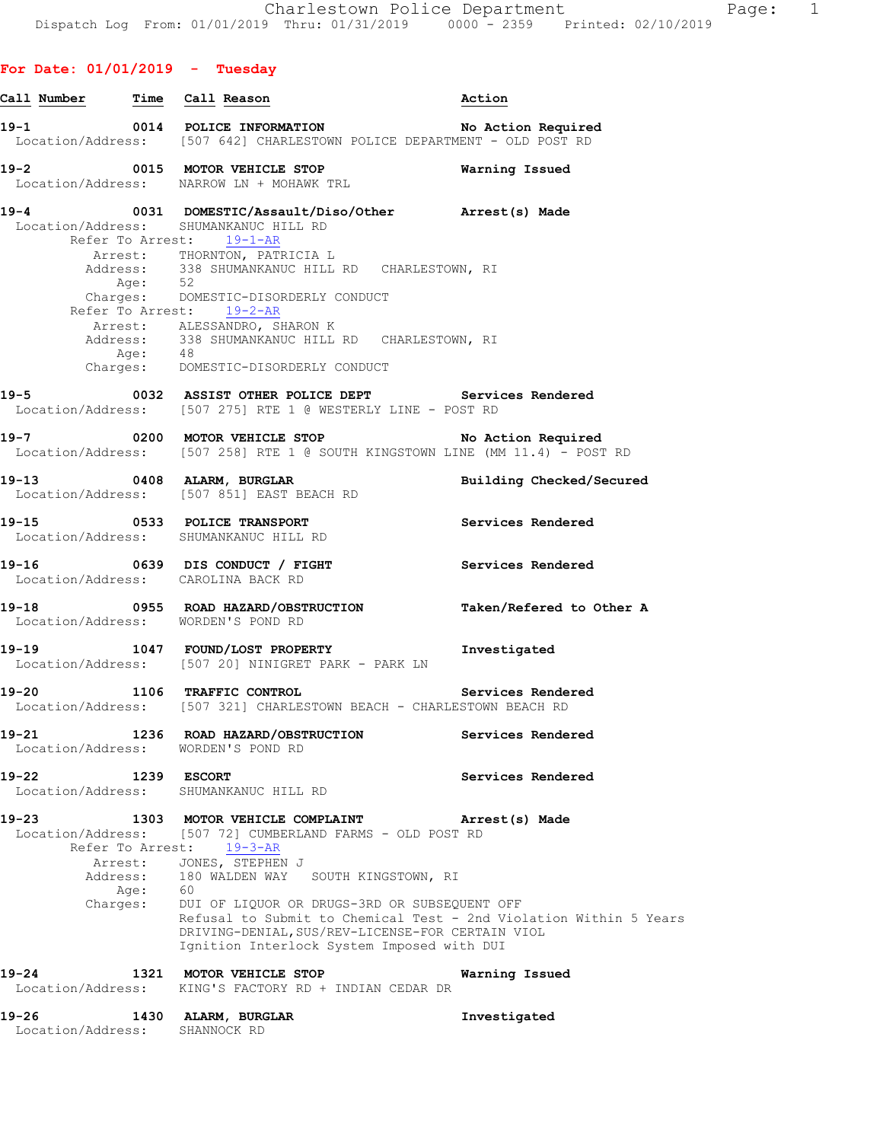# **For Date: 01/01/2019 - Tuesday**

|           |                                            | Call Number Time Call Reason                                                                                                                                                                                                                                                                                                                                                                                                                | Action                   |
|-----------|--------------------------------------------|---------------------------------------------------------------------------------------------------------------------------------------------------------------------------------------------------------------------------------------------------------------------------------------------------------------------------------------------------------------------------------------------------------------------------------------------|--------------------------|
|           |                                            | 19-1 0014 POLICE INFORMATION No Action Required<br>Location/Address: [507 642] CHARLESTOWN POLICE DEPARTMENT - OLD POST RD                                                                                                                                                                                                                                                                                                                  |                          |
|           |                                            | 19-2 0015 MOTOR VEHICLE STOP<br>Location/Address: NARROW LN + MOHAWK TRL                                                                                                                                                                                                                                                                                                                                                                    | Warning Issued           |
|           | Refer To Arrest: 19-1-AR<br>Age:           | 19-4 0031 DOMESTIC/Assault/Diso/Other Arrest(s) Made<br>Location/Address: SHUMANKANUC HILL RD<br>Arrest: THORNTON, PATRICIA L<br>Address: 338 SHUMANKANUC HILL RD CHARLESTOWN, RI<br>52<br>Charges: DOMESTIC-DISORDERLY CONDUCT<br>Refer To Arrest: 19-2-AR<br>Arrest: ALESSANDRO, SHARON K<br>Address: 338 SHUMANKANUC HILL RD CHARLESTOWN, RI<br>Age: 48<br>Charges: DOMESTIC-DISORDERLY CONDUCT                                          |                          |
|           |                                            | 19-5 0032 ASSIST OTHER POLICE DEPT Services Rendered<br>Location/Address: [507 275] RTE 1 @ WESTERLY LINE - POST RD                                                                                                                                                                                                                                                                                                                         |                          |
|           |                                            | 19-7 0200 MOTOR VEHICLE STOP No Action Required<br>Location/Address: [507 258] RTE 1 @ SOUTH KINGSTOWN LINE (MM 11.4) - POST RD                                                                                                                                                                                                                                                                                                             |                          |
|           |                                            | 19-13 0408 ALARM, BURGLAR<br>Location/Address: [507 851] EAST BEACH RD                                                                                                                                                                                                                                                                                                                                                                      | Building Checked/Secured |
|           |                                            | 19-15 0533 POLICE TRANSPORT<br>Location/Address: SHUMANKANUC HILL RD                                                                                                                                                                                                                                                                                                                                                                        | Services Rendered        |
|           |                                            | 19-16 0639 DIS CONDUCT / FIGHT Services Rendered<br>Location/Address: CAROLINA BACK RD                                                                                                                                                                                                                                                                                                                                                      |                          |
|           |                                            | 19-18 		 0955 ROAD HAZARD/OBSTRUCTION Taken/Refered to Other A<br>Location/Address: WORDEN'S POND RD                                                                                                                                                                                                                                                                                                                                        |                          |
|           |                                            | 19-19 1047 FOUND/LOST PROPERTY 1nvestigated<br>Location/Address: [507 20] NINIGRET PARK - PARK LN                                                                                                                                                                                                                                                                                                                                           |                          |
|           |                                            | 19-20 1106 TRAFFIC CONTROL Services Rendered<br>Location/Address: [507 321] CHARLESTOWN BEACH - CHARLESTOWN BEACH RD                                                                                                                                                                                                                                                                                                                        |                          |
| $19 - 21$ |                                            | 1236 ROAD HAZARD/OBSTRUCTION<br>Location/Address: WORDEN'S POND RD                                                                                                                                                                                                                                                                                                                                                                          | Services Rendered        |
|           | 19-22 1239 ESCORT                          | Location/Address: SHUMANKANUC HILL RD                                                                                                                                                                                                                                                                                                                                                                                                       | Services Rendered        |
| $19 - 23$ |                                            | 1303 MOTOR VEHICLE COMPLAINT<br>Location/Address: [507 72] CUMBERLAND FARMS - OLD POST RD<br>Refer To Arrest: 19-3-AR<br>Arrest: JONES, STEPHEN J<br>Address: 180 WALDEN WAY SOUTH KINGSTOWN, RI<br>Age: 60<br>Charges: DUI OF LIQUOR OR DRUGS-3RD OR SUBSEQUENT OFF<br>Refusal to Submit to Chemical Test - 2nd Violation Within 5 Years<br>DRIVING-DENIAL, SUS/REV-LICENSE-FOR CERTAIN VIOL<br>Ignition Interlock System Imposed with DUI | Arrest(s) Made           |
| 19-24     |                                            | 1321 MOTOR VEHICLE STOP<br>Location/Address: KING'S FACTORY RD + INDIAN CEDAR DR                                                                                                                                                                                                                                                                                                                                                            | Warning Issued           |
|           | $19 - 26$<br>Location/Address: SHANNOCK RD | 1430 ALARM, BURGLAR                                                                                                                                                                                                                                                                                                                                                                                                                         | Investigated             |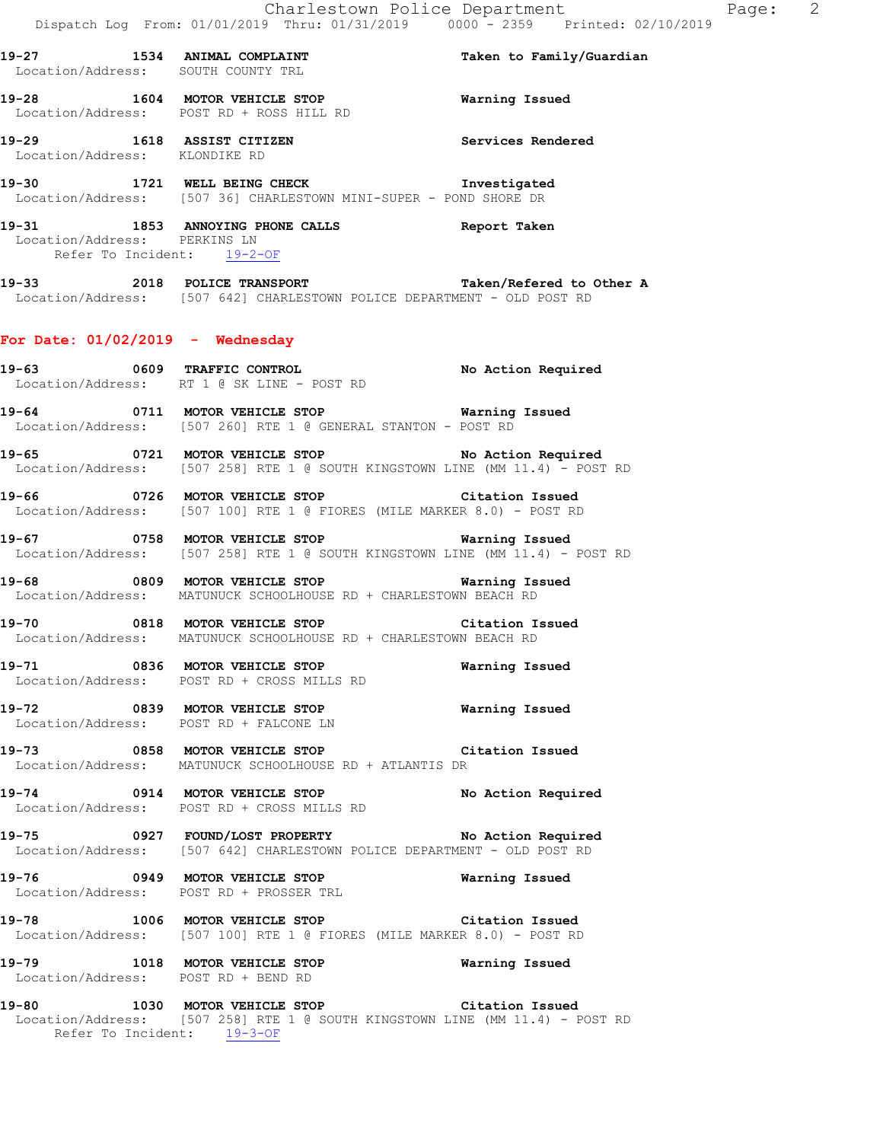**19-27 1534 ANIMAL COMPLAINT Taken to Family/Guardian**  Location/Address: SOUTH COUNTY TRL **19-28 1604 MOTOR VEHICLE STOP Warning Issued**  Location/Address: POST RD + ROSS HILL RD **19-29 1618 ASSIST CITIZEN Services Rendered**  Location/Address: KLONDIKE RD **19-30 1721 WELL BEING CHECK Investigated**  Location/Address: [507 36] CHARLESTOWN MINI-SUPER - POND SHORE DR **19-31 1853 ANNOYING PHONE CALLS Report Taken**  Location/Address: PERKINS LN Refer To Incident: 19-2-OF **19-33 2018 POLICE TRANSPORT Taken/Refered to Other A**  Location/Address: [507 642] CHARLESTOWN POLICE DEPARTMENT - OLD POST RD **For Date: 01/02/2019 - Wednesday 19-63 0609 TRAFFIC CONTROL No Action Required**  Location/Address: RT 1 @ SK LINE - POST RD **19-64 0711 MOTOR VEHICLE STOP Warning Issued**  Location/Address: [507 260] RTE 1 @ GENERAL STANTON - POST RD **19-65 0721 MOTOR VEHICLE STOP No Action Required**  Location/Address: [507 258] RTE 1 @ SOUTH KINGSTOWN LINE (MM 11.4) - POST RD **19-66 0726 MOTOR VEHICLE STOP Citation Issued**  Location/Address: [507 100] RTE 1 @ FIORES (MILE MARKER 8.0) - POST RD **19-67 0758 MOTOR VEHICLE STOP Warning Issued**  Location/Address: [507 258] RTE 1 @ SOUTH KINGSTOWN LINE (MM 11.4) - POST RD **19-68 0809 MOTOR VEHICLE STOP Warning Issued**  Location/Address: MATUNUCK SCHOOLHOUSE RD + CHARLESTOWN BEACH RD **19-70 0818 MOTOR VEHICLE STOP Citation Issued**  Location/Address: MATUNUCK SCHOOLHOUSE RD + CHARLESTOWN BEACH RD **19-71 0836 MOTOR VEHICLE STOP Warning Issued**  Location/Address: POST RD + CROSS MILLS RD **19-72 0839 MOTOR VEHICLE STOP Warning Issued**  Location/Address: POST RD + FALCONE LN **19-73 0858 MOTOR VEHICLE STOP Citation Issued**  Location/Address: MATUNUCK SCHOOLHOUSE RD + ATLANTIS DR **19-74 0914 MOTOR VEHICLE STOP No Action Required**  Location/Address: POST RD + CROSS MILLS RD **19-75 0927 FOUND/LOST PROPERTY No Action Required**  Location/Address: [507 642] CHARLESTOWN POLICE DEPARTMENT - OLD POST RD **19-76 0949 MOTOR VEHICLE STOP Warning Issued**  Location/Address: POST RD + PROSSER TRL **19-78 1006 MOTOR VEHICLE STOP Citation Issued**  Location/Address: [507 100] RTE 1 @ FIORES (MILE MARKER 8.0) - POST RD **19-79 1018 MOTOR VEHICLE STOP Warning Issued**  Location/Address: POST RD + BEND RD **19-80 1030 MOTOR VEHICLE STOP Citation Issued**  Location/Address: [507 258] RTE 1 @ SOUTH KINGSTOWN LINE (MM 11.4) - POST RD Refer To Incident: 19-3-OF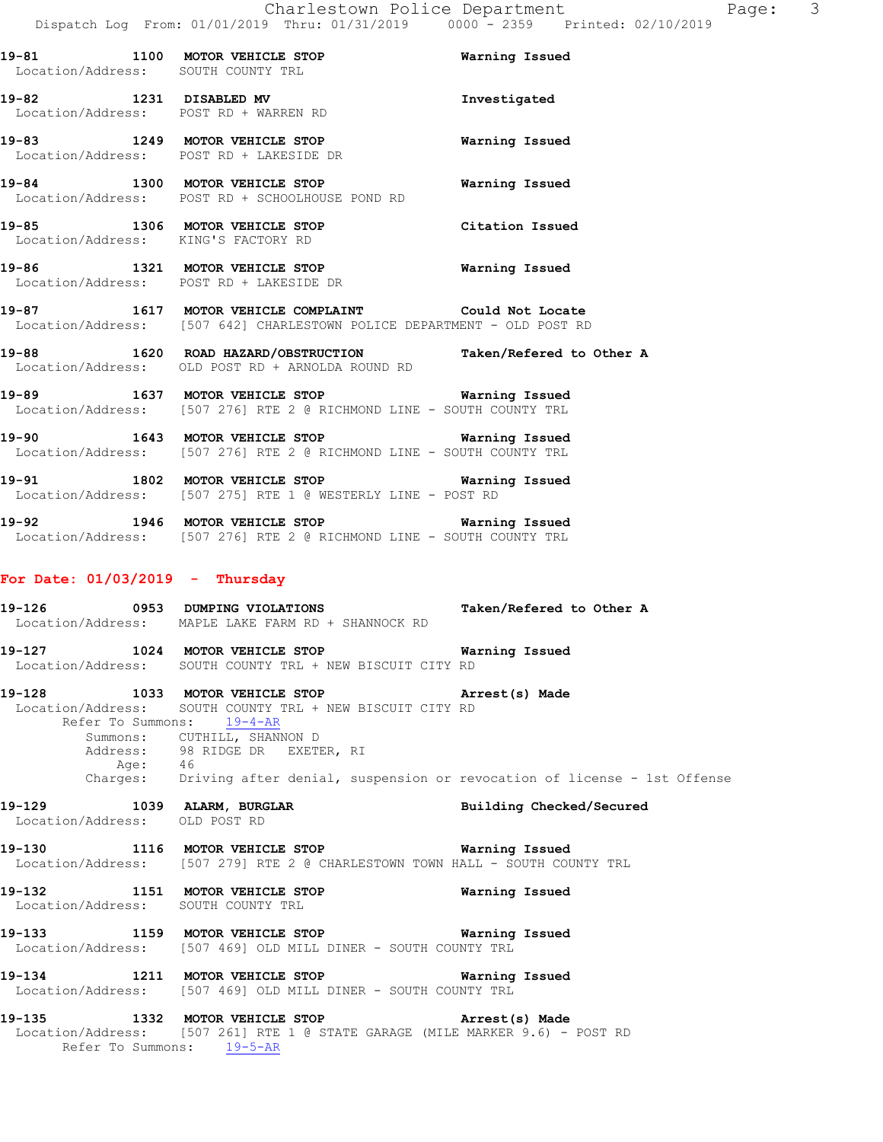**19-82 1231 DISABLED MV Investigated**  Location/Address: POST RD + WARREN RD **19-83 1249 MOTOR VEHICLE STOP Warning Issued**  Location/Address: POST RD + LAKESIDE DR **19-84 1300 MOTOR VEHICLE STOP Warning Issued**  Location/Address: POST RD + SCHOOLHOUSE POND RD **19-85 1306 MOTOR VEHICLE STOP Citation Issued**  Location/Address: KING'S FACTORY RD **19-86 1321 MOTOR VEHICLE STOP Warning Issued**  Location/Address: POST RD + LAKESIDE DR **19-87 1617 MOTOR VEHICLE COMPLAINT Could Not Locate**  Location/Address: [507 642] CHARLESTOWN POLICE DEPARTMENT - OLD POST RD **19-88 1620 ROAD HAZARD/OBSTRUCTION Taken/Refered to Other A** 

Location/Address: OLD POST RD + ARNOLDA ROUND RD

**19-89 1637 MOTOR VEHICLE STOP Warning Issued**  Location/Address: [507 276] RTE 2 @ RICHMOND LINE - SOUTH COUNTY TRL

**19-90 1643 MOTOR VEHICLE STOP Warning Issued**  Location/Address: [507 276] RTE 2 @ RICHMOND LINE - SOUTH COUNTY TRL

**19-91 1802 MOTOR VEHICLE STOP Warning Issued**  Location/Address: [507 275] RTE 1 @ WESTERLY LINE - POST RD

**19-92 1946 MOTOR VEHICLE STOP Warning Issued**  Location/Address: [507 276] RTE 2 @ RICHMOND LINE - SOUTH COUNTY TRL

### **For Date: 01/03/2019 - Thursday**

**19-126 0953 DUMPING VIOLATIONS Taken/Refered to Other A**  Location/Address: MAPLE LAKE FARM RD + SHANNOCK RD **19-127 1024 MOTOR VEHICLE STOP Warning Issued**  Location/Address: SOUTH COUNTY TRL + NEW BISCUIT CITY RD **19-128 1033 MOTOR VEHICLE STOP Arrest(s) Made**  Location/Address: SOUTH COUNTY TRL + NEW BISCUIT CITY RD Refer To Summons: 19-4-AR Summons: CUTHILL, SHANNON D Address: 98 RIDGE DR EXETER, RI Age: 46 Charges: Driving after denial, suspension or revocation of license - 1st Offense **19-129 1039 ALARM, BURGLAR Building Checked/Secured**  Location/Address: OLD POST RD **19-130 1116 MOTOR VEHICLE STOP Warning Issued**  Location/Address: [507 279] RTE 2 @ CHARLESTOWN TOWN HALL - SOUTH COUNTY TRL **19-132 1151 MOTOR VEHICLE STOP Warning Issued**  Location/Address: SOUTH COUNTY TRL

**19-133 1159 MOTOR VEHICLE STOP Warning Issued**  Location/Address: [507 469] OLD MILL DINER - SOUTH COUNTY TRL

**19-134 1211 MOTOR VEHICLE STOP Warning Issued**  Location/Address: [507 469] OLD MILL DINER - SOUTH COUNTY TRL

**19-135 1332 MOTOR VEHICLE STOP Arrest(s) Made**  Location/Address: [507 261] RTE 1 @ STATE GARAGE (MILE MARKER 9.6) - POST RD Refer To Summons: 19-5-AR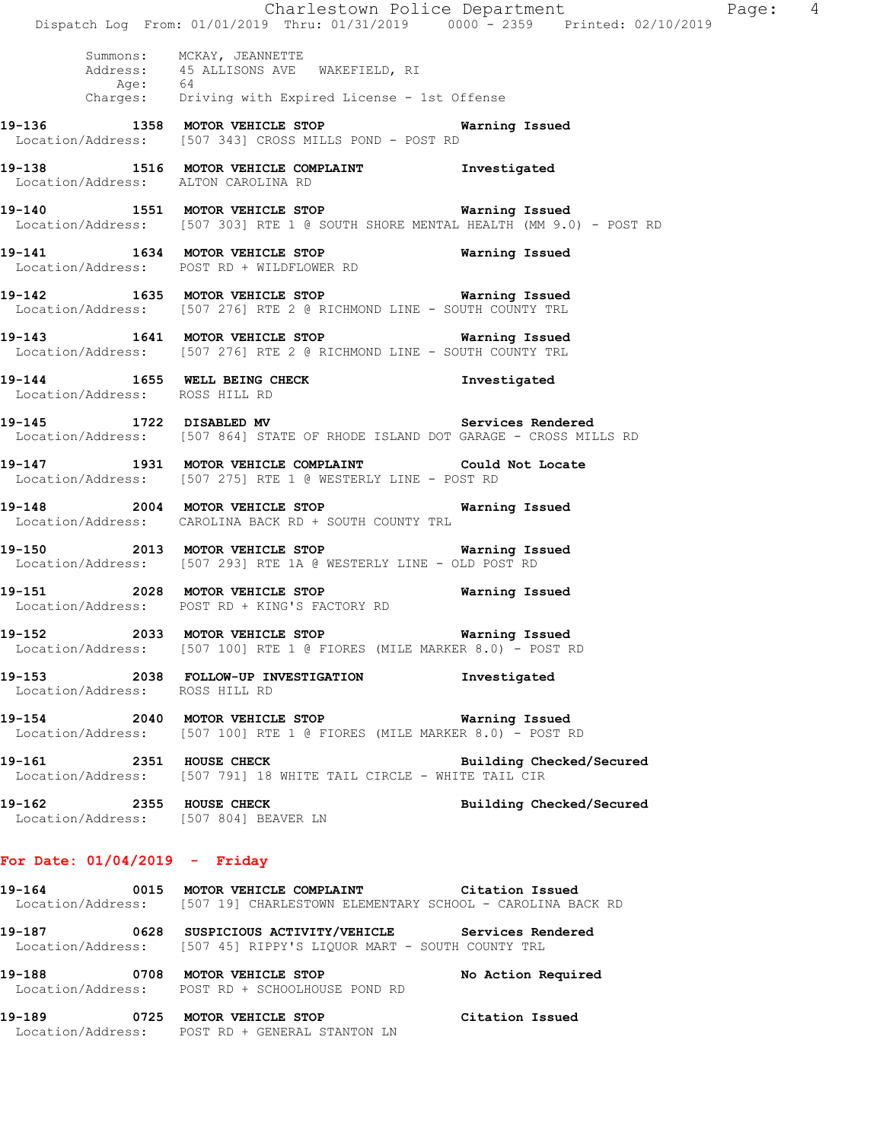|                                                                  | Dispatch Log From: 01/01/2019 Thru: 01/31/2019 0000 - 2359 Printed: 02/10/2019                                                        | Charlestown Police Department<br>Page: 4 |  |
|------------------------------------------------------------------|---------------------------------------------------------------------------------------------------------------------------------------|------------------------------------------|--|
|                                                                  | Summons: MCKAY, JEANNETTE<br>Address: 45 ALLISONS AVE WAKEFIELD, RI<br>Age: 64<br>Charges: Driving with Expired License - 1st Offense |                                          |  |
|                                                                  | 19-136 1358 MOTOR VEHICLE STOP 6 Warning Issued<br>Location/Address: [507 343] CROSS MILLS POND - POST RD                             |                                          |  |
| Location/Address: ALTON CAROLINA RD                              | 19-138 1516 MOTOR VEHICLE COMPLAINT 1nvestigated                                                                                      |                                          |  |
|                                                                  | 19-140 1551 MOTOR VEHICLE STOP 6 Warning Issued<br>Location/Address: [507 303] RTE 1 @ SOUTH SHORE MENTAL HEALTH (MM 9.0) - POST RD   |                                          |  |
|                                                                  | 19-141 1634 MOTOR VEHICLE STOP Warning Issued<br>Location/Address: POST RD + WILDFLOWER RD                                            |                                          |  |
|                                                                  | 19-142 1635 MOTOR VEHICLE STOP <b>WATER</b> Warning Issued<br>Location/Address: [507 276] RTE 2 @ RICHMOND LINE - SOUTH COUNTY TRL    |                                          |  |
|                                                                  | 19-143 1641 MOTOR VEHICLE STOP 6 Warning Issued<br>Location/Address: [507 276] RTE 2 @ RICHMOND LINE - SOUTH COUNTY TRL               |                                          |  |
| Location/Address: ROSS HILL RD                                   | 19-144 1655 WELL BEING CHECK 1nvestigated                                                                                             |                                          |  |
|                                                                  | 19-145 1722 DISABLED MV<br>Location/Address: [507 864] STATE OF RHODE ISLAND DOT GARAGE - CROSS MILLS RD                              | Services Rendered                        |  |
|                                                                  | 19-147 1931 MOTOR VEHICLE COMPLAINT Could Not Locate<br>Location/Address: [507 275] RTE 1 @ WESTERLY LINE - POST RD                   |                                          |  |
|                                                                  | 19-148 2004 MOTOR VEHICLE STOP<br>Location/Address: CAROLINA BACK RD + SOUTH COUNTY TRL                                               | Warning Issued                           |  |
|                                                                  | Location/Address: [507 293] RTE 1A @ WESTERLY LINE - OLD POST RD                                                                      |                                          |  |
|                                                                  | 19-151 2028 MOTOR VEHICLE STOP<br>Location/Address: POST RD + KING'S FACTORY RD                                                       | Warning Issued                           |  |
|                                                                  | 19-152 			 2033 MOTOR VEHICLE STOP 				 Warning Issued<br>Location/Address: [507 100] RTE 1 @ FIORES (MILE MARKER 8.0) - POST RD      |                                          |  |
| Location/Address: ROSS HILL RD                                   | 19-153 2038 FOLLOW-UP INVESTIGATION Threstigated                                                                                      |                                          |  |
|                                                                  | 19-154 2040 MOTOR VEHICLE STOP <b>WATNING</b> Issued<br>Location/Address: [507 100] RTE 1 @ FIORES (MILE MARKER 8.0) - POST RD        |                                          |  |
| 19-161 2351 HOUSE CHECK                                          | Location/Address: [507 791] 18 WHITE TAIL CIRCLE - WHITE TAIL CIR                                                                     | Building Checked/Secured                 |  |
| 19-162 2355 HOUSE CHECK<br>Location/Address: [507 804] BEAVER LN |                                                                                                                                       | Building Checked/Secured                 |  |
| For Date: $01/04/2019$ - Friday                                  |                                                                                                                                       |                                          |  |
|                                                                  | 19-164 6015 MOTOR VEHICLE COMPLAINT Citation Issued<br>Location/Address: [507 19] CHARLESTOWN ELEMENTARY SCHOOL - CAROLINA BACK RD    |                                          |  |
|                                                                  | 19-187 		 0628 SUSPICIOUS ACTIVITY/VEHICLE Services Rendered<br>Location/Address: [507 45] RIPPY'S LIQUOR MART - SOUTH COUNTY TRL     |                                          |  |
| 19-188                                                           | 0708 MOTOR VEHICLE STOP                                                                                                               | No Action Required                       |  |

**19-189 0725 MOTOR VEHICLE STOP Citation Issued**  Location/Address: POST RD + GENERAL STANTON LN

Location/Address: POST RD + SCHOOLHOUSE POND RD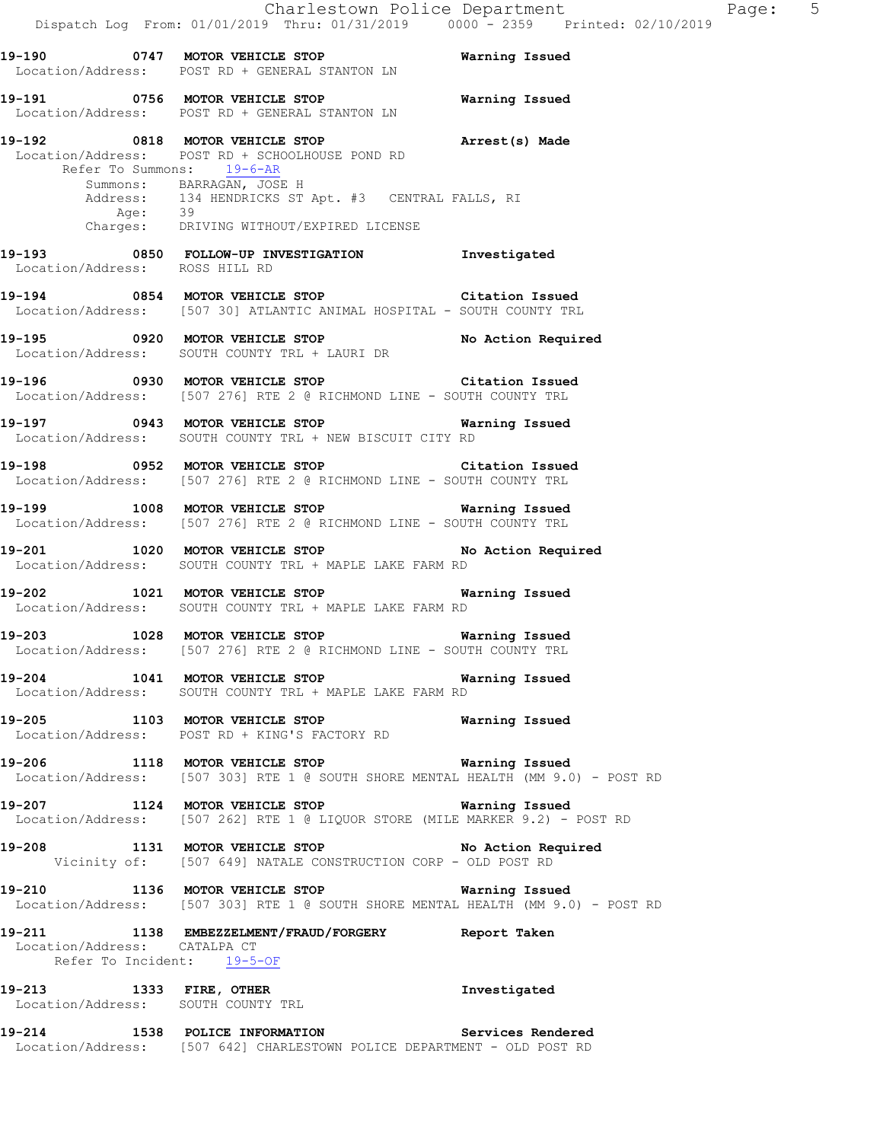**19-190 0747 MOTOR VEHICLE STOP Warning Issued**  Location/Address: POST RD + GENERAL STANTON LN **19-191 0756 MOTOR VEHICLE STOP Warning Issued**  Location/Address: POST RD + GENERAL STANTON LN **19-192 0818 MOTOR VEHICLE STOP Arrest(s) Made**  Location/Address: POST RD + SCHOOLHOUSE POND RD Refer To Summons: 19-6-AR Summons: BARRAGAN, JOSE H Address: 134 HENDRICKS ST Apt. #3 CENTRAL FALLS, RI Age: 39 Charges: DRIVING WITHOUT/EXPIRED LICENSE **19-193 0850 FOLLOW-UP INVESTIGATION Investigated**  Location/Address: ROSS HILL RD **19-194 0854 MOTOR VEHICLE STOP Citation Issued**  Location/Address: [507 30] ATLANTIC ANIMAL HOSPITAL - SOUTH COUNTY TRL **19-195 0920 MOTOR VEHICLE STOP No Action Required**  Location/Address: SOUTH COUNTY TRL + LAURI DR **19-196 0930 MOTOR VEHICLE STOP Citation Issued**  Location/Address: [507 276] RTE 2 @ RICHMOND LINE - SOUTH COUNTY TRL **19-197 0943 MOTOR VEHICLE STOP Warning Issued**  Location/Address: SOUTH COUNTY TRL + NEW BISCUIT CITY RD **19-198 0952 MOTOR VEHICLE STOP Citation Issued**  Location/Address: [507 276] RTE 2 @ RICHMOND LINE - SOUTH COUNTY TRL **19-199 1008 MOTOR VEHICLE STOP Warning Issued**  Location/Address: [507 276] RTE 2 @ RICHMOND LINE - SOUTH COUNTY TRL **19-201 1020 MOTOR VEHICLE STOP No Action Required**  Location/Address: SOUTH COUNTY TRL + MAPLE LAKE FARM RD **19-202 1021 MOTOR VEHICLE STOP Warning Issued**  Location/Address: SOUTH COUNTY TRL + MAPLE LAKE FARM RD **19-203 1028 MOTOR VEHICLE STOP Warning Issued**  Location/Address: [507 276] RTE 2 @ RICHMOND LINE - SOUTH COUNTY TRL **19-204 1041 MOTOR VEHICLE STOP Warning Issued**  Location/Address: SOUTH COUNTY TRL + MAPLE LAKE FARM RD **19-205 1103 MOTOR VEHICLE STOP Warning Issued** Location/Address: POST RD + KING'S FACTORY RD Location/Address: POST RD + KING'S FACTORY RD **19-206 1118 MOTOR VEHICLE STOP Warning Issued**  Location/Address: [507 303] RTE 1 @ SOUTH SHORE MENTAL HEALTH (MM 9.0) - POST RD

**19-207 1124 MOTOR VEHICLE STOP Warning Issued**  Location/Address: [507 262] RTE 1 @ LIQUOR STORE (MILE MARKER 9.2) - POST RD

**19-208 1131 MOTOR VEHICLE STOP No Action Required**  Vicinity of: [507 649] NATALE CONSTRUCTION CORP - OLD POST RD

**19-210 1136 MOTOR VEHICLE STOP Warning Issued**  Location/Address: [507 303] RTE 1 @ SOUTH SHORE MENTAL HEALTH (MM 9.0) - POST RD

**19-211 1138 EMBEZZELMENT/FRAUD/FORGERY Report Taken**  Location/Address: CATALPA CT Refer To Incident: 19-5-OF

**19-213 1333 FIRE, OTHER Investigated**  Location/Address: SOUTH COUNTY TRL

**19-214 1538 POLICE INFORMATION Services Rendered**  Location/Address: [507 642] CHARLESTOWN POLICE DEPARTMENT - OLD POST RD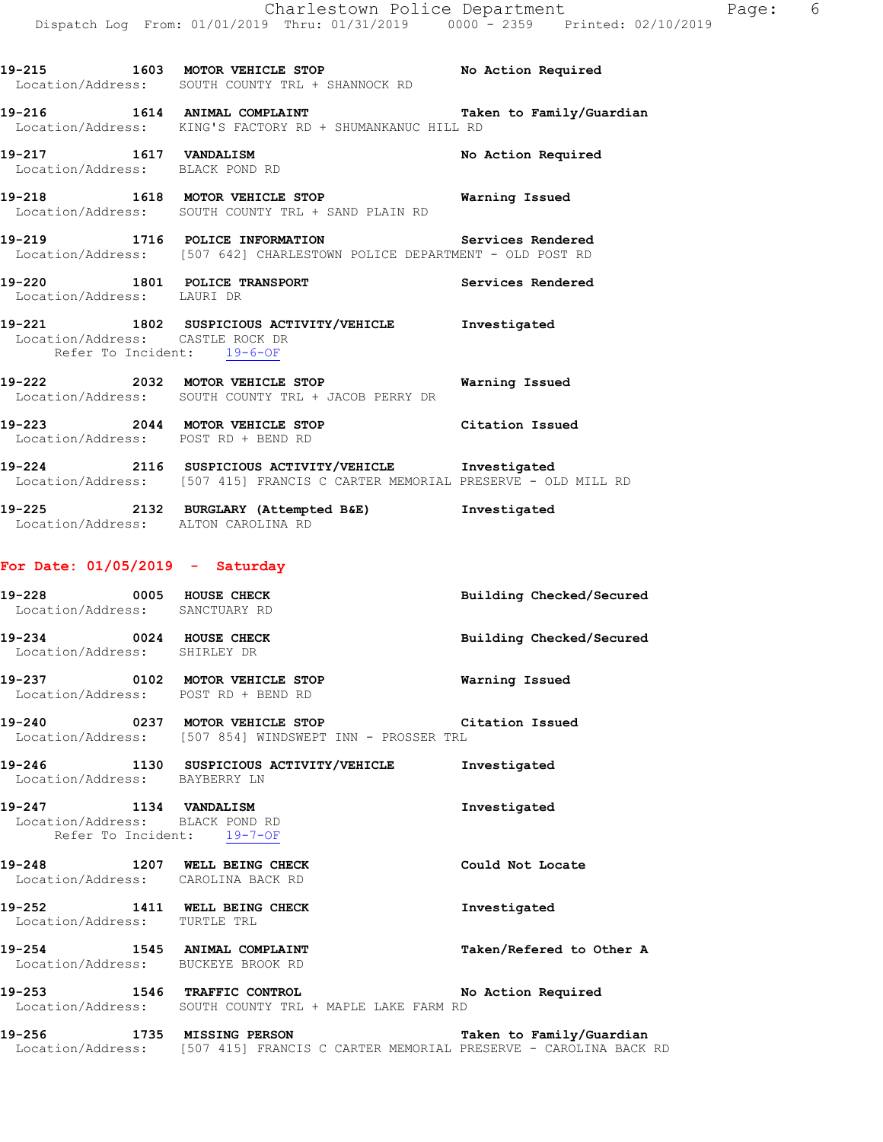|                                                                | 19-215 1603 MOTOR VEHICLE STOP No Action Required<br>Location/Address: SOUTH COUNTY TRL + SHANNOCK RD                       |                    |
|----------------------------------------------------------------|-----------------------------------------------------------------------------------------------------------------------------|--------------------|
|                                                                | 19-216 1614 ANIMAL COMPLAINT 1 Taken to Family/Guardian<br>Location/Address: KING'S FACTORY RD + SHUMANKANUC HILL RD        |                    |
| Location/Address: BLACK POND RD                                | 19-217 1617 VANDALISM                                                                                                       | No Action Required |
|                                                                | 19-218 1618 MOTOR VEHICLE STOP <b>WATNING</b> Issued<br>Location/Address: SOUTH COUNTY TRL + SAND PLAIN RD                  |                    |
|                                                                | 19-219 1716 POLICE INFORMATION Services Rendered<br>Location/Address: [507 642] CHARLESTOWN POLICE DEPARTMENT - OLD POST RD |                    |
| Location/Address: LAURI DR                                     | 19-220 1801 POLICE TRANSPORT Services Rendered                                                                              |                    |
| Location/Address: CASTLE ROCK DR<br>Refer To Incident: 19-6-OF | 19-221 1802 SUSPICIOUS ACTIVITY/VEHICLE Investigated                                                                        |                    |
|                                                                | Location/Address: SOUTH COUNTY TRL + JACOB PERRY DR                                                                         |                    |
| Location/Address: POST RD + BEND RD                            | 19-223 2044 MOTOR VEHICLE STOP Citation Issued                                                                              |                    |
|                                                                |                                                                                                                             |                    |

**19-224 2116 SUSPICIOUS ACTIVITY/VEHICLE Investigated**  Location/Address: [507 415] FRANCIS C CARTER MEMORIAL PRESERVE - OLD MILL RD

**19-225 2132 BURGLARY (Attempted B&E) Investigated**  Location/Address: ALTON CAROLINA RD

#### **For Date: 01/05/2019 - Saturday**

Location/Address: BUCKEYE BROOK RD

| 19–228<br>Location/Address: | 0005 | HOUSE CHECK<br>SANCTUARY RD | Building Checked/Secured |
|-----------------------------|------|-----------------------------|--------------------------|
| 19-234<br>Location/Address: | 0024 | HOUSE CHECK<br>SHIRLEY DR   | Building Checked/Secured |

**19-237 0102 MOTOR VEHICLE STOP Warning Issued**  Location/Address: POST RD + BEND RD

**19-240 0237 MOTOR VEHICLE STOP Citation Issued**  Location/Address: [507 854] WINDSWEPT INN - PROSSER TRL

**19-246 1130 SUSPICIOUS ACTIVITY/VEHICLE Investigated**  Location/Address: BAYBERRY LN

**19-247 1134 VANDALISM Investigated**  Location/Address: BLACK POND RD Refer To Incident: 19-7-OF

**19-248 1207 WELL BEING CHECK Could Not Locate**  Location/Address: CAROLINA BACK RD **19-252 1411 WELL BEING CHECK Investigated**  Location/Address: TURTLE TRL **19-254 1545 ANIMAL COMPLAINT Taken/Refered to Other A** 

**19-253 1546 TRAFFIC CONTROL No Action Required**  Location/Address: SOUTH COUNTY TRL + MAPLE LAKE FARM RD

**19-256 1735 MISSING PERSON Taken to Family/Guardian**  Location/Address: [507 415] FRANCIS C CARTER MEMORIAL PRESERVE - CAROLINA BACK RD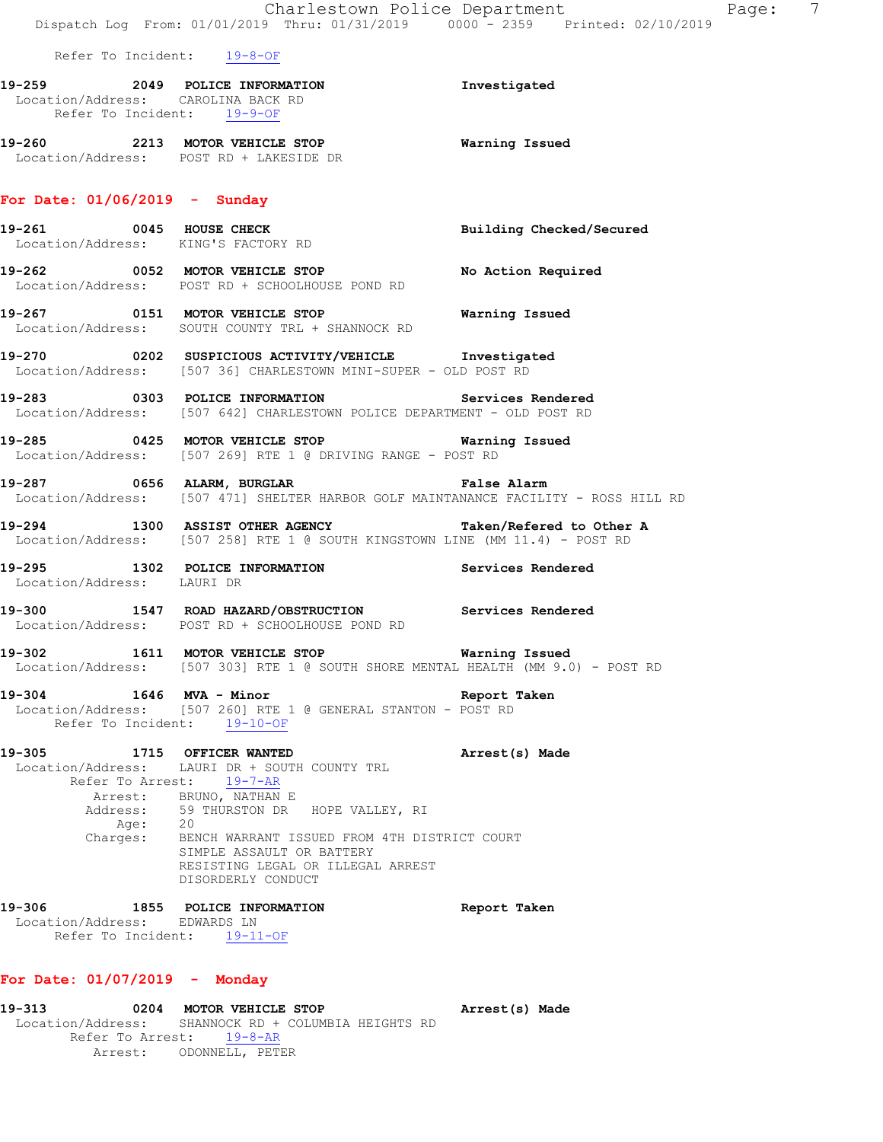|                                                                       | Dispatch Log From: 01/01/2019 Thru: 01/31/2019 0000 - 2359 Printed: 02/10/2019                                                                                |                          |
|-----------------------------------------------------------------------|---------------------------------------------------------------------------------------------------------------------------------------------------------------|--------------------------|
| Refer To Incident: 19-8-OF                                            |                                                                                                                                                               |                          |
| Refer To Incident: 19-9-OF                                            |                                                                                                                                                               | Investigated             |
|                                                                       | 19-260 2213 MOTOR VEHICLE STOP <b>Warning Issued</b><br>Location/Address: POST RD + LAKESIDE DR                                                               |                          |
| For Date: $01/06/2019$ - Sunday                                       |                                                                                                                                                               |                          |
| Location/Address: KING'S FACTORY RD                                   | 19-261 0045 HOUSE CHECK                                                                                                                                       | Building Checked/Secured |
|                                                                       | 19-262 0052 MOTOR VEHICLE STOP No Action Required<br>Location/Address: POST RD + SCHOOLHOUSE POND RD                                                          |                          |
|                                                                       | 19-267 <b>19-267</b> 0151 MOTOR VEHICLE STOP <b>19-267</b> Warning Issued<br>Location/Address: SOUTH COUNTY TRL + SHANNOCK RD                                 |                          |
|                                                                       | 19-270 0202 SUSPICIOUS ACTIVITY/VEHICLE <b>Investigated</b><br>Location/Address: [507 36] CHARLESTOWN MINI-SUPER - OLD POST RD                                |                          |
|                                                                       | 19-283 0303 POLICE INFORMATION Services Rendered<br>Location/Address: [507 642] CHARLESTOWN POLICE DEPARTMENT - OLD POST RD                                   |                          |
|                                                                       | Location/Address: [507 269] RTE 1 @ DRIVING RANGE - POST RD                                                                                                   |                          |
|                                                                       | 19-287       0656 ALARM, BURGLAR            False Alarm<br>Location/Address:   [507-471] SHELTER HARBOR GOLF MAINTANANCE FACILITY - ROSS HILL RD              |                          |
|                                                                       | 19-294 1300 ASSIST OTHER AGENCY<br>Location/Address: [507 258] RTE 1 @ SOUTH KINGSTOWN LINE (MM 11.4) - POST RD                                               | Taken/Refered to Other A |
| Location/Address: LAURI DR                                            | 19-295 1302 POLICE INFORMATION Services Rendered                                                                                                              |                          |
|                                                                       | 19-300 1547 ROAD HAZARD/OBSTRUCTION Services Rendered<br>Location/Address: POST RD + SCHOOLHOUSE POND RD                                                      |                          |
| 19-302 1611 MOTOR VEHICLE STOP                                        | Location/Address: [507 303] RTE 1 @ SOUTH SHORE MENTAL HEALTH (MM 9.0) - POST RD                                                                              | Warning Issued           |
| 19-304<br>Refer To Incident: 19-10-OF                                 | 1646 MVA - Minor<br>Location/Address: [507 260] RTE 1 @ GENERAL STANTON - POST RD                                                                             | Report Taken             |
| 19-305<br>Address:<br>Age: 20                                         | 1715 OFFICER WANTED<br>Location/Address: LAURI DR + SOUTH COUNTY TRL<br>Refer To Arrest: 19-7-AR<br>Arrest: BRUNO, NATHAN E<br>59 THURSTON DR HOPE VALLEY, RI | Arrest(s) Made           |
|                                                                       | Charges: BENCH WARRANT ISSUED FROM 4TH DISTRICT COURT<br>SIMPLE ASSAULT OR BATTERY<br>RESISTING LEGAL OR ILLEGAL ARREST<br>DISORDERLY CONDUCT                 |                          |
| 19-306<br>Location/Address: EDWARDS LN<br>Refer To Incident: 19-11-OF | 1855 POLICE INFORMATION                                                                                                                                       | Report Taken             |

# **For Date: 01/07/2019 - Monday**

**19-313 0204 MOTOR VEHICLE STOP Arrest(s) Made**  Location/Address: SHANNOCK RD + COLUMBIA HEIGHTS RD Refer To Arrest: 19-8-AR Arrest: ODONNELL, PETER

Charlestown Police Department Fage: 7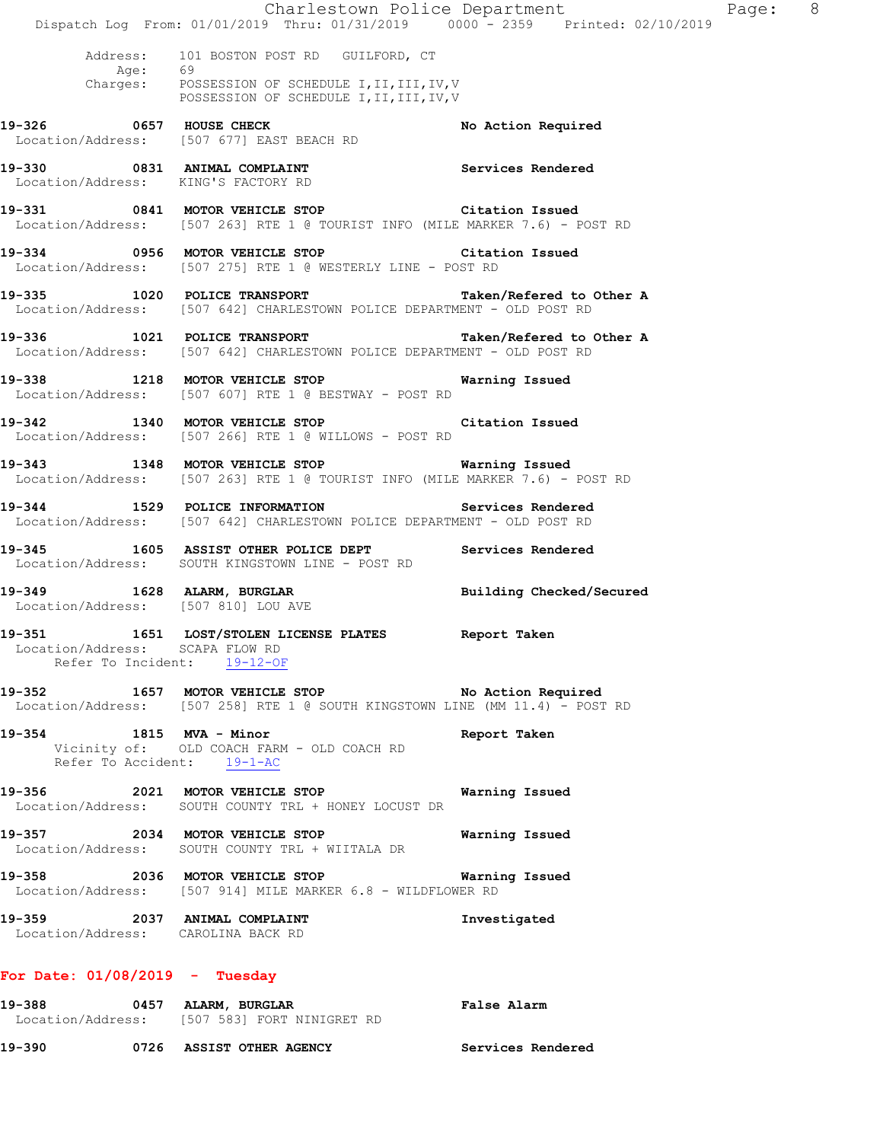|                                                                    | Dispatch Log From: 01/01/2019 Thru: 01/31/2019 0000 - 2359 Printed: 02/10/2019                                                                       | Charlestown Police Department | Page: 8 |  |
|--------------------------------------------------------------------|------------------------------------------------------------------------------------------------------------------------------------------------------|-------------------------------|---------|--|
|                                                                    | Address: 101 BOSTON POST RD GUILFORD, CT<br>Age: 69<br>Charges: POSSESSION OF SCHEDULE I, II, III, IV, V<br>POSSESSION OF SCHEDULE I, II, III, IV, V |                               |         |  |
|                                                                    | 19-326 0657 HOUSE CHECK<br>Location/Address: [507 677] EAST BEACH RD                                                                                 | No Action Required            |         |  |
| Location/Address: KING'S FACTORY RD                                | 19-330 0831 ANIMAL COMPLAINT Services Rendered                                                                                                       |                               |         |  |
|                                                                    | 19-331 0841 MOTOR VEHICLE STOP Citation Issued<br>Location/Address: [507 263] RTE 1 @ TOURIST INFO (MILE MARKER 7.6) - POST RD                       |                               |         |  |
|                                                                    | 19-334 0956 MOTOR VEHICLE STOP Citation Issued<br>Location/Address: [507 275] RTE 1 @ WESTERLY LINE - POST RD                                        |                               |         |  |
|                                                                    | 19-335 1020 POLICE TRANSPORT Taken/Refered to Other A<br>Location/Address: [507 642] CHARLESTOWN POLICE DEPARTMENT - OLD POST RD                     |                               |         |  |
|                                                                    | 19-336 1021 POLICE TRANSPORT<br>Location/Address: [507 642] CHARLESTOWN POLICE DEPARTMENT - OLD POST RD                                              | Taken/Refered to Other A      |         |  |
|                                                                    | 19-338 1218 MOTOR VEHICLE STOP 6 Warning Issued<br>Location/Address: [507 607] RTE 1 @ BESTWAY - POST RD                                             |                               |         |  |
|                                                                    | 19-342 1340 MOTOR VEHICLE STOP Citation Issued<br>Location/Address: [507 266] RTE 1 @ WILLOWS - POST RD                                              |                               |         |  |
|                                                                    | 19-343 1348 MOTOR VEHICLE STOP Warning Issued<br>Location/Address: [507 263] RTE 1 @ TOURIST INFO (MILE MARKER 7.6) - POST RD                        |                               |         |  |
|                                                                    | 19-344 1529 POLICE INFORMATION Services Rendered<br>Location/Address: [507 642] CHARLESTOWN POLICE DEPARTMENT - OLD POST RD                          |                               |         |  |
|                                                                    | 19-345 1605 ASSIST OTHER POLICE DEPT Services Rendered<br>Location/Address: SOUTH KINGSTOWN LINE - POST RD                                           |                               |         |  |
| Location/Address: [507 810] LOU AVE                                | 19-349 1628 ALARM, BURGLAR Building Checked/Secured                                                                                                  |                               |         |  |
| 19–351                                                             | 1651 LOST/STOLEN LICENSE PLATES Report Taken<br>Location/Address: SCAPA FLOW RD<br>Refer To Incident: 19-12-OF                                       |                               |         |  |
|                                                                    | 19-352 1657 MOTOR VEHICLE STOP NO Action Required<br>Location/Address: [507 258] RTE 1 @ SOUTH KINGSTOWN LINE (MM 11.4) - POST RD                    |                               |         |  |
| 19-354 1815 MVA - Minor                                            | Vicinity of: OLD COACH FARM - OLD COACH RD<br>Refer To Accident: $19-1-AC$                                                                           | Report Taken                  |         |  |
|                                                                    | 19-356 2021 MOTOR VEHICLE STOP<br>Location/Address: SOUTH COUNTY TRL + HONEY LOCUST DR                                                               | Warning Issued                |         |  |
|                                                                    | 19-357 2034 MOTOR VEHICLE STOP<br>Location/Address: SOUTH COUNTY TRL + WIITALA DR                                                                    | Warning Issued                |         |  |
|                                                                    | Location/Address: [507 914] MILE MARKER 6.8 - WILDFLOWER RD                                                                                          |                               |         |  |
| 19-359 2037 ANIMAL COMPLAINT<br>Location/Address: CAROLINA BACK RD |                                                                                                                                                      | Investigated                  |         |  |
| For Date: $01/08/2019$ - Tuesday                                   |                                                                                                                                                      |                               |         |  |
|                                                                    | 19-388 0457 ALARM, BURGLAR<br>Location/Address: [507 583] FORT NINIGRET RD                                                                           | False Alarm                   |         |  |
|                                                                    | 19-390 6726 ASSIST OTHER AGENCY Services Rendered                                                                                                    |                               |         |  |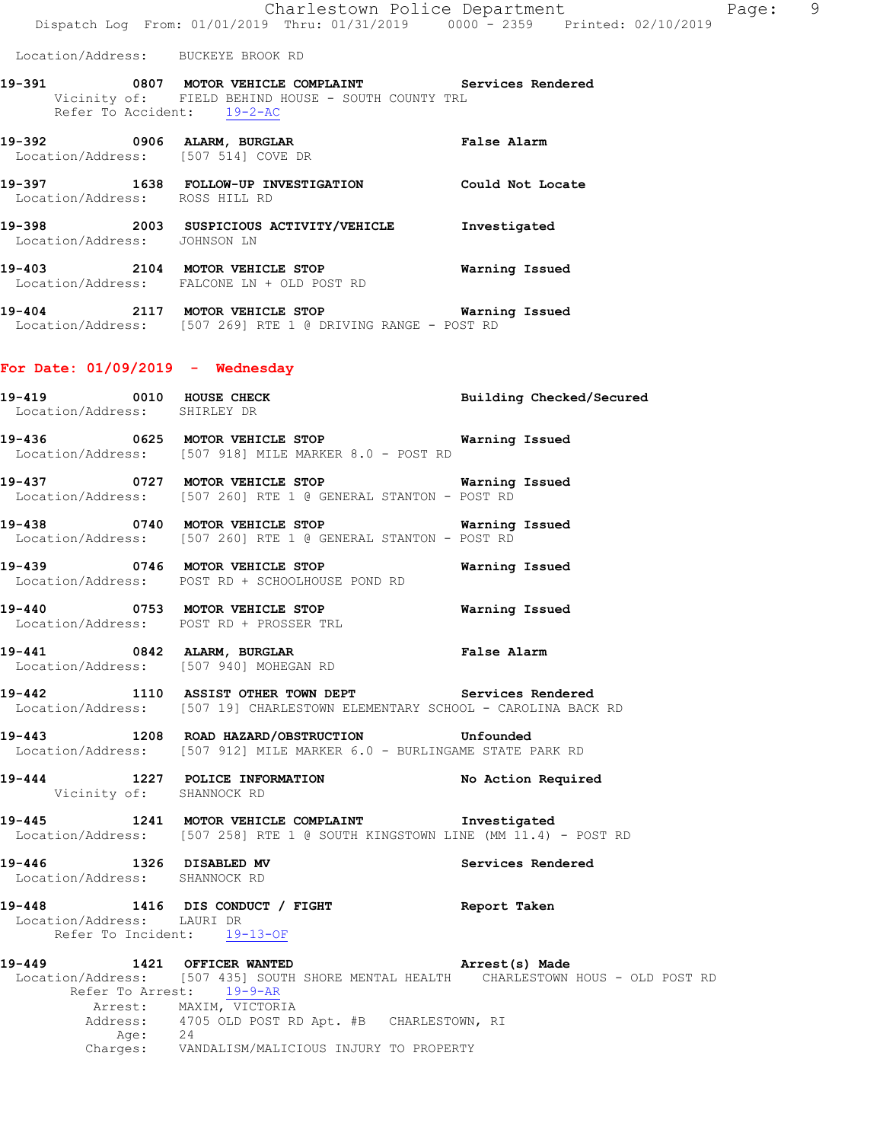Location/Address: BUCKEYE BROOK RD

- **19-391 0807 MOTOR VEHICLE COMPLAINT Services Rendered**  Vicinity of: FIELD BEHIND HOUSE - SOUTH COUNTY TRL Refer To Accident: 19-2-AC
- **19-392 0906 ALARM, BURGLAR False Alarm**  Location/Address: [507 514] COVE DR
- **19-397 1638 FOLLOW-UP INVESTIGATION Could Not Locate**  Location/Address: ROSS HILL RD
- **19-398 2003 SUSPICIOUS ACTIVITY/VEHICLE Investigated**  Location/Address: JOHNSON LN
- **19-403 2104 MOTOR VEHICLE STOP Warning Issued**  Location/Address: FALCONE LN + OLD POST RD
- **19-404 2117 MOTOR VEHICLE STOP Warning Issued**  Location/Address: [507 269] RTE 1 @ DRIVING RANGE - POST RD

# **For Date: 01/09/2019 - Wednesday**

- **19-419 0010 HOUSE CHECK Building Checked/Secured**  Location/Address: SHIRLEY DR **19-436 0625 MOTOR VEHICLE STOP Warning Issued**  Location/Address: [507 918] MILE MARKER 8.0 - POST RD
- **19-437 0727 MOTOR VEHICLE STOP Warning Issued**  Location/Address: [507 260] RTE 1 @ GENERAL STANTON - POST RD
- **19-438 0740 MOTOR VEHICLE STOP Warning Issued**  Location/Address: [507 260] RTE 1 @ GENERAL STANTON - POST RD
- **19-439 0746 MOTOR VEHICLE STOP Warning Issued**  Location/Address: POST RD + SCHOOLHOUSE POND RD
- **19-440 0753 MOTOR VEHICLE STOP Warning Issued**  Location/Address: POST RD + PROSSER TRL
- **19-441 0842 ALARM, BURGLAR False Alarm**  Location/Address: [507 940] MOHEGAN RD
- **19-442 1110 ASSIST OTHER TOWN DEPT Services Rendered**  Location/Address: [507 19] CHARLESTOWN ELEMENTARY SCHOOL - CAROLINA BACK RD
- **19-443 1208 ROAD HAZARD/OBSTRUCTION Unfounded**  Location/Address: [507 912] MILE MARKER 6.0 - BURLINGAME STATE PARK RD
- **19-444 1227 POLICE INFORMATION No Action Required**  Vicinity of: SHANNOCK RD
- **19-445 1241 MOTOR VEHICLE COMPLAINT Investigated**  Location/Address: [507 258] RTE 1 @ SOUTH KINGSTOWN LINE (MM 11.4) - POST RD
- **19-446 1326 DISABLED MV Services Rendered**  Location/Address: SHANNOCK RD

# **19-448 1416 DIS CONDUCT / FIGHT Report Taken**  Location/Address: LAURI DR Refer To Incident: 19-13-OF

**19-449 1421 OFFICER WANTED Arrest(s) Made**  Location/Address: [507 435] SOUTH SHORE MENTAL HEALTH CHARLESTOWN HOUS - OLD POST RD Refer To Arrest: 19-9-AR Arrest: MAXIM, VICTORIA Address: 4705 OLD POST RD Apt. #B CHARLESTOWN, RI Age: 24 Charges: VANDALISM/MALICIOUS INJURY TO PROPERTY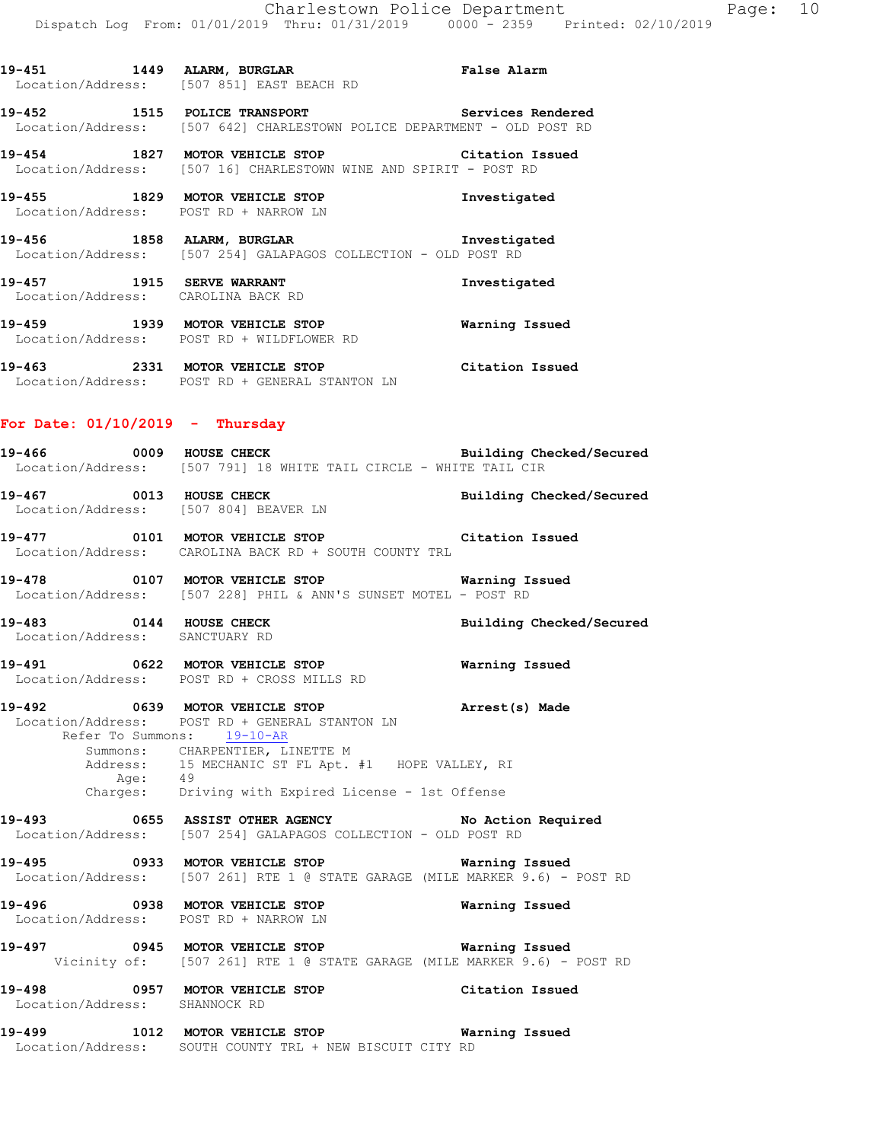**19-451 1449 ALARM, BURGLAR False Alarm**  Location/Address: [507 851] EAST BEACH RD **19-452 1515 POLICE TRANSPORT Services Rendered**  Location/Address: [507 642] CHARLESTOWN POLICE DEPARTMENT - OLD POST RD **19-454 1827 MOTOR VEHICLE STOP Citation Issued**  Location/Address: [507 16] CHARLESTOWN WINE AND SPIRIT - POST RD **19-455 1829 MOTOR VEHICLE STOP Investigated**  Location/Address: POST RD + NARROW LN **19-456 1858 ALARM, BURGLAR Investigated**  Location/Address: [507 254] GALAPAGOS COLLECTION - OLD POST RD **19-457 1915 SERVE WARRANT Investigated**  Location/Address: CAROLINA BACK RD

**19-459 1939 MOTOR VEHICLE STOP Warning Issued**  Location/Address: POST RD + WILDFLOWER RD

**19-463 2331 MOTOR VEHICLE STOP Citation Issued**  Location/Address: POST RD + GENERAL STANTON LN

#### **For Date: 01/10/2019 - Thursday**

**19-466 0009 HOUSE CHECK Building Checked/Secured**  Location/Address: [507 791] 18 WHITE TAIL CIRCLE - WHITE TAIL CIR 19-467 **0013 HOUSE CHECK Building Checked/Secured** Location/Address: [507 804] BEAVER LN

**19-477 0101 MOTOR VEHICLE STOP Citation Issued**  Location/Address: CAROLINA BACK RD + SOUTH COUNTY TRL

**19-478 0107 MOTOR VEHICLE STOP Warning Issued**  Location/Address: [507 228] PHIL & ANN'S SUNSET MOTEL - POST RD

**19-483 0144 HOUSE CHECK Building Checked/Secured**  Location/Address: SANCTUARY RD

**19-491 0622 MOTOR VEHICLE STOP Warning Issued**  Location/Address: POST RD + CROSS MILLS RD

**19-492 0639 MOTOR VEHICLE STOP Arrest(s) Made**  Location/Address: POST RD + GENERAL STANTON LN Refer To Summons: 19-10-AR Summons: CHARPENTIER, LINETTE M Address: 15 MECHANIC ST FL Apt. #1 HOPE VALLEY, RI Age: 49 Charges: Driving with Expired License - 1st Offense

**19-493 0655 ASSIST OTHER AGENCY No Action Required**  Location/Address: [507 254] GALAPAGOS COLLECTION - OLD POST RD

**19-495 0933 MOTOR VEHICLE STOP Warning Issued**  Location/Address: [507 261] RTE 1 @ STATE GARAGE (MILE MARKER 9.6) - POST RD

**19-496 0938 MOTOR VEHICLE STOP Warning Issued**  Location/Address: POST RD + NARROW LN

**19-497 0945 MOTOR VEHICLE STOP Warning Issued**  Vicinity of: [507 261] RTE 1 @ STATE GARAGE (MILE MARKER 9.6) - POST RD

**19-498 0957 MOTOR VEHICLE STOP Citation Issued**  Location/Address: SHANNOCK RD

**19-499 1012 MOTOR VEHICLE STOP Warning Issued**  Location/Address: SOUTH COUNTY TRL + NEW BISCUIT CITY RD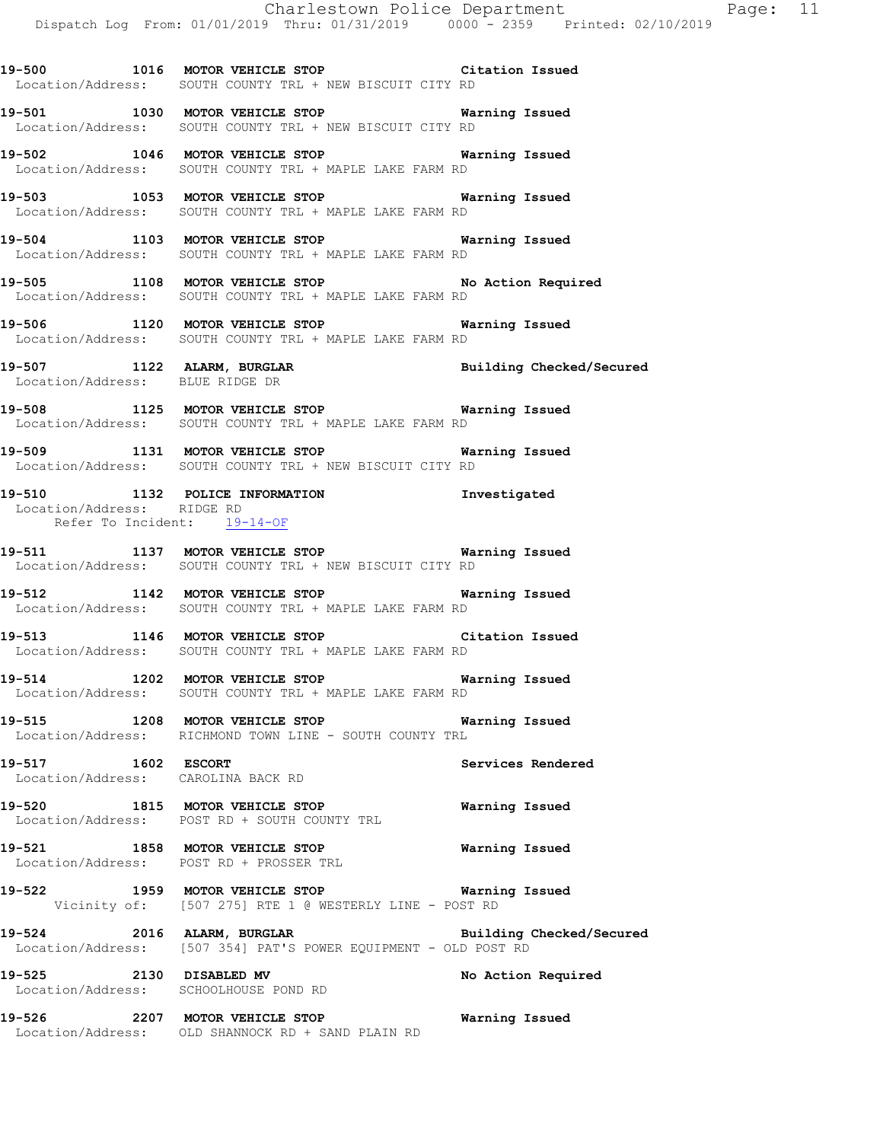**19-500 1016 MOTOR VEHICLE STOP Citation Issued**  Location/Address: SOUTH COUNTY TRL + NEW BISCUIT CITY RD

**19-501 1030 MOTOR VEHICLE STOP Warning Issued**  Location/Address: SOUTH COUNTY TRL + NEW BISCUIT CITY RD

**19-502 1046 MOTOR VEHICLE STOP Warning Issued**  Location/Address: SOUTH COUNTY TRL + MAPLE LAKE FARM RD

**19-503 1053 MOTOR VEHICLE STOP Warning Issued**  Location/Address: SOUTH COUNTY TRL + MAPLE LAKE FARM RD

**19-504 1103 MOTOR VEHICLE STOP Warning Issued**  Location/Address: SOUTH COUNTY TRL + MAPLE LAKE FARM RD

**19-505 1108 MOTOR VEHICLE STOP No Action Required**  Location/Address: SOUTH COUNTY TRL + MAPLE LAKE FARM RD

**19-506 1120 MOTOR VEHICLE STOP Warning Issued**  Location/Address: SOUTH COUNTY TRL + MAPLE LAKE FARM RD

**19-507 1122 ALARM, BURGLAR Building Checked/Secured**  Location/Address: BLUE RIDGE DR

**19-508 1125 MOTOR VEHICLE STOP Warning Issued**  Location/Address: SOUTH COUNTY TRL + MAPLE LAKE FARM RD

**19-509 1131 MOTOR VEHICLE STOP Warning Issued**  Location/Address: SOUTH COUNTY TRL + NEW BISCUIT CITY RD

**19-510 1132 POLICE INFORMATION Investigated**  Location/Address: RIDGE RD Refer To Incident: 19-14-OF

**19-511 1137 MOTOR VEHICLE STOP Warning Issued**  Location/Address: SOUTH COUNTY TRL + NEW BISCUIT CITY RD

**19-512 1142 MOTOR VEHICLE STOP Warning Issued**  Location/Address: SOUTH COUNTY TRL + MAPLE LAKE FARM RD

**19-513 1146 MOTOR VEHICLE STOP Citation Issued**  Location/Address: SOUTH COUNTY TRL + MAPLE LAKE FARM RD

**19-514 1202 MOTOR VEHICLE STOP Warning Issued**  Location/Address: SOUTH COUNTY TRL + MAPLE LAKE FARM RD

**19-515 1208 MOTOR VEHICLE STOP Warning Issued**  Location/Address: RICHMOND TOWN LINE - SOUTH COUNTY TRL

**19-517 1602 ESCORT Services Rendered**  Location/Address: CAROLINA BACK RD

**19-520 1815 MOTOR VEHICLE STOP Warning Issued**  Location/Address: POST RD + SOUTH COUNTY TRL

**19-521 1858 MOTOR VEHICLE STOP Warning Issued**  Location/Address: POST RD + PROSSER TRL

**19-522 1959 MOTOR VEHICLE STOP Warning Issued**  Vicinity of: [507 275] RTE 1 @ WESTERLY LINE - POST RD

**19-524 2016 ALARM, BURGLAR Building Checked/Secured**  Location/Address: [507 354] PAT'S POWER EQUIPMENT - OLD POST RD

**19-525 2130 DISABLED MV No Action Required**  Location/Address: SCHOOLHOUSE POND RD

**19-526 2207 MOTOR VEHICLE STOP Warning Issued**  Location/Address: OLD SHANNOCK RD + SAND PLAIN RD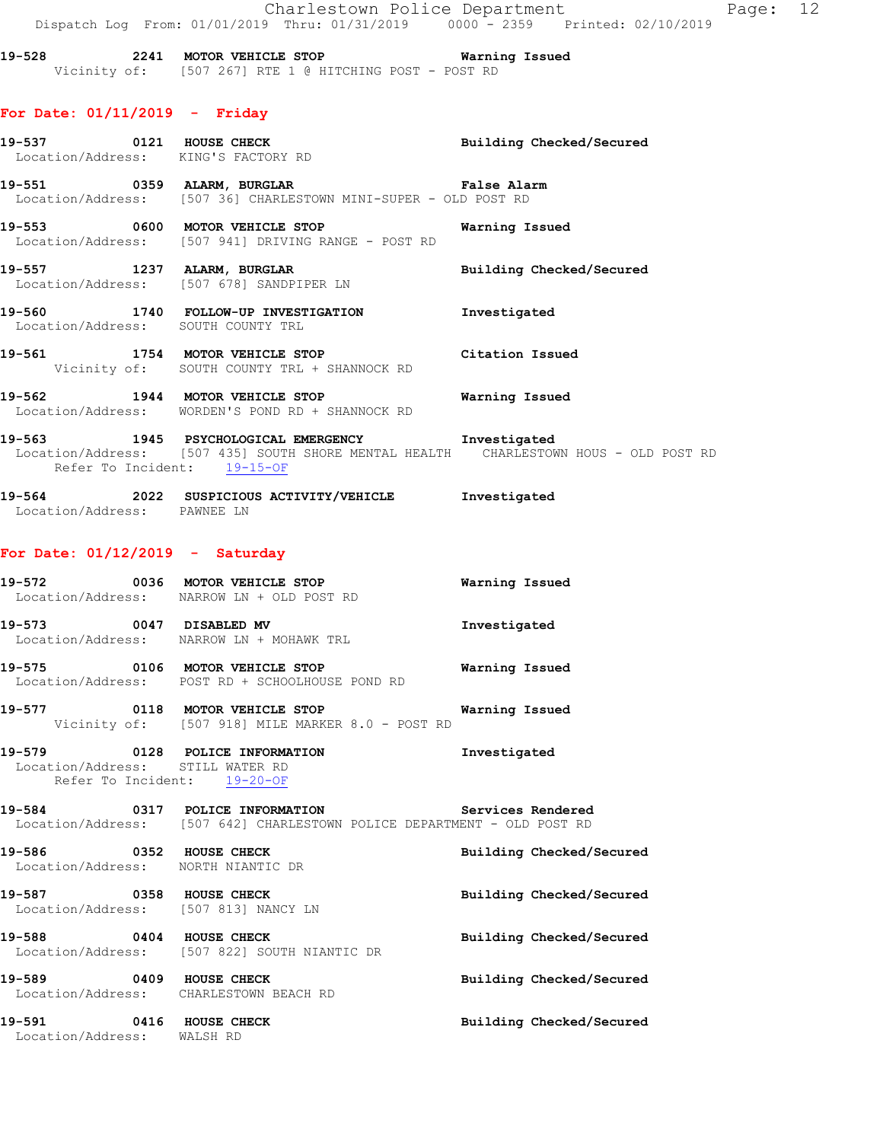Charlestown Police Department Page: 12 Dispatch Log From: 01/01/2019 Thru: 01/31/2019 0000 - 2359 Printed: 02/10/2019

**19-528 2241 MOTOR VEHICLE STOP Warning Issued**  Vicinity of: [507 267] RTE 1 @ HITCHING POST - POST RD

#### **For Date: 01/11/2019 - Friday**

|                                   | 19-537 0121 HOUSE CHECK Building Checked/Secured<br>Location/Address: KING'S FACTORY RD                                            |              |
|-----------------------------------|------------------------------------------------------------------------------------------------------------------------------------|--------------|
|                                   | 19-551 0359 ALARM, BURGLAR COMPARENT PALSE Alarm<br>Location/Address: [507 36] CHARLESTOWN MINI-SUPER - OLD POST RD                |              |
|                                   | 19-553 0600 MOTOR VEHICLE STOP 19-553 Warning Issued<br>Location/Address: [507 941] DRIVING RANGE - POST RD                        |              |
|                                   | 19-557 1237 ALARM, BURGLAR BURGLAR Building Checked/Secured<br>Location/Address: [507 678] SANDPIPER LN                            |              |
|                                   | 19-560 1740 FOLLOW-UP INVESTIGATION 1nvestigated<br>Location/Address: SOUTH COUNTY TRL                                             |              |
|                                   | 19-561 1754 MOTOR VEHICLE STOP Citation Issued<br>Vicinity of: SOUTH COUNTY TRL + SHANNOCK RD                                      |              |
|                                   | 19-562 1944 MOTOR VEHICLE STOP <b>Warning Issued</b><br>Location/Address: WORDEN'S POND RD + SHANNOCK RD                           |              |
| Refer To Incident: 19-15-OF       | 19-563 1945 PSYCHOLOGICAL EMERGENCY 19-563<br>Location/Address: [507 435] SOUTH SHORE MENTAL HEALTH CHARLESTOWN HOUS - OLD POST RD |              |
| Location/Address: PAWNEE LN       | 19-564 2022 SUSPICIOUS ACTIVITY/VEHICLE Investigated                                                                               |              |
| For Date: $01/12/2019$ - Saturday |                                                                                                                                    |              |
|                                   | 19-572 0036 MOTOR VEHICLE STOP 6 Warning Issued<br>Location/Address: NARROW LN + OLD POST RD                                       |              |
|                                   | 19-573 0047 DISABLED MV<br>Location/Address: NARROW LN + MOHAWK TRL                                                                | Investigated |

**19-575 0106 MOTOR VEHICLE STOP Warning Issued**  Location/Address: POST RD + SCHOOLHOUSE POND RD

**19-577 0118 MOTOR VEHICLE STOP Warning Issued**  Vicinity of: [507 918] MILE MARKER 8.0 - POST RD

**19-579 0128 POLICE INFORMATION Investigated**  Location/Address: STILL WATER RD Refer To Incident: 19-20-OF

**19-584 0317 POLICE INFORMATION Services Rendered**  Location/Address: [507 642] CHARLESTOWN POLICE DEPARTMENT - OLD POST RD

| 19-586<br>0352<br>Location/Address:                    | <b>HOUSE CHECK</b><br>NORTH NIANTIC DR                      | Building Checked/Secured |
|--------------------------------------------------------|-------------------------------------------------------------|--------------------------|
| 19-587<br>0358<br>Location/Address: [507 813] NANCY LN | HOUSE CHECK                                                 | Building Checked/Secured |
| 19-588<br>0404                                         | HOUSE CHECK<br>Location/Address: [507 822] SOUTH NIANTIC DR | Building Checked/Secured |
| 19-589<br>0409<br>Location/Address:                    | HOUSE CHECK<br>CHARLESTOWN BEACH RD                         | Building Checked/Secured |
| 19-591<br>0416<br>Location/Address:                    | HOUSE CHECK<br>WALSH RD                                     | Building Checked/Secured |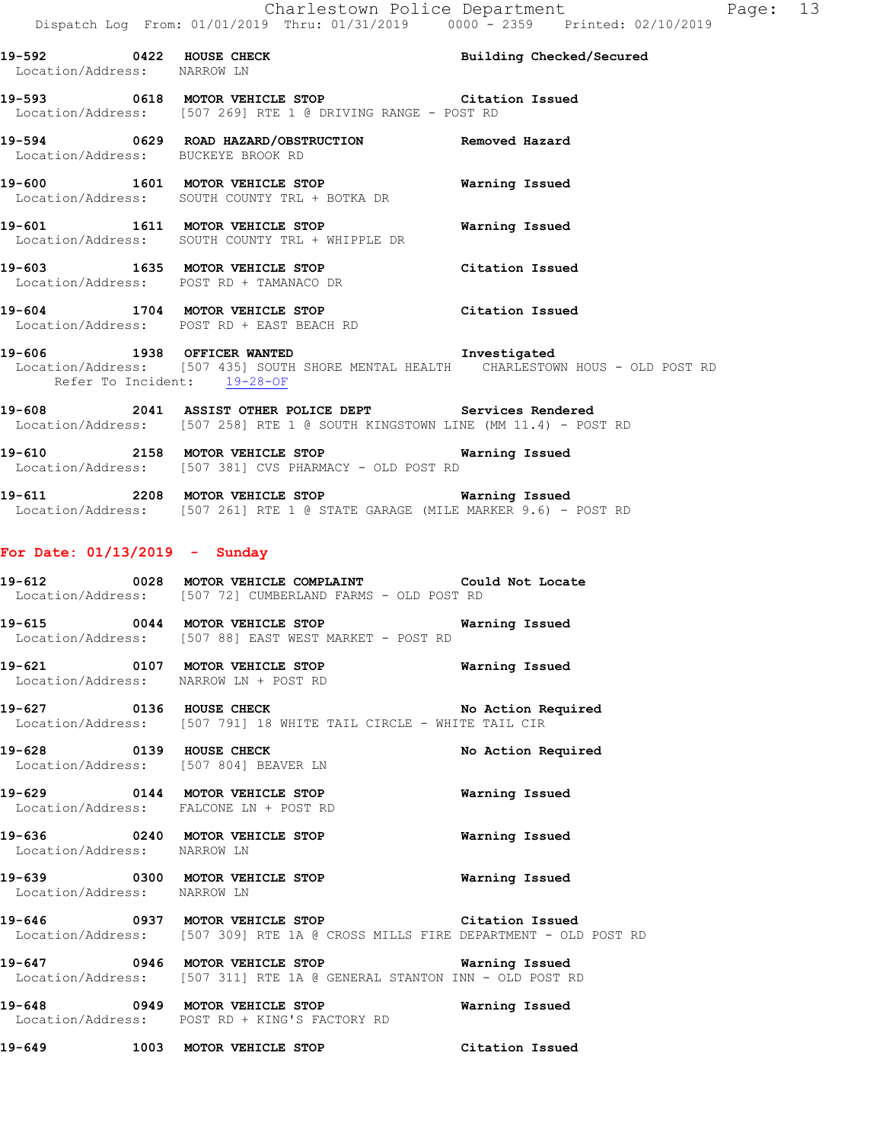**19-592 0422 HOUSE CHECK Building Checked/Secured**  Location/Address: NARROW LN **19-593 0618 MOTOR VEHICLE STOP Citation Issued**  Location/Address: [507 269] RTE 1 @ DRIVING RANGE - POST RD **19-594 0629 ROAD HAZARD/OBSTRUCTION Removed Hazard**  Location/Address: BUCKEYE BROOK RD **19-600 1601 MOTOR VEHICLE STOP Warning Issued**  Location/Address: SOUTH COUNTY TRL + BOTKA DR **19-601 1611 MOTOR VEHICLE STOP Warning Issued**  Location/Address: SOUTH COUNTY TRL + WHIPPLE DR **19-603 1635 MOTOR VEHICLE STOP Citation Issued**  Location/Address: POST RD + TAMANACO DR **19-604 1704 MOTOR VEHICLE STOP Citation Issued**  Location/Address: POST RD + EAST BEACH RD

**19-606 1938 OFFICER WANTED Investigated**  Location/Address: [507 435] SOUTH SHORE MENTAL HEALTH CHARLESTOWN HOUS - OLD POST RD Refer To Incident: 19-28-OF

**19-608 2041 ASSIST OTHER POLICE DEPT Services Rendered**  Location/Address: [507 258] RTE 1 @ SOUTH KINGSTOWN LINE (MM 11.4) - POST RD

**19-610 2158 MOTOR VEHICLE STOP Warning Issued**  Location/Address: [507 381] CVS PHARMACY - OLD POST RD

**19-611 2208 MOTOR VEHICLE STOP Warning Issued**  Location/Address: [507 261] RTE 1 @ STATE GARAGE (MILE MARKER 9.6) - POST RD

#### **For Date: 01/13/2019 - Sunday**

**19-612 0028 MOTOR VEHICLE COMPLAINT Could Not Locate**  Location/Address: [507 72] CUMBERLAND FARMS - OLD POST RD

**19-615 0044 MOTOR VEHICLE STOP Warning Issued**  Location/Address: [507 88] EAST WEST MARKET - POST RD

**19-621 0107 MOTOR VEHICLE STOP Warning Issued**  Location/Address: NARROW LN + POST RD

**19-627 0136 HOUSE CHECK No Action Required**  Location/Address: [507 791] 18 WHITE TAIL CIRCLE - WHITE TAIL CIR

**19-628 0139 HOUSE CHECK No Action Required**  Location/Address: [507 804] BEAVER LN

**19-629 0144 MOTOR VEHICLE STOP Warning Issued**  Location/Address: FALCONE LN + POST RD

**19-636 0240 MOTOR VEHICLE STOP Warning Issued**  Location/Address: NARROW LN

**19-639 0300 MOTOR VEHICLE STOP Warning Issued**  Location/Address: NARROW LN

**19-646 0937 MOTOR VEHICLE STOP Citation Issued**  Location/Address: [507 309] RTE 1A @ CROSS MILLS FIRE DEPARTMENT - OLD POST RD

**19-647 0946 MOTOR VEHICLE STOP Warning Issued**  Location/Address: [507 311] RTE 1A @ GENERAL STANTON INN - OLD POST RD

**19-648 0949 MOTOR VEHICLE STOP Warning Issued**  Location/Address: POST RD + KING'S FACTORY RD

**19-649 1003 MOTOR VEHICLE STOP Citation Issued**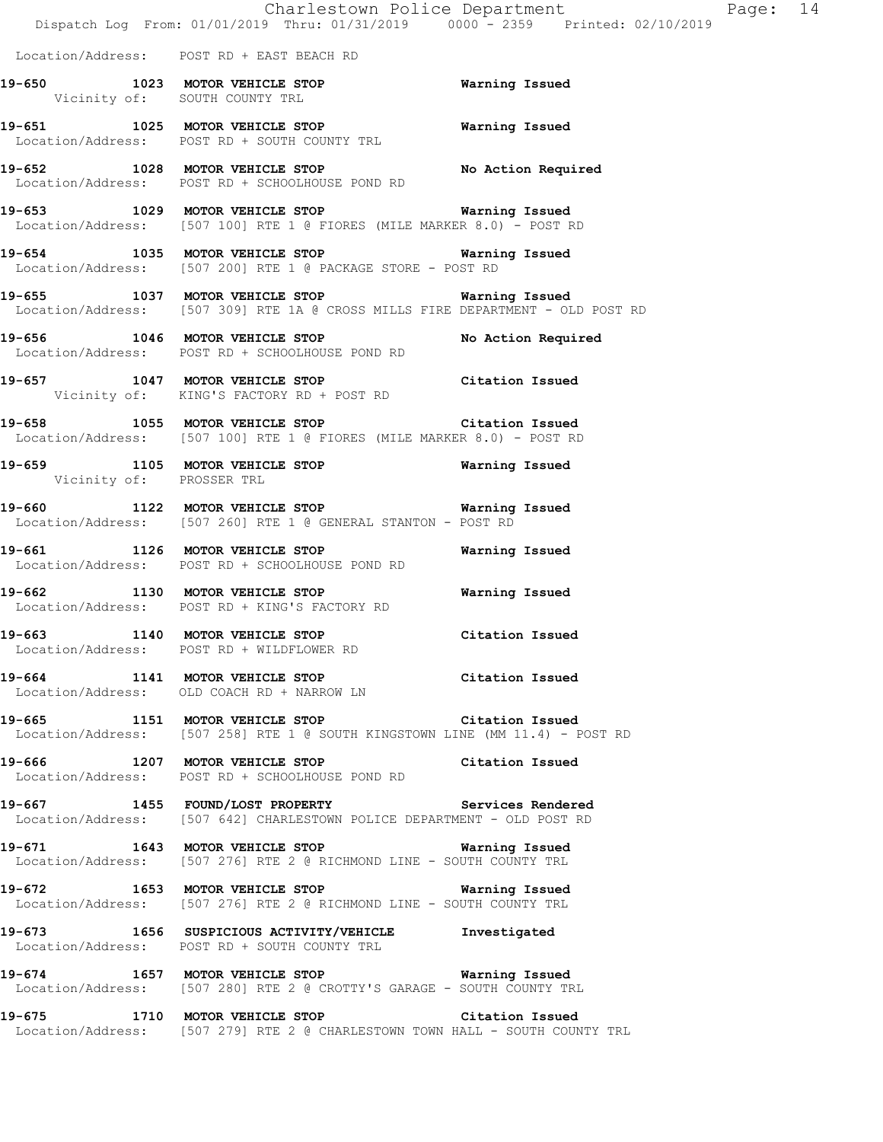|                                | Dispatch Log From: 01/01/2019 Thru: 01/31/2019 0000 - 2359 Printed: 02/10/2019                                                      | Charlestown Police Department | Page: 14 |  |
|--------------------------------|-------------------------------------------------------------------------------------------------------------------------------------|-------------------------------|----------|--|
|                                | Location/Address: POST RD + EAST BEACH RD                                                                                           |                               |          |  |
|                                | 19-650 1023 MOTOR VEHICLE STOP 650 Warning Issued<br>Vicinity of: SOUTH COUNTY TRL                                                  |                               |          |  |
|                                | 19-651 1025 MOTOR VEHICLE STOP<br>Location/Address: POST RD + SOUTH COUNTY TRL                                                      | <b>Warning Issued</b>         |          |  |
|                                | 19-652 1028 MOTOR VEHICLE STOP No Action Required<br>Location/Address: POST RD + SCHOOLHOUSE POND RD                                |                               |          |  |
|                                | 19-653 1029 MOTOR VEHICLE STOP 653 Warning Issued<br>Location/Address: [507 100] RTE 1 @ FIORES (MILE MARKER 8.0) - POST RD         |                               |          |  |
|                                | 19-654 1035 MOTOR VEHICLE STOP 654 Warning Issued<br>Location/Address: [507 200] RTE 1 @ PACKAGE STORE - POST RD                    |                               |          |  |
|                                | 19-655 1037 MOTOR VEHICLE STOP 655 Warning Issued<br>Location/Address: [507 309] RTE 1A @ CROSS MILLS FIRE DEPARTMENT - OLD POST RD |                               |          |  |
|                                | 19-656 1046 MOTOR VEHICLE STOP<br>Location/Address: POST RD + SCHOOLHOUSE POND RD                                                   | No Action Required            |          |  |
|                                | 19-657 1047 MOTOR VEHICLE STOP Citation Issued<br>Vicinity of: KING'S FACTORY RD + POST RD                                          |                               |          |  |
|                                | 19-658 1055 MOTOR VEHICLE STOP Citation Issued<br>Location/Address: [507 100] RTE 1 @ FIORES (MILE MARKER 8.0) - POST RD            |                               |          |  |
| Vicinity of: PROSSER TRL       | 19-659 1105 MOTOR VEHICLE STOP 659 Warning Issued                                                                                   |                               |          |  |
|                                | 19-660 1122 MOTOR VEHICLE STOP 660 Warning Issued<br>Location/Address: [507 260] RTE 1 @ GENERAL STANTON - POST RD                  |                               |          |  |
|                                | 19-661 1126 MOTOR VEHICLE STOP 651 Warning Issued<br>Location/Address: POST RD + SCHOOLHOUSE POND RD                                |                               |          |  |
|                                | 19-662 1130 MOTOR VEHICLE STOP<br>Location/Address: POST RD + KING'S FACTORY RD                                                     | <b>Warning Issued</b>         |          |  |
| 19-663 1140 MOTOR VEHICLE STOP | Location/Address: POST RD + WILDFLOWER RD                                                                                           | Citation Issued               |          |  |
|                                | 19-664 1141 MOTOR VEHICLE STOP Citation Issued<br>Location/Address: OLD COACH RD + NARROW LN                                        |                               |          |  |
|                                | 19-665 1151 MOTOR VEHICLE STOP 65 Citation Issued<br>  Location/Address: [507 258] RTE 1 @ SOUTH KINGSTOWN LINE (MM 11.4) - POST RD |                               |          |  |
|                                | 19-666 1207 MOTOR VEHICLE STOP Citation Issued<br>Location/Address: POST RD + SCHOOLHOUSE POND RD                                   |                               |          |  |
|                                | 19-667 1455 FOUND/LOST PROPERTY Services Rendered<br>Location/Address: [507 642] CHARLESTOWN POLICE DEPARTMENT - OLD POST RD        |                               |          |  |
|                                | 19-671 1643 MOTOR VEHICLE STOP 19-671 Warning Issued<br>Location/Address: [507 276] RTE 2 @ RICHMOND LINE - SOUTH COUNTY TRL        |                               |          |  |
|                                | 19-672 1653 MOTOR VEHICLE STOP 67 Warning Issued<br>Location/Address: [507 276] RTE 2 @ RICHMOND LINE - SOUTH COUNTY TRL            |                               |          |  |
|                                | 19-673 1656 SUSPICIOUS ACTIVITY/VEHICLE Investigated<br>Location/Address: POST RD + SOUTH COUNTY TRL                                |                               |          |  |
|                                | 19-674 1657 MOTOR VEHICLE STOP <b>Warning Issued</b><br>Location/Address: [507 280] RTE 2 @ CROTTY'S GARAGE - SOUTH COUNTY TRL      |                               |          |  |
|                                | 19-675 1710 MOTOR VEHICLE STOP Citation Issued<br>Location/Address: [507 279] RTE 2 @ CHARLESTOWN TOWN HALL - SOUTH COUNTY TRL      |                               |          |  |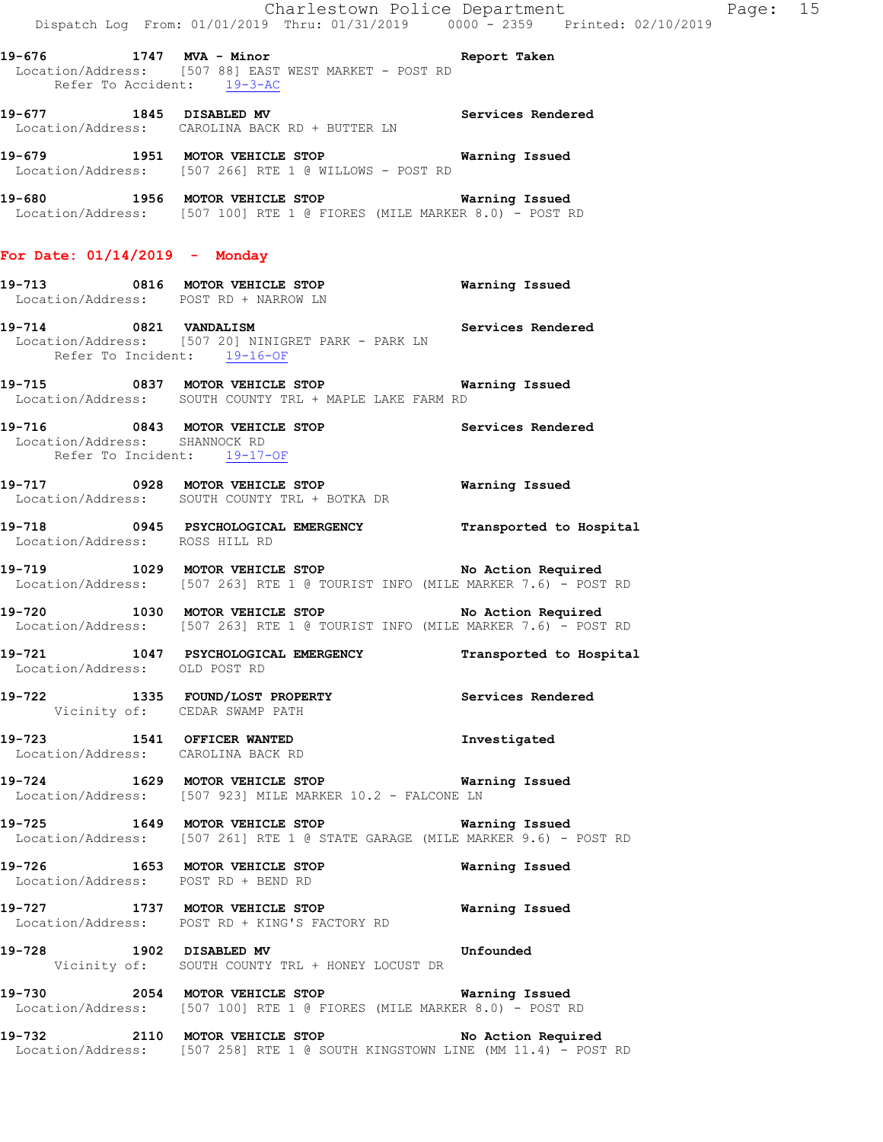**19-676 1747 MVA - Minor Report Taken**  Location/Address: [507 88] EAST WEST MARKET - POST RD Refer To Accident: 19-3-AC

19-677 1845 DISABLED MV **Services Rendered** Location/Address: CAROLINA BACK RD + BUTTER LN

**19-679 1951 MOTOR VEHICLE STOP Warning Issued**  Location/Address: [507 266] RTE 1 @ WILLOWS - POST RD

**19-680 1956 MOTOR VEHICLE STOP Warning Issued**  Location/Address: [507 100] RTE 1 @ FIORES (MILE MARKER 8.0) - POST RD

#### **For Date: 01/14/2019 - Monday**

#### **19-713 0816 MOTOR VEHICLE STOP Warning Issued**  Location/Address: POST RD + NARROW LN

**19-714 0821 VANDALISM Services Rendered**  Location/Address: [507 20] NINIGRET PARK - PARK LN Refer To Incident: 19-16-OF

**19-715 0837 MOTOR VEHICLE STOP Warning Issued**  Location/Address: SOUTH COUNTY TRL + MAPLE LAKE FARM RD

19-716 **0843 MOTOR VEHICLE STOP** Services Rendered Location/Address: SHANNOCK RD Refer To Incident: 19-17-OF

**19-717 0928 MOTOR VEHICLE STOP Warning Issued**  Location/Address: SOUTH COUNTY TRL + BOTKA DR

**19-718 0945 PSYCHOLOGICAL EMERGENCY Transported to Hospital**  Location/Address: ROSS HILL RD

**19-719 1029 MOTOR VEHICLE STOP No Action Required**  Location/Address: [507 263] RTE 1 @ TOURIST INFO (MILE MARKER 7.6) - POST RD

**19-720 1030 MOTOR VEHICLE STOP No Action Required**  Location/Address: [507 263] RTE 1 @ TOURIST INFO (MILE MARKER 7.6) - POST RD

**19-721 1047 PSYCHOLOGICAL EMERGENCY Transported to Hospital**  Location/Address: OLD POST RD

**19-722 1335 FOUND/LOST PROPERTY Services Rendered**  Vicinity of: CEDAR SWAMP PATH

**19-723 1541 OFFICER WANTED Investigated**  Location/Address: CAROLINA BACK RD

**19-724 1629 MOTOR VEHICLE STOP Warning Issued**  Location/Address: [507 923] MILE MARKER 10.2 - FALCONE LN

**19-725 1649 MOTOR VEHICLE STOP Warning Issued**  Location/Address: [507 261] RTE 1 @ STATE GARAGE (MILE MARKER 9.6) - POST RD

**19-726 1653 MOTOR VEHICLE STOP Warning Issued**  Location/Address: POST RD + BEND RD

**19-727 1737 MOTOR VEHICLE STOP Warning Issued**  Location/Address: POST RD + KING'S FACTORY RD

**19-728 1902 DISABLED MV Unfounded**  Vicinity of: SOUTH COUNTY TRL + HONEY LOCUST DR

**19-730 2054 MOTOR VEHICLE STOP Warning Issued**  Location/Address: [507 100] RTE 1 @ FIORES (MILE MARKER 8.0) - POST RD

19-732 2110 MOTOR VEHICLE STOP **No Action Required** Location/Address: [507 258] RTE 1 @ SOUTH KINGSTOWN LINE (MM 11.4) - POST RD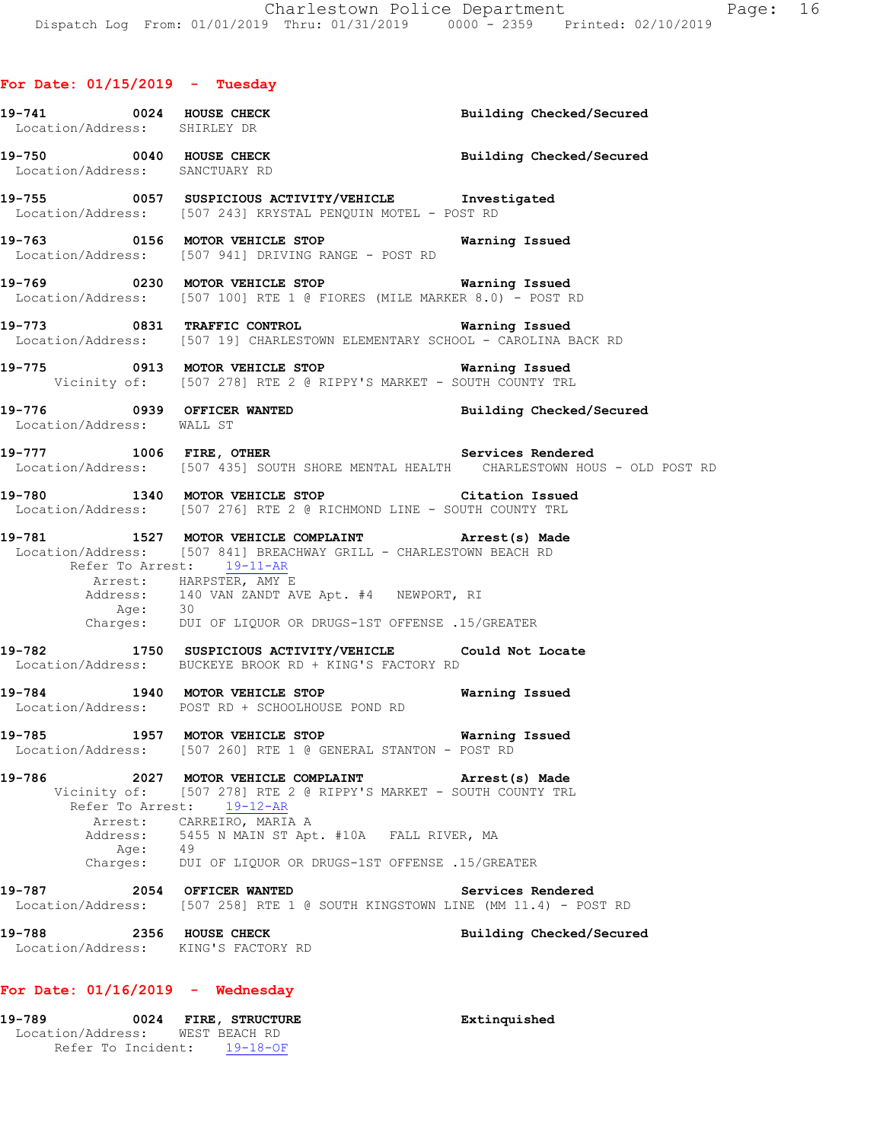# **For Date: 01/15/2019 - Tuesday**

| 19-741 0024 HOUSE CHECK<br>Location/Address: SHIRLEY DR           |                                                                                                                                                                                                                  | Building Checked/Secured |
|-------------------------------------------------------------------|------------------------------------------------------------------------------------------------------------------------------------------------------------------------------------------------------------------|--------------------------|
| Location/Address: SANCTUARY RD                                    | 19-750 0040 HOUSE CHECK Building Checked/Secured                                                                                                                                                                 |                          |
|                                                                   | 19-755 0057 SUSPICIOUS ACTIVITY/VEHICLE Investigated<br>Location/Address: [507 243] KRYSTAL PENQUIN MOTEL - POST RD                                                                                              |                          |
|                                                                   | Location/Address: [507 941] DRIVING RANGE - POST RD                                                                                                                                                              |                          |
|                                                                   | 19-769 0230 MOTOR VEHICLE STOP 6 Warning Issued<br>Location/Address: [507 100] RTE 1 @ FIORES (MILE MARKER 8.0) - POST RD                                                                                        |                          |
|                                                                   | 19-773 0831 TRAFFIC CONTROL <b>19-773</b> Warning Issued<br>Location/Address: [507 19] CHARLESTOWN ELEMENTARY SCHOOL - CAROLINA BACK RD                                                                          |                          |
|                                                                   | 19-775 0913 MOTOR VEHICLE STOP <b>Warning Issued</b><br>Vicinity of: [507 278] RTE 2 @ RIPPY'S MARKET - SOUTH COUNTY TRL                                                                                         |                          |
| Location/Address: WALL ST                                         | 19-776 19939 OFFICER WANTED 19-776 Building Checked/Secured                                                                                                                                                      |                          |
|                                                                   | 19-777 1006 FIRE, OTHER 2008 2012 19-777<br>Location/Address: [507 435] SOUTH SHORE MENTAL HEALTH CHARLESTOWN HOUS - OLD POST RD                                                                                 |                          |
|                                                                   | 19-780 1340 MOTOR VEHICLE STOP Citation Issued<br>Location/Address: [507 276] RTE 2 @ RICHMOND LINE - SOUTH COUNTY TRL                                                                                           |                          |
| Refer To Arrest: 19-11-AR                                         | 19-781 1527 MOTOR VEHICLE COMPLAINT Arrest(s) Made<br>Location/Address: [507 841] BREACHWAY GRILL - CHARLESTOWN BEACH RD<br>Arrest: HARPSTER, AMY E<br>Address: 140 VAN ZANDT AVE Apt. #4 NEWPORT, RI<br>Age: 30 |                          |
|                                                                   | Charges: DUI OF LIQUOR OR DRUGS-1ST OFFENSE .15/GREATER                                                                                                                                                          |                          |
|                                                                   | 19-782 1750 SUSPICIOUS ACTIVITY/VEHICLE Could Not Locate<br>Location/Address: BUCKEYE BROOK RD + KING'S FACTORY RD                                                                                               |                          |
|                                                                   | 19-784 1940 MOTOR VEHICLE STOP 6 Warning Issued<br>Location/Address: POST RD + SCHOOLHOUSE POND RD                                                                                                               |                          |
| 19-785                                                            | 1957 MOTOR VEHICLE STOP 6 6 Warning Issued<br>Location/Address: [507 260] RTE 1 @ GENERAL STANTON - POST RD                                                                                                      |                          |
| 19-786                                                            | 2027 MOTOR VEHICLE COMPLAINT Arrest(s) Made<br>Vicinity of: [507 278] RTE 2 @ RIPPY'S MARKET - SOUTH COUNTY TRL<br>Refer To Arrest: 19-12-AR<br>Arrest: CARREIRO, MARIA A                                        |                          |
| Address:<br>Age: 49                                               | 5455 N MAIN ST Apt. #10A FALL RIVER, MA<br>Charges: DUI OF LIQUOR OR DRUGS-1ST OFFENSE .15/GREATER                                                                                                               |                          |
| 19-787 2054 OFFICER WANTED                                        | Location/Address: [507 258] RTE 1 @ SOUTH KINGSTOWN LINE (MM 11.4) - POST RD                                                                                                                                     | Services Rendered        |
| 2356 HOUSE CHECK<br>19-788<br>Location/Address: KING'S FACTORY RD |                                                                                                                                                                                                                  | Building Checked/Secured |
| For Date: $01/16/2019$ - Wednesday                                |                                                                                                                                                                                                                  |                          |

**19-789 0024 FIRE, STRUCTURE Extinquished** 

 Location/Address: WEST BEACH RD Refer To Incident: 19-18-OF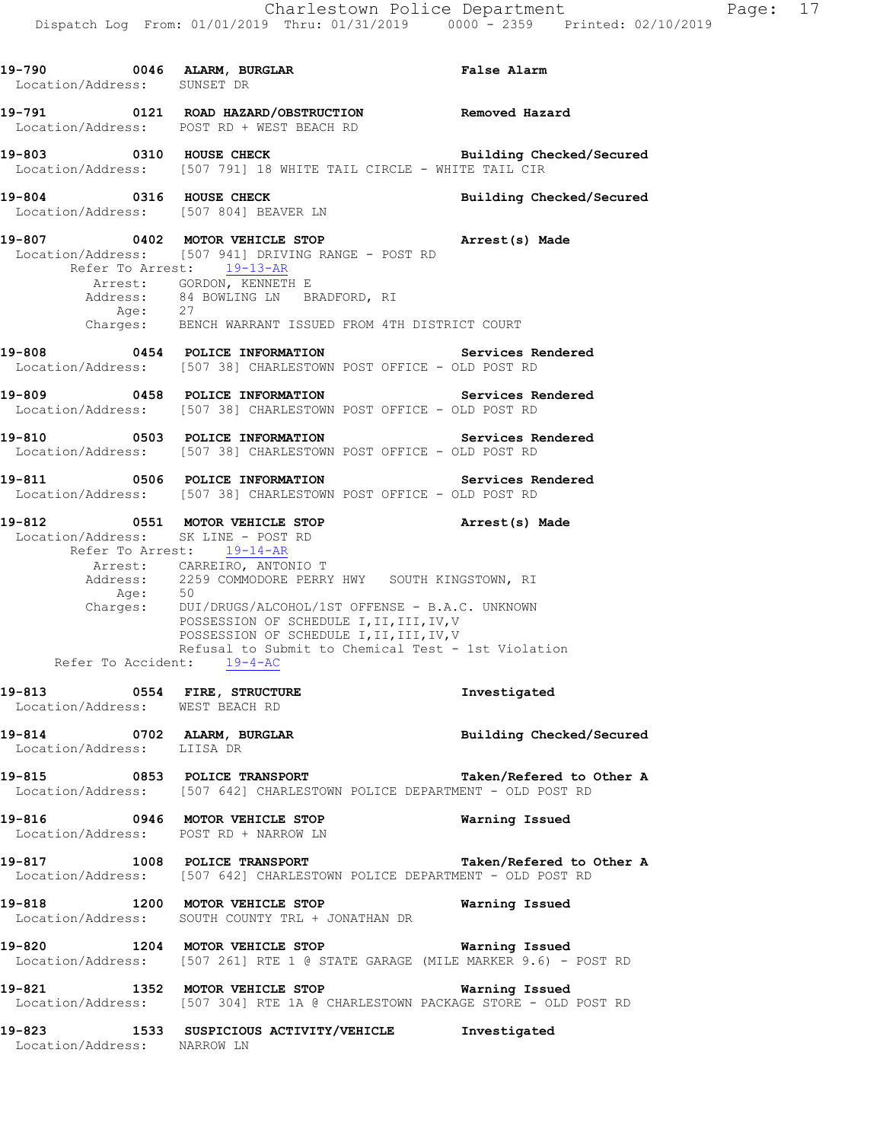| 19-790 0046 ALARM, BURGLAR<br>Location/Address: SUNSET DR      |                                                                                                                                                                                                                                                                                                       | False Alarm              |
|----------------------------------------------------------------|-------------------------------------------------------------------------------------------------------------------------------------------------------------------------------------------------------------------------------------------------------------------------------------------------------|--------------------------|
|                                                                | 19-791 0121 ROAD HAZARD/OBSTRUCTION Removed Hazard<br>Location/Address: POST RD + WEST BEACH RD                                                                                                                                                                                                       |                          |
| 19-803 0310 HOUSE CHECK                                        | Location/Address: [507 791] 18 WHITE TAIL CIRCLE - WHITE TAIL CIR                                                                                                                                                                                                                                     | Building Checked/Secured |
| 19-804 0316 HOUSE CHECK                                        | Location/Address: [507 804] BEAVER LN                                                                                                                                                                                                                                                                 | Building Checked/Secured |
|                                                                | 19-807 		 0402 MOTOR VEHICLE STOP 		 Arrest(s) Made<br>Location/Address: [507 941] DRIVING RANGE - POST RD<br>Refer To Arrest: 19-13-AR                                                                                                                                                               |                          |
|                                                                | Arrest: GORDON, KENNETH E<br>Address: 84 BOWLING LN BRADFORD, RI                                                                                                                                                                                                                                      |                          |
|                                                                | Age: 27<br>Charges: BENCH WARRANT ISSUED FROM 4TH DISTRICT COURT                                                                                                                                                                                                                                      |                          |
|                                                                | 19-808 6254 POLICE INFORMATION 5ervices Rendered<br>Location/Address: [507 38] CHARLESTOWN POST OFFICE - OLD POST RD                                                                                                                                                                                  |                          |
|                                                                | 19-809 0458 POLICE INFORMATION Services Rendered<br>Location/Address: [507 38] CHARLESTOWN POST OFFICE - OLD POST RD                                                                                                                                                                                  |                          |
|                                                                | 19-810 0503 POLICE INFORMATION Services Rendered<br>Location/Address: [507 38] CHARLESTOWN POST OFFICE - OLD POST RD                                                                                                                                                                                  |                          |
|                                                                | 19-811 6506 POLICE INFORMATION 19-811 Services Rendered<br>Location/Address: [507 38] CHARLESTOWN POST OFFICE - OLD POST RD                                                                                                                                                                           |                          |
| Location/Address: SK LINE - POST RD                            | 19-812 		 0551 MOTOR VEHICLE STOP 		 Arrest(s) Made<br>Refer To Arrest: 19-14-AR                                                                                                                                                                                                                      |                          |
| Refer To Accident: 19-4-AC                                     | Arrest: CARREIRO, ANTONIO T<br>Address: 2259 COMMODORE PERRY HWY SOUTH KINGSTOWN, RI Age: 50<br>Charges: DUI/DRUGS/ALCOHOL/1ST OFFENSE - B.A.C. UNKNOWN<br>POSSESSION OF SCHEDULE I, II, III, IV, V<br>POSSESSION OF SCHEDULE I, II, III, IV, V<br>Refusal to Submit to Chemical Test - 1st Violation |                          |
| 19-813 0554 FIRE, STRUCTURE<br>Location/Address: WEST BEACH RD |                                                                                                                                                                                                                                                                                                       | Investigated             |
| Location/Address: LIISA DR                                     | 19-814 0702 ALARM, BURGLAR                                                                                                                                                                                                                                                                            | Building Checked/Secured |
|                                                                | 19-815 0853 POLICE TRANSPORT TAN Taken/Refered to Other A<br>Location/Address: [507 642] CHARLESTOWN POLICE DEPARTMENT - OLD POST RD                                                                                                                                                                  |                          |
|                                                                | 19-816 0946 MOTOR VEHICLE STOP<br>Location/Address: POST RD + NARROW LN                                                                                                                                                                                                                               | Warning Issued           |
|                                                                | 19-817 1008 POLICE TRANSPORT TAN Taken/Refered to Other A<br>Location/Address: [507 642] CHARLESTOWN POLICE DEPARTMENT - OLD POST RD                                                                                                                                                                  |                          |
|                                                                | 19-818 1200 MOTOR VEHICLE STOP<br>Location/Address: SOUTH COUNTY TRL + JONATHAN DR                                                                                                                                                                                                                    | Warning Issued           |
|                                                                | 19-820 1204 MOTOR VEHICLE STOP <b>Warning Issued</b><br>Location/Address: [507 261] RTE 1 @ STATE GARAGE (MILE MARKER 9.6) - POST RD                                                                                                                                                                  |                          |
|                                                                | 19-821 1352 MOTOR VEHICLE STOP<br>Location/Address: [507 304] RTE 1A @ CHARLESTOWN PACKAGE STORE - OLD POST RD                                                                                                                                                                                        | Warning Issued           |
| Location/Address: NARROW LN                                    | 19-823 1533 SUSPICIOUS ACTIVITY/VEHICLE Investigated                                                                                                                                                                                                                                                  |                          |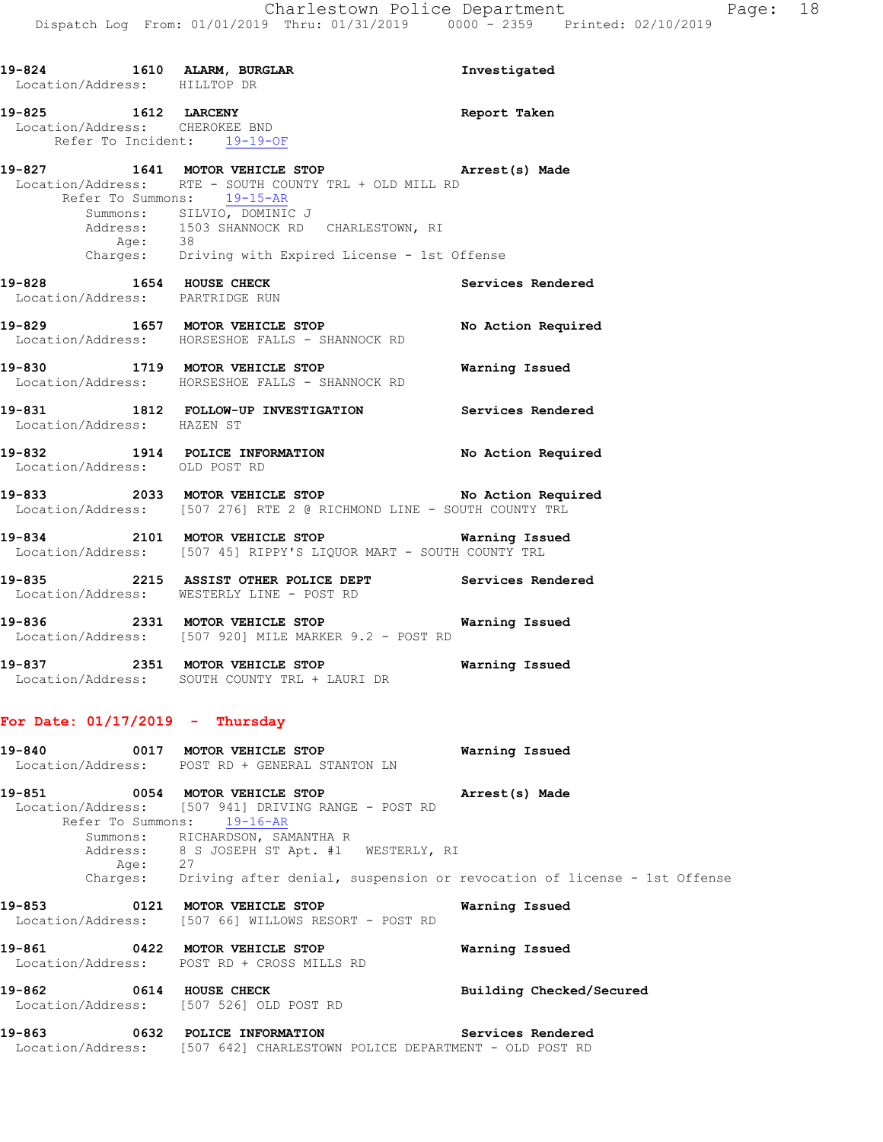| 19-824 1610 ALARM, BURGLAR<br>Location/Address: HILLTOP DR                           |                                                                                                                                                 | Investigated             |
|--------------------------------------------------------------------------------------|-------------------------------------------------------------------------------------------------------------------------------------------------|--------------------------|
| 19-825 1612 LARCENY<br>Location/Address: CHEROKEE BND<br>Refer To Incident: 19-19-OF |                                                                                                                                                 | Report Taken             |
|                                                                                      | 19-827 1641 MOTOR VEHICLE STOP 19-827 Arrest (s) Made<br>Location/Address: RTE - SOUTH COUNTY TRL + OLD MILL RD<br>Refer To Summons: 19-15-AR   |                          |
|                                                                                      | Summons: SILVIO, DOMINIC J<br>Address: 1503 SHANNOCK RD CHARLESTOWN, RI<br>Age: 38<br>Charges: Driving with Expired License - 1st Offense       |                          |
| 19-828 1654 HOUSE CHECK                                                              | Location/Address: PARTRIDGE RUN                                                                                                                 | Services Rendered        |
|                                                                                      | 19-829 1657 MOTOR VEHICLE STOP No Action Required<br>Location/Address: HORSESHOE FALLS - SHANNOCK RD                                            |                          |
|                                                                                      | 19-830 1719 MOTOR VEHICLE STOP <b>Warning Issued</b><br>Location/Address: HORSESHOE FALLS - SHANNOCK RD                                         |                          |
|                                                                                      | 19-831 1812 FOLLOW-UP INVESTIGATION Services Rendered<br>Location/Address: HAZEN ST                                                             |                          |
| Location/Address: OLD POST RD                                                        | 19-832 1914 POLICE INFORMATION No Action Required                                                                                               |                          |
|                                                                                      | 19-833<br>2033 MOTOR VEHICLE STOP No Action Required<br>Location/Address: [507 276] RTE 2 @ RICHMOND LINE - SOUTH COUNTY TRL                    |                          |
|                                                                                      | 19-834 2101 MOTOR VEHICLE STOP <b>Warning Issued</b><br>Location/Address: [507 45] RIPPY'S LIQUOR MART - SOUTH COUNTY TRL                       |                          |
|                                                                                      | 19-835 2215 ASSIST OTHER POLICE DEPT Services Rendered<br>Location/Address: WESTERLY LINE - POST RD                                             |                          |
|                                                                                      | 19-836 2331 MOTOR VEHICLE STOP <b>Warning Issued</b><br>Location/Address: [507 920] MILE MARKER 9.2 - POST RD                                   |                          |
|                                                                                      | 19-837 2351 MOTOR VEHICLE STOP 6 Warning Issued<br>Location/Address: SOUTH COUNTY TRL + LAURI DR                                                |                          |
| For Date: $01/17/2019$ - Thursday                                                    |                                                                                                                                                 |                          |
| $19 - 840$                                                                           | 0017 MOTOR VEHICLE STOP<br>Location/Address: POST RD + GENERAL STANTON LN                                                                       | Warning Issued           |
| 19-851                                                                               | 0054 MOTOR VEHICLE STOP<br>Location/Address: [507 941] DRIVING RANGE - POST RD<br>Refer To Summons: 19-16-AR<br>Summons: RICHARDSON, SAMANTHA R | Arrest(s) Made           |
| Age:                                                                                 | Address: 8 S JOSEPH ST Apt. #1 WESTERLY, RI<br>Age: 27<br>Charges: Driving after denial, suspension or revocation of license - 1st Offense      |                          |
| $19 - 853$                                                                           | 0121 MOTOR VEHICLE STOP<br>Location/Address: [507 66] WILLOWS RESORT - POST RD                                                                  | Warning Issued           |
| 19-861                                                                               | 0422 MOTOR VEHICLE STOP<br>Location/Address: POST RD + CROSS MILLS RD                                                                           | Warning Issued           |
| 19-862                                                                               | 0614 HOUSE CHECK<br>Location/Address: [507 526] OLD POST RD                                                                                     | Building Checked/Secured |

**19-863 0632 POLICE INFORMATION Services Rendered**  Location/Address: [507 642] CHARLESTOWN POLICE DEPARTMENT - OLD POST RD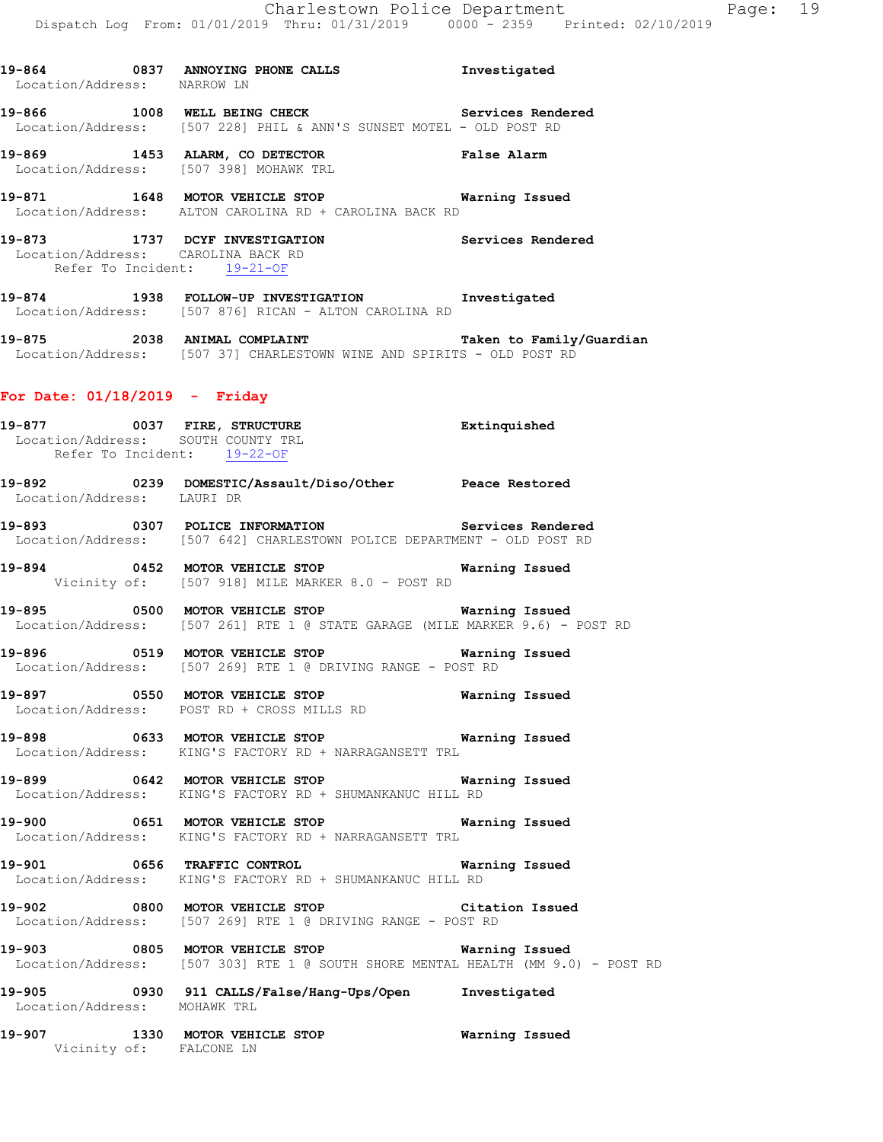**19-864 0837 ANNOYING PHONE CALLS Investigated**  Location/Address: NARROW LN **19-866 1008 WELL BEING CHECK Services Rendered**  Location/Address: [507 228] PHIL & ANN'S SUNSET MOTEL - OLD POST RD **19-869 1453 ALARM, CO DETECTOR False Alarm**  Location/Address: [507 398] MOHAWK TRL **19-871 1648 MOTOR VEHICLE STOP Warning Issued**  Location/Address: ALTON CAROLINA RD + CAROLINA BACK RD **19-873 1737 DCYF INVESTIGATION Services Rendered**  Location/Address: CAROLINA BACK RD Refer To Incident: 19-21-OF **19-874 1938 FOLLOW-UP INVESTIGATION Investigated**  Location/Address: [507 876] RICAN - ALTON CAROLINA RD **19-875 2038 ANIMAL COMPLAINT Taken to Family/Guardian**  Location/Address: [507 37] CHARLESTOWN WINE AND SPIRITS - OLD POST RD

#### **For Date: 01/18/2019 - Friday**

Vicinity of: FALCONE LN

**19-877 0037 FIRE, STRUCTURE Extinquished**  Location/Address: SOUTH COUNTY TRL Refer To Incident: 19-22-OF **19-892 0239 DOMESTIC/Assault/Diso/Other Peace Restored**  Location/Address: LAURI DR **19-893 0307 POLICE INFORMATION Services Rendered**  Location/Address: [507 642] CHARLESTOWN POLICE DEPARTMENT - OLD POST RD **19-894 0452 MOTOR VEHICLE STOP Warning Issued**  Vicinity of: [507 918] MILE MARKER 8.0 - POST RD **19-895 0500 MOTOR VEHICLE STOP Warning Issued**  Location/Address: [507 261] RTE 1 @ STATE GARAGE (MILE MARKER 9.6) - POST RD **19-896 0519 MOTOR VEHICLE STOP Warning Issued**  Location/Address: [507 269] RTE 1 @ DRIVING RANGE - POST RD **19-897 0550 MOTOR VEHICLE STOP Warning Issued**  Location/Address: POST RD + CROSS MILLS RD **19-898 0633 MOTOR VEHICLE STOP Warning Issued**  Location/Address: KING'S FACTORY RD + NARRAGANSETT TRL **19-899 0642 MOTOR VEHICLE STOP Warning Issued**  Location/Address: KING'S FACTORY RD + SHUMANKANUC HILL RD **19-900 0651 MOTOR VEHICLE STOP Warning Issued**  Location/Address: KING'S FACTORY RD + NARRAGANSETT TRL **19-901 0656 TRAFFIC CONTROL Warning Issued**  Location/Address: KING'S FACTORY RD + SHUMANKANUC HILL RD **19-902 0800 MOTOR VEHICLE STOP Citation Issued**  Location/Address: [507 269] RTE 1 @ DRIVING RANGE - POST RD **19-903 0805 MOTOR VEHICLE STOP Warning Issued**  Location/Address: [507 303] RTE 1 @ SOUTH SHORE MENTAL HEALTH (MM 9.0) - POST RD **19-905 0930 911 CALLS/False/Hang-Ups/Open Investigated**  Location/Address: MOHAWK TRL **19-907 1330 MOTOR VEHICLE STOP Warning Issued**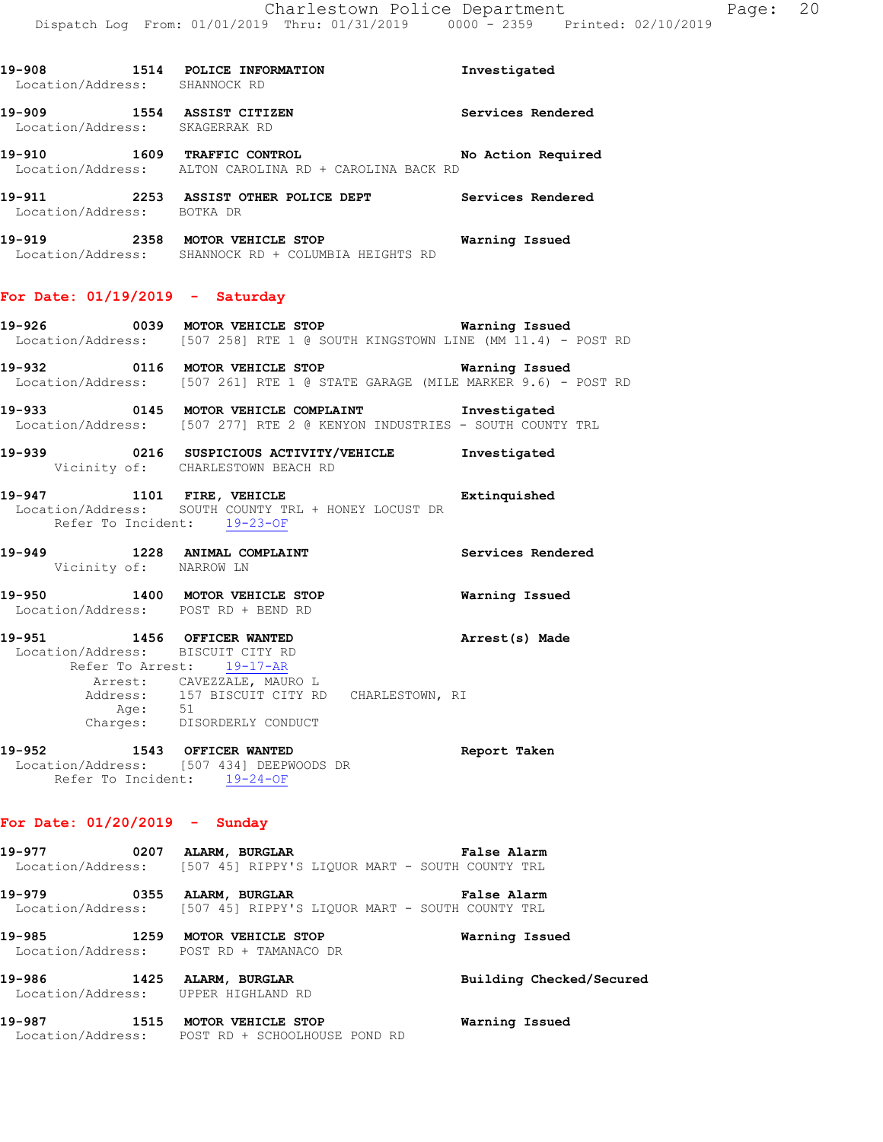|                            | 19-908 1514 POLICE INFORMATION<br>Location/Address: SHANNOCK RD                                                                                                                                                      | Investigated          |
|----------------------------|----------------------------------------------------------------------------------------------------------------------------------------------------------------------------------------------------------------------|-----------------------|
|                            | 19-909 1554 ASSIST CITIZEN<br>Location/Address: SKAGERRAK RD                                                                                                                                                         | Services Rendered     |
|                            | 19-910 1609 TRAFFIC CONTROL No Action Required<br>Location/Address: ALTON CAROLINA RD + CAROLINA BACK RD                                                                                                             |                       |
| Location/Address: BOTKA DR | 19-911 2253 ASSIST OTHER POLICE DEPT Services Rendered                                                                                                                                                               |                       |
|                            | 19-919 2358 MOTOR VEHICLE STOP Warning Issued<br>Location/Address: SHANNOCK RD + COLUMBIA HEIGHTS RD                                                                                                                 |                       |
|                            | For Date: $01/19/2019$ - Saturday                                                                                                                                                                                    |                       |
|                            | 19-926 0039 MOTOR VEHICLE STOP <b>WATER WATER</b><br>Location/Address: [507 258] RTE 1 @ SOUTH KINGSTOWN LINE (MM 11.4) - POST RD                                                                                    |                       |
|                            | 19-932 0116 MOTOR VEHICLE STOP <b>Warning Issued</b><br>Location/Address: [507 261] RTE 1 @ STATE GARAGE (MILE MARKER 9.6) - POST RD                                                                                 |                       |
|                            | 19-933 0145 MOTOR VEHICLE COMPLAINT Investigated<br>Location/Address: [507 277] RTE 2 @ KENYON INDUSTRIES - SOUTH COUNTY TRL                                                                                         |                       |
|                            | 19-939 0216 SUSPICIOUS ACTIVITY/VEHICLE 1nvestigated<br>Vicinity of: CHARLESTOWN BEACH RD                                                                                                                            |                       |
|                            | 19-947 1101 FIRE, VEHICLE 19-947<br>Location/Address: SOUTH COUNTY TRL + HONEY LOCUST DR<br>Refer To Incident: 19-23-OF                                                                                              |                       |
|                            | 19-949 1228 ANIMAL COMPLAINT Services Rendered Vicinity of: NARROW LN                                                                                                                                                |                       |
|                            | 19-950 1400 MOTOR VEHICLE STOP<br>Location/Address: POST RD + BEND RD                                                                                                                                                | <b>Warning Issued</b> |
|                            | 19-951 1456 OFFICER WANTED<br>Location/Address: BISCUIT CITY RD<br>Refer To Arrest: 19-17-AR<br>Arrest: CAVEZZALE, MAURO L<br>Address: 157 BISCUIT CITY RD CHARLESTOWN, RI<br>Age: 51<br>Charges: DISORDERLY CONDUCT | Arrest(s) Made        |
|                            |                                                                                                                                                                                                                      |                       |

**19-952 1543 OFFICER WANTED Report Taken**  Location/Address: [507 434] DEEPWOODS DR Refer To Incident: 19-24-OF

# **For Date: 01/20/2019 - Sunday**

**19-977 0207 ALARM, BURGLAR False Alarm**  Location/Address: [507 45] RIPPY'S LIQUOR MART - SOUTH COUNTY TRL **19-979 0355 ALARM, BURGLAR False Alarm**  Location/Address: [507 45] RIPPY'S LIQUOR MART - SOUTH COUNTY TRL **19-985 1259 MOTOR VEHICLE STOP Warning Issued**  Location/Address: POST RD + TAMANACO DR **19-986 1425 ALARM, BURGLAR Building Checked/Secured**  Location/Address: UPPER HIGHLAND RD

**19-987 1515 MOTOR VEHICLE STOP Warning Issued**  Location/Address: POST RD + SCHOOLHOUSE POND RD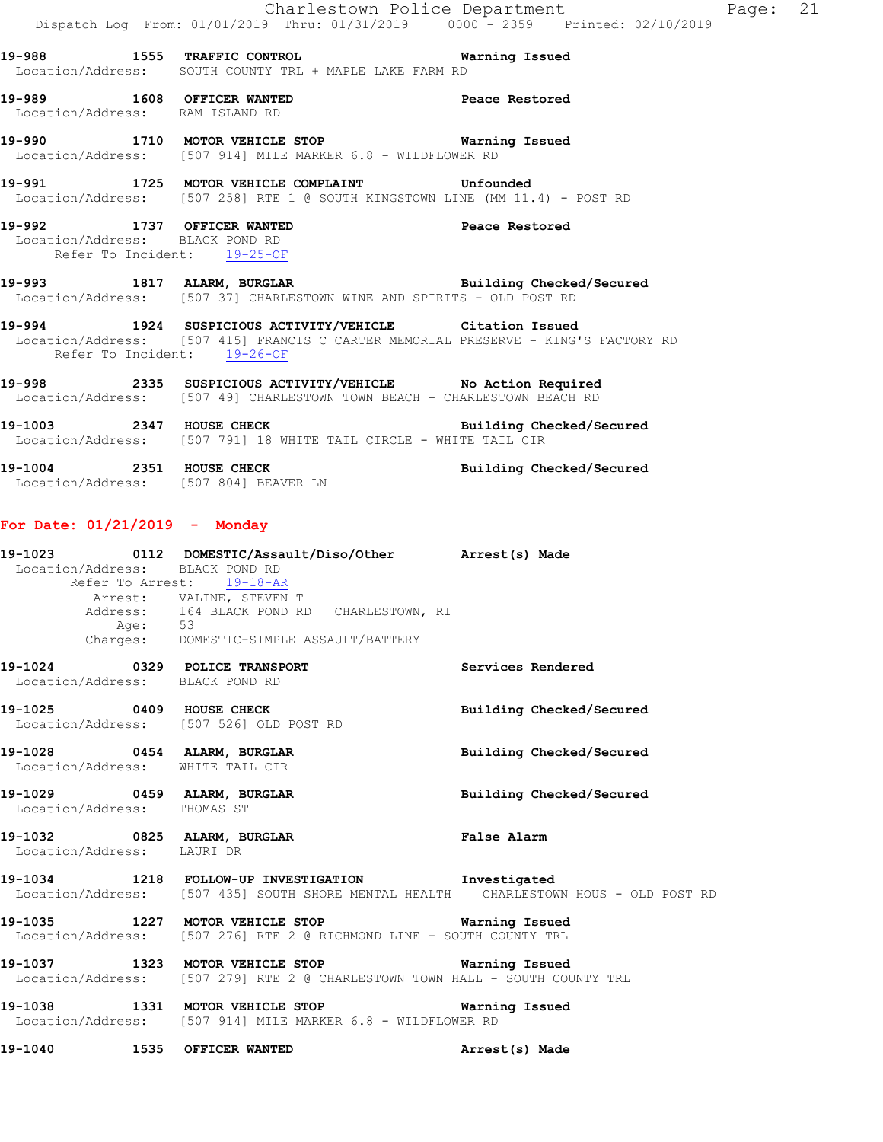|                                                                |                                                                                                                                               | Charlestown Police Department<br>Dispatch Log From: 01/01/2019 Thru: 01/31/2019   0000 - 2359   Printed: 02/10/2019 | Page: 21 |  |
|----------------------------------------------------------------|-----------------------------------------------------------------------------------------------------------------------------------------------|---------------------------------------------------------------------------------------------------------------------|----------|--|
|                                                                | 19-988 1555 TRAFFIC CONTROL 19 Warning Issued<br>Location/Address: SOUTH COUNTY TRL + MAPLE LAKE FARM RD                                      |                                                                                                                     |          |  |
|                                                                | 19-989 1608 OFFICER WANTED 19-989 Peace Restored<br>Location/Address: RAM ISLAND RD                                                           |                                                                                                                     |          |  |
|                                                                | 19-990 1710 MOTOR VEHICLE STOP <b>WATER</b> Warning Issued<br>Location/Address: [507 914] MILE MARKER 6.8 - WILDFLOWER RD                     |                                                                                                                     |          |  |
|                                                                | 19-991 1725 MOTOR VEHICLE COMPLAINT Unfounded<br>Location/Address: [507 258] RTE 1 @ SOUTH KINGSTOWN LINE (MM 11.4) - POST RD                 |                                                                                                                     |          |  |
| Location/Address: BLACK POND RD<br>Refer To Incident: 19-25-OF | 19-992 1737 OFFICER WANTED <b>Peace Restored</b>                                                                                              |                                                                                                                     |          |  |
|                                                                | 19-993 1817 ALARM, BURGLAR 1999 Building Checked/Secured<br>Location/Address: [507 37] CHARLESTOWN WINE AND SPIRITS - OLD POST RD             |                                                                                                                     |          |  |
| Refer To Incident: 19-26-OF                                    | 19-994 1924 SUSPICIOUS ACTIVITY/VEHICLE Citation Issued<br>Location/Address: [507 415] FRANCIS C CARTER MEMORIAL PRESERVE - KING'S FACTORY RD |                                                                                                                     |          |  |
|                                                                | 19-998 2335 SUSPICIOUS ACTIVITY/VEHICLE No Action Required<br>Location/Address: [507 49] CHARLESTOWN TOWN BEACH - CHARLESTOWN BEACH RD        |                                                                                                                     |          |  |
|                                                                | 19-1003 2347 HOUSE CHECK Building Checked/Secured<br>Location/Address: [507 791] 18 WHITE TAIL CIRCLE - WHITE TAIL CIR                        |                                                                                                                     |          |  |
|                                                                |                                                                                                                                               |                                                                                                                     |          |  |

**19-1004 2351 HOUSE CHECK Building Checked/Secured**  Location/Address: [507 804] BEAVER LN

# **For Date: 01/21/2019 - Monday**

|                                 |         | 19-1023 0112 DOMESTIC/Assault/Diso/Other Arrest(s) Made                              |                          |
|---------------------------------|---------|--------------------------------------------------------------------------------------|--------------------------|
| Location/Address: BLACK POND RD |         | Refer To Arrest: 19-18-AR                                                            |                          |
|                                 |         | Arrest: VALINE, STEVEN T                                                             |                          |
|                                 |         | Address: 164 BLACK POND RD CHARLESTOWN, RI                                           |                          |
|                                 | Age: 53 |                                                                                      |                          |
|                                 |         | Charges: DOMESTIC-SIMPLE ASSAULT/BATTERY                                             |                          |
|                                 |         | 19-1024 0329 POLICE TRANSPORT                                                        | <b>Services Rendered</b> |
| Location/Address: BLACK POND RD |         |                                                                                      |                          |
|                                 |         | 19-1025 0409 HOUSE CHECK                                                             | Building Checked/Secured |
|                                 |         | Location/Address: [507 526] OLD POST RD                                              |                          |
|                                 |         | 19-1028 0454 ALARM, BURGLAR                                                          | Building Checked/Secured |
|                                 |         | Location/Address: WHITE TAIL CIR                                                     |                          |
|                                 |         | 19-1029 0459 ALARM, BURGLAR                                                          | Building Checked/Secured |
| Location/Address: THOMAS ST     |         |                                                                                      |                          |
|                                 |         | 19-1032 0825 ALARM, BURGLAR COMPARENT PALSE Alarm                                    |                          |
| Location/Address: LAURI DR      |         |                                                                                      |                          |
|                                 |         | 19-1034 1218 FOLLOW-UP INVESTIGATION Investigated                                    |                          |
|                                 |         | Location/Address: [507 435] SOUTH SHORE MENTAL HEALTH CHARLESTOWN HOUS - OLD POST RD |                          |
|                                 |         | 19-1035 1227 MOTOR VEHICLE STOP 6 Warning Issued                                     |                          |
|                                 |         | Location/Address: [507 276] RTE 2 @ RICHMOND LINE - SOUTH COUNTY TRL                 |                          |
|                                 |         | 19-1037 1323 MOTOR VEHICLE STOP <b>Warning Issued</b>                                |                          |
|                                 |         | Location/Address: [507 279] RTE 2 @ CHARLESTOWN TOWN HALL - SOUTH COUNTY TRL         |                          |
|                                 |         | 19-1038 1331 MOTOR VEHICLE STOP 6 Warning Issued                                     |                          |
|                                 |         | Location/Address: [507 914] MILE MARKER 6.8 - WILDFLOWER RD                          |                          |
|                                 |         | 19-1040 1535 OFFICER WANTED                                                          | Arrest(s) Made           |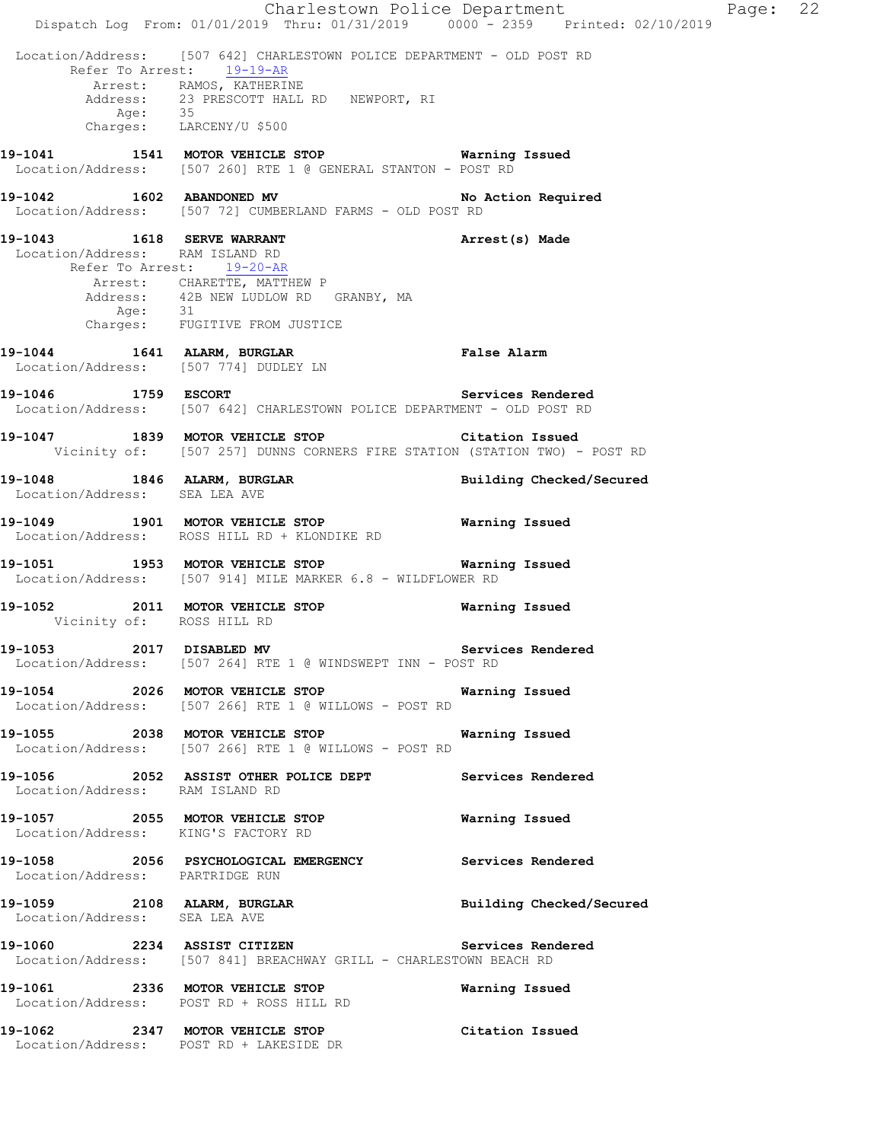Charlestown Police Department Fage: 22 Dispatch Log From: 01/01/2019 Thru: 01/31/2019 0000 - 2359 Printed: 02/10/2019 Location/Address: [507 642] CHARLESTOWN POLICE DEPARTMENT - OLD POST RD Refer To Arrest: 19-19-AR Arrest: RAMOS, KATHERINE<br>Address: 23 PRESCOTT HALL RD NEWPORT, RI Address: 23 PRESCOTT HALL RD NEWPORT, RI Age: 35 Charges: LARCENY/U \$500 **19-1041 1541 MOTOR VEHICLE STOP Warning Issued**  Location/Address: [507 260] RTE 1 @ GENERAL STANTON - POST RD 19-1042 1602 ABANDONED MV **No action Required**  Location/Address: [507 72] CUMBERLAND FARMS - OLD POST RD **19-1043 1618 SERVE WARRANT Arrest(s) Made**  Location/Address: RAM ISLAND RD Refer To Arrest: 19-20-AR Arrest: CHARETTE, MATTHEW P<br>Address: 42B NEW LUDLOW RD GRANBY, MA Address: 42B NEW LUDLOW RD GRANBY, MA Age: 31 Charges: FUGITIVE FROM JUSTICE **19-1044 1641 ALARM, BURGLAR False Alarm**  Location/Address: [507 774] DUDLEY LN **19-1046 1759 ESCORT Services Rendered**  Location/Address: [507 642] CHARLESTOWN POLICE DEPARTMENT - OLD POST RD **19-1047 1839 MOTOR VEHICLE STOP Citation Issued**  Vicinity of: [507 257] DUNNS CORNERS FIRE STATION (STATION TWO) - POST RD **19-1048 1846 ALARM, BURGLAR Building Checked/Secured**  Location/Address: SEA LEA AVE **19-1049 1901 MOTOR VEHICLE STOP Warning Issued**  Location/Address: ROSS HILL RD + KLONDIKE RD **19-1051 1953 MOTOR VEHICLE STOP Warning Issued**  Location/Address: [507 914] MILE MARKER 6.8 - WILDFLOWER RD **19-1052 2011 MOTOR VEHICLE STOP Warning Issued**  Vicinity of: ROSS HILL RD 19-1053 2017 DISABLED MV **Services Rendered**  Location/Address: [507 264] RTE 1 @ WINDSWEPT INN - POST RD **19-1054 2026 MOTOR VEHICLE STOP Warning Issued**  Location/Address: [507 266] RTE 1 @ WILLOWS - POST RD **19-1055 2038 MOTOR VEHICLE STOP Warning Issued**  Location/Address: [507 266] RTE 1 @ WILLOWS - POST RD **19-1056 2052 ASSIST OTHER POLICE DEPT Services Rendered**  Location/Address: RAM ISLAND RD **19-1057 2055 MOTOR VEHICLE STOP Warning Issued**  Location/Address: KING'S FACTORY RD **19-1058 2056 PSYCHOLOGICAL EMERGENCY Services Rendered**  Location/Address: PARTRIDGE RUN **19-1059 2108 ALARM, BURGLAR Building Checked/Secured**  Location/Address: SEA LEA AVE **19-1060 2234 ASSIST CITIZEN Services Rendered**  Location/Address: [507 841] BREACHWAY GRILL - CHARLESTOWN BEACH RD **19-1061 2336 MOTOR VEHICLE STOP Warning Issued**  Location/Address: POST RD + ROSS HILL RD **19-1062 2347 MOTOR VEHICLE STOP Citation Issued**  Location/Address: POST RD + LAKESIDE DR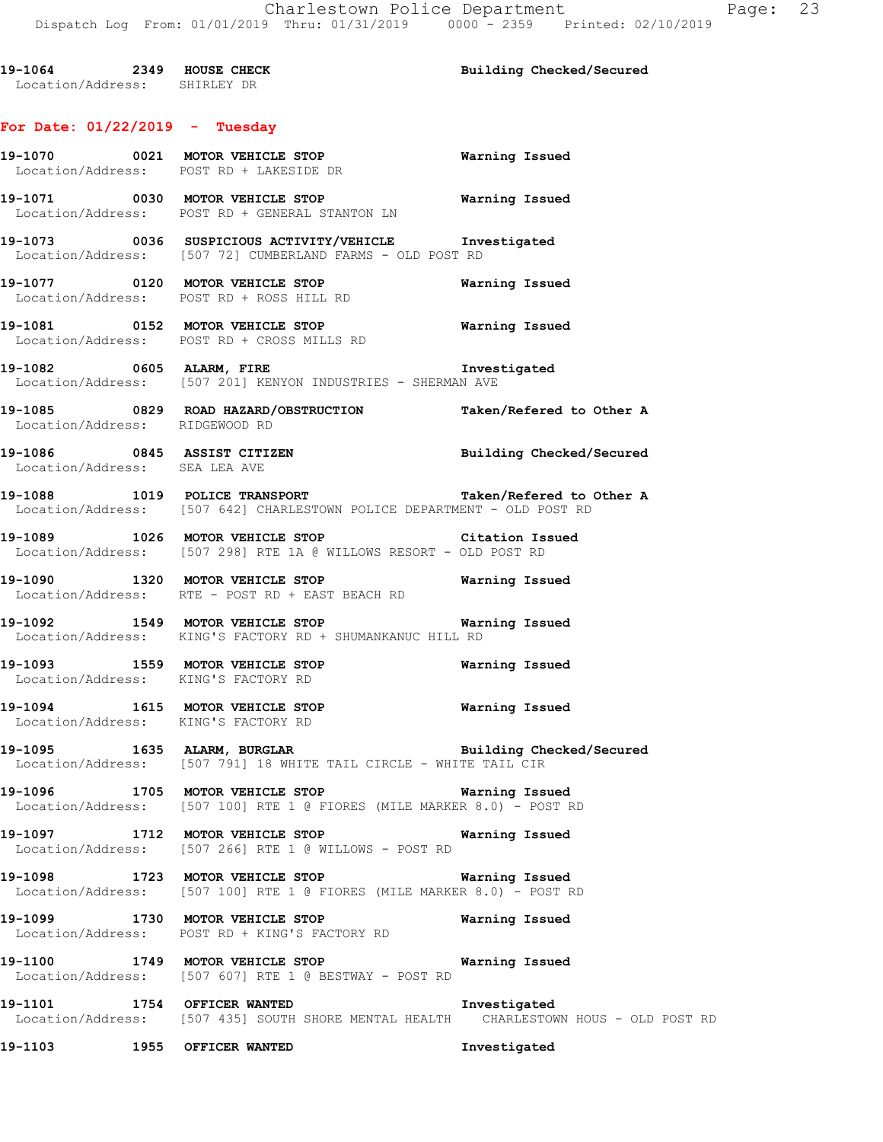**19-1064 2349 HOUSE CHECK Building Checked/Secured**  Location/Address: SHIRLEY DR

# **For Date: 01/22/2019 - Tuesday**

|                                                                        | 19-1070 0021 MOTOR VEHICLE STOP<br>Location/Address: POST RD + LAKESIDE DR                                                                                               | <b>Warning Issued</b>    |
|------------------------------------------------------------------------|--------------------------------------------------------------------------------------------------------------------------------------------------------------------------|--------------------------|
|                                                                        | 19-1071 0030 MOTOR VEHICLE STOP<br>Location/Address: POST RD + GENERAL STANTON LN                                                                                        | Warning Issued           |
|                                                                        | 19-1073 0036 SUSPICIOUS ACTIVITY/VEHICLE 1nvestigated<br>Location/Address: [507 72] CUMBERLAND FARMS - OLD POST RD                                                       |                          |
|                                                                        | 19-1077 0120 MOTOR VEHICLE STOP<br>Location/Address: POST RD + ROSS HILL RD                                                                                              | Warning Issued           |
|                                                                        | 19-1081 0152 MOTOR VEHICLE STOP<br>Location/Address: POST RD + CROSS MILLS RD                                                                                            | Warning Issued           |
|                                                                        | 19-1082 0605 ALARM, FIRE<br>Location/Address: [507 201] KENYON INDUSTRIES - SHERMAN AVE                                                                                  | Investigated             |
| Location/Address: RIDGEWOOD RD                                         | 19-1085 		 0829 ROAD HAZARD/OBSTRUCTION Taken/Refered to Other A                                                                                                         |                          |
| Location/Address: SEA LEA AVE                                          | 19-1086 0845 ASSIST CITIZEN                                                                                                                                              | Building Checked/Secured |
|                                                                        | 19-1088 1019 POLICE TRANSPORT Taken/Refered to Other A<br>Location/Address: [507 642] CHARLESTOWN POLICE DEPARTMENT - OLD POST RD                                        |                          |
|                                                                        | 19-1089 1026 MOTOR VEHICLE STOP 10 Citation Issued<br>Location/Address: [507 298] RTE 1A @ WILLOWS RESORT - OLD POST RD                                                  |                          |
|                                                                        | 19-1090 1320 MOTOR VEHICLE STOP Warning Issued<br>Location/Address: RTE - POST RD + EAST BEACH RD                                                                        |                          |
|                                                                        | 19-1092 1549 MOTOR VEHICLE STOP <b>Warning Issued</b><br>Location/Address: KING'S FACTORY RD + SHUMANKANUC HILL RD                                                       |                          |
| Location/Address: KING'S FACTORY RD                                    | 19-1093 1559 MOTOR VEHICLE STOP                                                                                                                                          | Warning Issued           |
| 19-1094 1615 MOTOR VEHICLE STOP<br>Location/Address: KING'S FACTORY RD |                                                                                                                                                                          | <b>Warning Issued</b>    |
|                                                                        | 19-1095 1635 ALARM, BURGLAR 1997 Building Checked/Secured<br>Location/Address: [507 791] 18 WHITE TAIL CIRCLE - WHITE TAIL CIR                                           |                          |
|                                                                        | 19-1096 1705 MOTOR VEHICLE STOP <b>State of Search Avenue Containe</b> r Search Marning Issued<br>Location/Address: [507 100] RTE 1 @ FIORES (MILE MARKER 8.0) - POST RD |                          |
|                                                                        | 19-1097 1712 MOTOR VEHICLE STOP<br>Location/Address: [507 266] RTE 1 @ WILLOWS - POST RD                                                                                 | Warning Issued           |
| 19-1098                                                                | 1723 MOTOR VEHICLE STOP<br>Location/Address: [507 100] RTE 1 @ FIORES (MILE MARKER 8.0) - POST RD                                                                        | Warning Issued           |
|                                                                        | 19-1099 1730 MOTOR VEHICLE STOP<br>Location/Address: POST RD + KING'S FACTORY RD                                                                                         | Warning Issued           |
| 19-1100                                                                | 1749 MOTOR VEHICLE STOP<br>Location/Address: [507 607] RTE 1 @ BESTWAY - POST RD                                                                                         | Warning Issued           |
| 19-1101 1754 OFFICER WANTED                                            | Location/Address: [507 435] SOUTH SHORE MENTAL HEALTH CHARLESTOWN HOUS - OLD POST RD                                                                                     | Investigated             |
| 19–1103                                                                | 1955 OFFICER WANTED                                                                                                                                                      | Investigated             |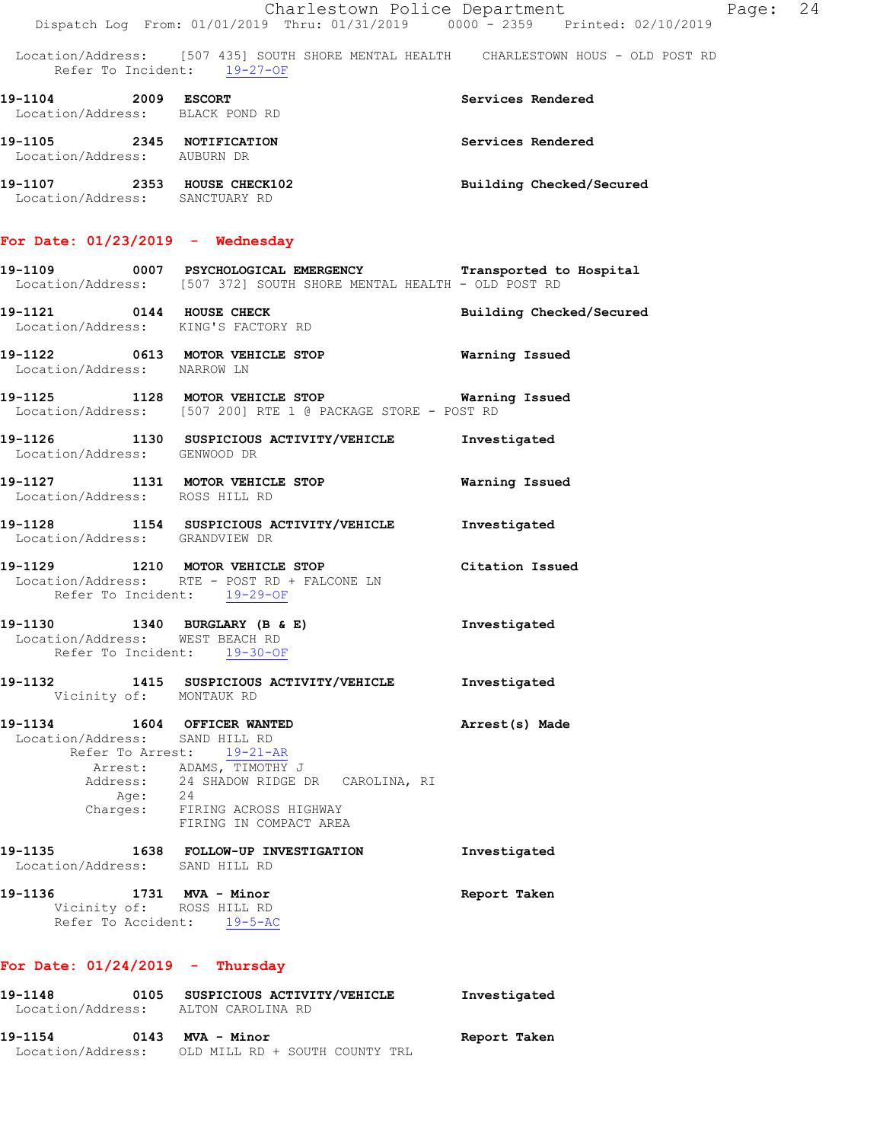|                                                                                     | Charlestown Police Department<br>Dispatch Log From: 01/01/2019 Thru: 01/31/2019 0000 - 2359 Printed: 02/10/2019                  | Page: 24                 |  |
|-------------------------------------------------------------------------------------|----------------------------------------------------------------------------------------------------------------------------------|--------------------------|--|
| Refer To Incident: 19-27-OF                                                         | Location/Address: [507 435] SOUTH SHORE MENTAL HEALTH CHARLESTOWN HOUS - OLD POST RD                                             |                          |  |
| 19-1104 2009 ESCORT<br>Location/Address: BLACK POND RD                              |                                                                                                                                  | Services Rendered        |  |
| 19-1105 2345 NOTIFICATION<br>Location/Address: AUBURN DR                            |                                                                                                                                  | Services Rendered        |  |
| 19-1107 2353 HOUSE CHECK102<br>Location/Address: SANCTUARY RD                       |                                                                                                                                  | Building Checked/Secured |  |
| For Date: $01/23/2019$ - Wednesday                                                  |                                                                                                                                  |                          |  |
|                                                                                     | 19-1109 0007 PSYCHOLOGICAL EMERGENCY Transported to Hospital Location/Address: [507 372] SOUTH SHORE MENTAL HEALTH - OLD POST RD |                          |  |
| 19-1121 0144 HOUSE CHECK<br>Location/Address: KING'S FACTORY RD                     |                                                                                                                                  | Building Checked/Secured |  |
| Location/Address: NARROW LN                                                         |                                                                                                                                  |                          |  |
|                                                                                     | 19-1125 1128 MOTOR VEHICLE STOP <b>Exam and SEAL TEE</b><br>Location/Address: [507 200] RTE 1 @ PACKAGE STORE - POST RD          |                          |  |
| Location/Address: GENWOOD DR                                                        | 19-1126 1130 SUSPICIOUS ACTIVITY/VEHICLE 1nvestigated                                                                            |                          |  |
| Location/Address: ROSS HILL RD                                                      | 19-1127 1131 MOTOR VEHICLE STOP                                                                                                  | Warning Issued           |  |
| Location/Address: GRANDVIEW DR                                                      | 19-1128 1154 SUSPICIOUS ACTIVITY/VEHICLE 1nvestigated                                                                            |                          |  |
| Refer To Incident: 19-29-OF                                                         | 19-1129 1210 MOTOR VEHICLE STOP<br>Location/Address: RTE - POST RD + FALCONE LN                                                  | Citation Issued          |  |
| Refer To Incident: 19-30-OF                                                         | 19-1130 1340 BURGLARY (B & E) 11 Investigated<br>Location/Address: WEST BEACH RD                                                 |                          |  |
| Vicinity of: MONTAUK RD                                                             | 19-1132 1415 SUSPICIOUS ACTIVITY/VEHICLE                                                                                         | Investigated             |  |
| 19-1134 1604 OFFICER WANTED<br>Location/Address: SAND HILL RD                       | Refer To Arrest: 19-21-AR                                                                                                        | Arrest(s) Made           |  |
|                                                                                     | Arrest: ADAMS, TIMOTHY J<br>Address: 24 SHADOW RIDGE DR CAROLINA, RI<br>Age: 24<br>Charges: FIRING ACROSS HIGHWAY                |                          |  |
|                                                                                     | FIRING IN COMPACT AREA<br>19-1135 1638 FOLLOW-UP INVESTIGATION                                                                   | Investigated             |  |
| Location/Address: SAND HILL RD                                                      |                                                                                                                                  |                          |  |
| 19-1136 1731 MVA - Minor<br>Vicinity of: ROSS HILL RD<br>Refer To Accident: 19-5-AC |                                                                                                                                  | Report Taken             |  |
| For Date: $01/24/2019$ - Thursday                                                   |                                                                                                                                  |                          |  |
| 19-1148<br>Location/Address: ALTON CAROLINA RD                                      | 0105 SUSPICIOUS ACTIVITY/VEHICLE                                                                                                 | Investigated             |  |

**19-1154 0143 MVA - Minor Report Taken**  Location/Address: OLD MILL RD + SOUTH COUNTY TRL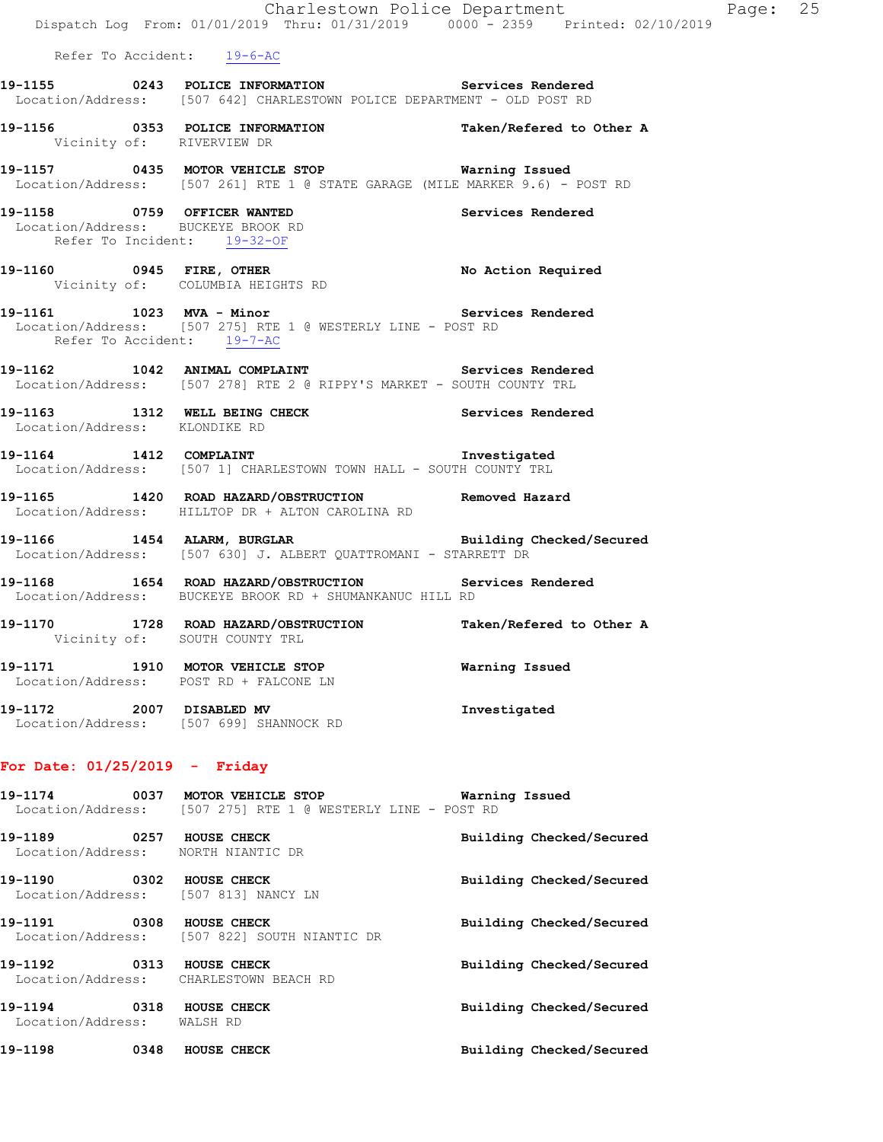|                                                                                                  | Dispatch Log From: 01/01/2019 Thru: 01/31/2019 0000 - 2359 Printed: 02/10/2019                                                   | Charlestown Police Department The Page: 25 |  |
|--------------------------------------------------------------------------------------------------|----------------------------------------------------------------------------------------------------------------------------------|--------------------------------------------|--|
| Refer To Accident: 19-6-AC                                                                       |                                                                                                                                  |                                            |  |
|                                                                                                  | 19-1155 0243 POLICE INFORMATION Services Rendered<br>Location/Address: [507 642] CHARLESTOWN POLICE DEPARTMENT - OLD POST RD     |                                            |  |
| Vicinity of: RIVERVIEW DR                                                                        | 19-1156 			 0353 POLICE INFORMATION 			 Taken/Refered to Other A                                                                 |                                            |  |
|                                                                                                  | 19-1157 0435 MOTOR VEHICLE STOP 6 Warning Issued<br>Location/Address: [507 261] RTE 1 @ STATE GARAGE (MILE MARKER 9.6) - POST RD |                                            |  |
| 19-1158 0759 OFFICER WANTED<br>Location/Address: BUCKEYE BROOK RD<br>Refer To Incident: 19-32-OF |                                                                                                                                  | Services Rendered                          |  |
|                                                                                                  | 19-1160 0945 FIRE, OTHER No Action Required<br>Vicinity of: COLUMBIA HEIGHTS RD                                                  |                                            |  |
| Refer To Accident: 19-7-AC                                                                       | 19-1161 1023 MVA - Minor<br>Location/Address: [507 275] RTE 1 @ WESTERLY LINE - POST RD                                          | Services Rendered                          |  |
|                                                                                                  | 19-1162 1042 ANIMAL COMPLAINT Services Rendered<br>Location/Address: [507 278] RTE 2 @ RIPPY'S MARKET - SOUTH COUNTY TRL         |                                            |  |
| Location/Address: KLONDIKE RD                                                                    | 19-1163 1312 WELL BEING CHECK 1997 Services Rendered                                                                             |                                            |  |
|                                                                                                  | 19-1164 1412 COMPLAINT<br>Location/Address: [507 1] CHARLESTOWN TOWN HALL - SOUTH COUNTY TRL                                     | Investigated                               |  |
|                                                                                                  | -<br>19-1165 1420 ROAD HAZARD/OBSTRUCTION Removed Hazard<br>Location/Address: HILLTOP DR + ALTON CAROLINA RD                     |                                            |  |
|                                                                                                  | 19-1166 1454 ALARM, BURGLAR BURGER Building Checked/Secured<br>Location/Address: [507 630] J. ALBERT QUATTROMANI - STARRETT DR   |                                            |  |
|                                                                                                  | 19-1168 1654 ROAD HAZARD/OBSTRUCTION Services Rendered<br>Location/Address: BUCKEYE BROOK RD + SHUMANKANUC HILL RD               |                                            |  |
| Vicinity of: SOUTH COUNTY TRL                                                                    | 19-1170 1728 ROAD HAZARD/OBSTRUCTION Taken/Refered to Other A                                                                    |                                            |  |
| Location/Address: POST RD + FALCONE LN                                                           | 19-1171 1910 MOTOR VEHICLE STOP 1971 Warning Issued                                                                              |                                            |  |

**19-1172 2007 DISABLED MV Investigated**  Location/Address: [507 699] SHANNOCK RD

# **For Date: 01/25/2019 - Friday**

|                            |      | Location/Address: [507 275] RTE 1 @ WESTERLY LINE - POST RD        |                          |
|----------------------------|------|--------------------------------------------------------------------|--------------------------|
| 19–1189<br>$\sim$ 0257     |      | HOUSE CHECK<br>Location/Address: NORTH NIANTIC DR                  | Building Checked/Secured |
| 19–1190<br>0302            |      | HOUSE CHECK<br>Location/Address: [507 813] NANCY LN                | Building Checked/Secured |
| 19-1191 0308               |      | <b>HOUSE CHECK</b><br>Location/Address: [507 822] SOUTH NIANTIC DR | Building Checked/Secured |
| 19-1192 0313 HOUSE CHECK   |      | Location/Address: CHARLESTOWN BEACH RD                             | Building Checked/Secured |
| Location/Address: WALSH RD |      |                                                                    | Building Checked/Secured |
| 19-1198                    | 0348 | HOUSE CHECK                                                        | Building Checked/Secured |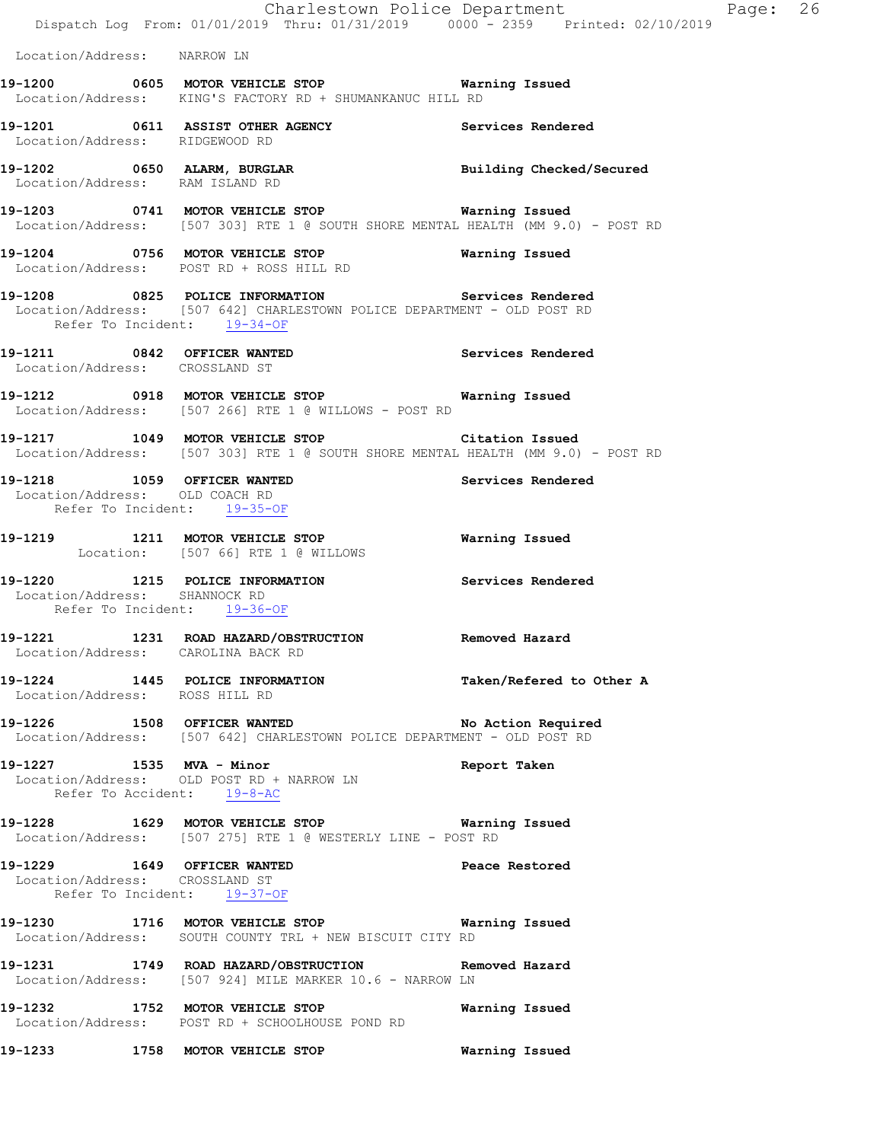|                                                                                              | Dispatch Log From: 01/01/2019 Thru: 01/31/2019 0000 <sup>-</sup> 2359 Printed: 02/10/2019                                                 | Charlestown Police Department | Page: 26 |  |
|----------------------------------------------------------------------------------------------|-------------------------------------------------------------------------------------------------------------------------------------------|-------------------------------|----------|--|
| Location/Address: NARROW LN                                                                  |                                                                                                                                           |                               |          |  |
|                                                                                              | 19-1200 0605 MOTOR VEHICLE STOP 60 Warning Issued<br>Location/Address: KING'S FACTORY RD + SHUMANKANUC HILL RD                            |                               |          |  |
| Location/Address: RIDGEWOOD RD                                                               |                                                                                                                                           |                               |          |  |
| Location/Address: RAM ISLAND RD                                                              |                                                                                                                                           |                               |          |  |
|                                                                                              | 19-1203 0741 MOTOR VEHICLE STOP <b>Warning Issued</b><br>Location/Address: [507 303] RTE 1 @ SOUTH SHORE MENTAL HEALTH (MM 9.0) - POST RD |                               |          |  |
|                                                                                              | 19-1204 0756 MOTOR VEHICLE STOP<br>Location/Address: POST RD + ROSS HILL RD                                                               | Warning Issued                |          |  |
| Refer To Incident: 19-34-OF                                                                  | 19-1208 0825 POLICE INFORMATION Services Rendered<br>Location/Address: [507 642] CHARLESTOWN POLICE DEPARTMENT - OLD POST RD              |                               |          |  |
| Location/Address: CROSSLAND ST                                                               | 19-1211 0842 OFFICER WANTED Services Rendered                                                                                             |                               |          |  |
|                                                                                              | 19-1212 0918 MOTOR VEHICLE STOP <b>Warning Issued</b><br>Location/Address: [507 266] RTE 1 @ WILLOWS - POST RD                            |                               |          |  |
|                                                                                              | 19-1217 1049 MOTOR VEHICLE STOP Citation Issued<br>Location/Address: [507 303] RTE 1 @ SOUTH SHORE MENTAL HEALTH (MM 9.0) - POST RD       |                               |          |  |
| 19-1218 1059 OFFICER WANTED<br>Location/Address: OLD COACH RD<br>Refer To Incident: 19-35-OF |                                                                                                                                           | Services Rendered             |          |  |
|                                                                                              | 19-1219 1211 MOTOR VEHICLE STOP<br>Location: [507 66] RTE 1 @ WILLOWS                                                                     | Warning Issued                |          |  |
| Location/Address: SHANNOCK RD<br>Refer To Incident: 19-36-OF                                 | 19-1220 1215 POLICE INFORMATION Services Rendered                                                                                         |                               |          |  |
| Location/Address: CAROLINA BACK RD                                                           | 19-1221 1231 ROAD HAZARD/OBSTRUCTION Removed Hazard                                                                                       |                               |          |  |
| Location/Address: ROSS HILL RD                                                               | 19-1224 1445 POLICE INFORMATION Taken/Refered to Other A                                                                                  |                               |          |  |
|                                                                                              | 19-1226 1508 OFFICER WANTED No Action Required<br>Location/Address: [507 642] CHARLESTOWN POLICE DEPARTMENT - OLD POST RD                 |                               |          |  |
| 19-1227 1535 MVA - Minor<br>Refer To Accident: 19-8-AC                                       | Location/Address: OLD POST RD + NARROW LN                                                                                                 | Report Taken                  |          |  |
|                                                                                              | 19-1228 1629 MOTOR VEHICLE STOP 6 Warning Issued<br>Location/Address: [507 275] RTE 1 @ WESTERLY LINE - POST RD                           |                               |          |  |
| 19-1229 1649 OFFICER WANTED<br>Location/Address: CROSSLAND ST<br>Refer To Incident: 19-37-OF |                                                                                                                                           | Peace Restored                |          |  |
|                                                                                              | 19-1230 1716 MOTOR VEHICLE STOP 6 Warning Issued<br>Location/Address: SOUTH COUNTY TRL + NEW BISCUIT CITY RD                              |                               |          |  |
|                                                                                              | 19-1231 1749 ROAD HAZARD/OBSTRUCTION Removed Hazard<br>Location/Address: [507 924] MILE MARKER 10.6 - NARROW LN                           |                               |          |  |
| 19-1232 1752 MOTOR VEHICLE STOP                                                              | Location/Address: POST RD + SCHOOLHOUSE POND RD                                                                                           | Warning Issued                |          |  |
|                                                                                              | 19-1233 1758 MOTOR VEHICLE STOP                                                                                                           | Warning Issued                |          |  |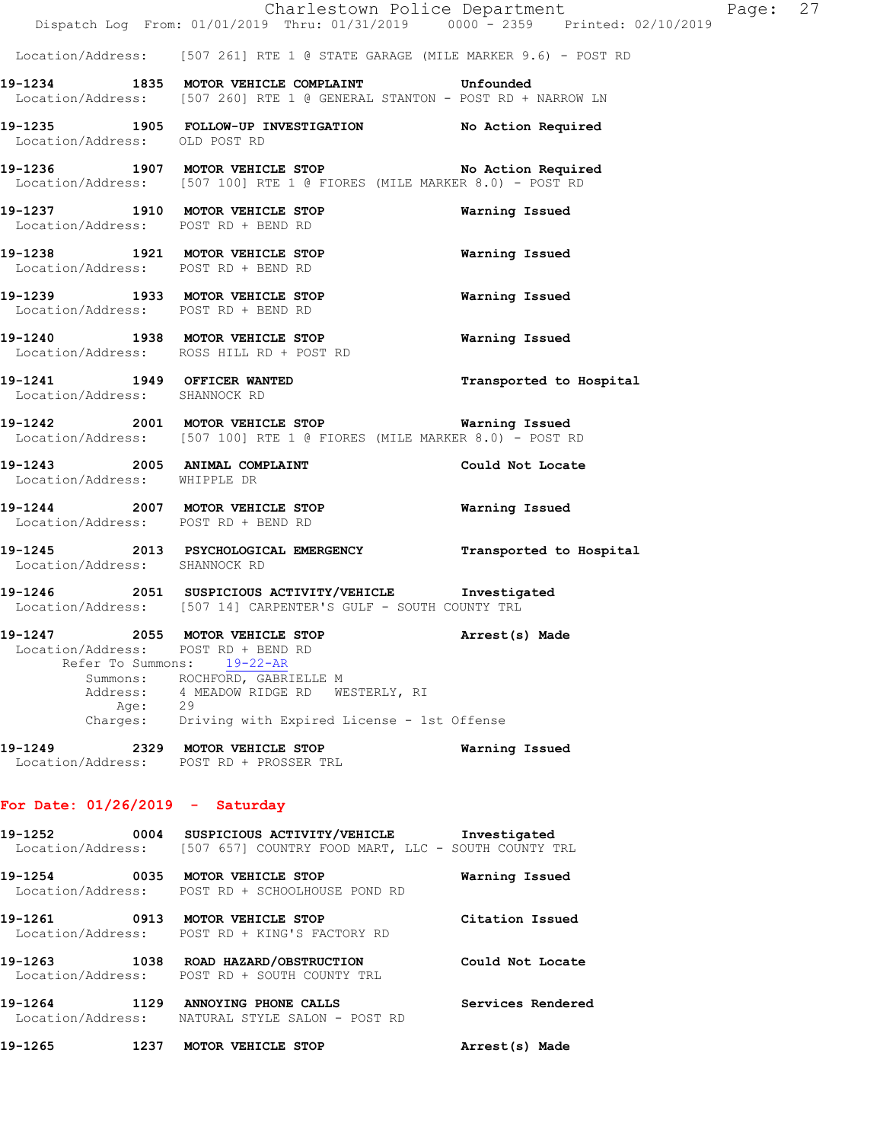Location/Address: [507 261] RTE 1 @ STATE GARAGE (MILE MARKER 9.6) - POST RD

**19-1234 1835 MOTOR VEHICLE COMPLAINT Unfounded**  Location/Address: [507 260] RTE 1 @ GENERAL STANTON - POST RD + NARROW LN

**19-1235 1905 FOLLOW-UP INVESTIGATION No Action Required**  Location/Address: OLD POST RD

19-1236 1907 MOTOR VEHICLE STOP **No Action Required** Location/Address: [507 100] RTE 1 @ FIORES (MILE MARKER 8.0) - POST RD

**19-1237 1910 MOTOR VEHICLE STOP Warning Issued**  Location/Address: POST RD + BEND RD

**19-1238 1921 MOTOR VEHICLE STOP Warning Issued**  Location/Address: POST RD + BEND RD

**19-1239 1933 MOTOR VEHICLE STOP Warning Issued**  Location/Address: POST RD + BEND RD

**19-1240 1938 MOTOR VEHICLE STOP Warning Issued**  Location/Address: ROSS HILL RD + POST RD

**19-1241 1949 OFFICER WANTED Transported to Hospital**  Location/Address: SHANNOCK RD

**19-1242 2001 MOTOR VEHICLE STOP Warning Issued**  Location/Address: [507 100] RTE 1 @ FIORES (MILE MARKER 8.0) - POST RD

**19-1243 2005 ANIMAL COMPLAINT Could Not Locate**  Location/Address: WHIPPLE DR

**19-1244 2007 MOTOR VEHICLE STOP Warning Issued**  Location/Address: POST RD + BEND RD

**19-1245 2013 PSYCHOLOGICAL EMERGENCY Transported to Hospital**  Location/Address: SHANNOCK RD

**19-1246 2051 SUSPICIOUS ACTIVITY/VEHICLE Investigated**  Location/Address: [507 14] CARPENTER'S GULF - SOUTH COUNTY TRL

**19-1247 2055 MOTOR VEHICLE STOP Arrest(s) Made**  Location/Address: POST RD + BEND RD Refer To Summons: 19-22-AR Summons: ROCHFORD, GABRIELLE M Address: 4 MEADOW RIDGE RD WESTERLY, RI Age: 29 Charges: Driving with Expired License - 1st Offense

**19-1249 2329 MOTOR VEHICLE STOP Warning Issued**  Location/Address: POST RD + PROSSER TRL

#### **For Date: 01/26/2019 - Saturday**

**19-1252 0004 SUSPICIOUS ACTIVITY/VEHICLE Investigated**  Location/Address: [507 657] COUNTRY FOOD MART, LLC - SOUTH COUNTY TRL **19-1254 0035 MOTOR VEHICLE STOP Warning Issued**  Location/Address: POST RD + SCHOOLHOUSE POND RD **19-1261 0913 MOTOR VEHICLE STOP Citation Issued**  Location/Address: POST RD + KING'S FACTORY RD **19-1263 1038 ROAD HAZARD/OBSTRUCTION Could Not Locate**  Location/Address: POST RD + SOUTH COUNTY TRL **19-1264 1129 ANNOYING PHONE CALLS Services Rendered**  Location/Address: NATURAL STYLE SALON - POST RD **19-1265 1237 MOTOR VEHICLE STOP Arrest(s) Made**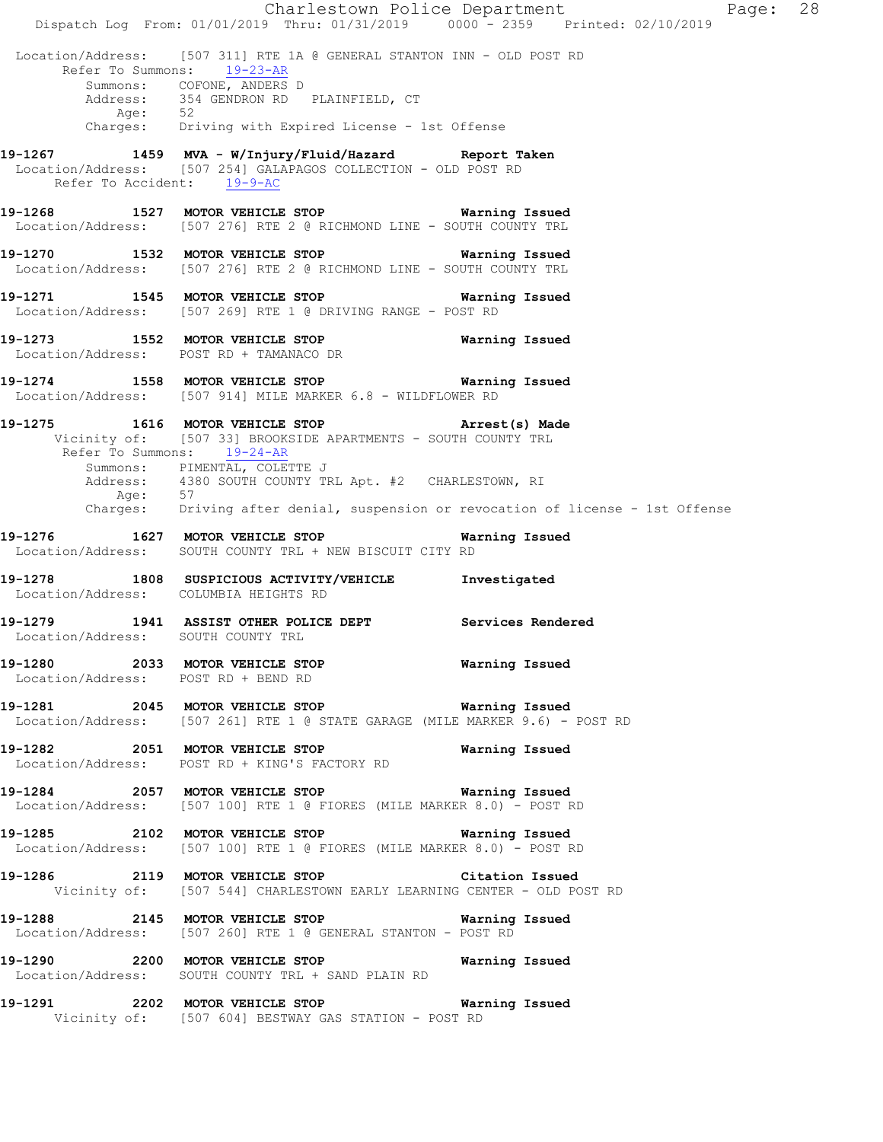Charlestown Police Department Page: 28 Dispatch Log From: 01/01/2019 Thru: 01/31/2019 0000 - 2359 Printed: 02/10/2019 Location/Address: [507 311] RTE 1A @ GENERAL STANTON INN - OLD POST RD Refer To Summons: 19-23-AR Summons: COFONE, ANDERS D 354 GENDRON RD PLAINFIELD, CT<br>52 Address:<br>Age: Charges: Driving with Expired License - 1st Offense **19-1267 1459 MVA - W/Injury/Fluid/Hazard Report Taken**  Location/Address: [507 254] GALAPAGOS COLLECTION - OLD POST RD Refer To Accident: 19-9-AC **19-1268 1527 MOTOR VEHICLE STOP Warning Issued**  Location/Address: [507 276] RTE 2 @ RICHMOND LINE - SOUTH COUNTY TRL **19-1270 1532 MOTOR VEHICLE STOP Warning Issued**  Location/Address: [507 276] RTE 2 @ RICHMOND LINE - SOUTH COUNTY TRL **19-1271 1545 MOTOR VEHICLE STOP Warning Issued**  Location/Address: [507 269] RTE 1 @ DRIVING RANGE - POST RD **19-1273 1552 MOTOR VEHICLE STOP Warning Issued**  Location/Address: POST RD + TAMANACO DR **19-1274 1558 MOTOR VEHICLE STOP Warning Issued**  Location/Address: [507 914] MILE MARKER 6.8 - WILDFLOWER RD **19-1275 1616 MOTOR VEHICLE STOP Arrest(s) Made**  Vicinity of: [507 33] BROOKSIDE APARTMENTS - SOUTH COUNTY TRL Refer To Summons: 19-24-AR Summons: PIMENTAL, COLETTE J Address: 4380 SOUTH COUNTY TRL Apt. #2 CHARLESTOWN, RI Age: 57 Charges: Driving after denial, suspension or revocation of license - 1st Offense **19-1276 1627 MOTOR VEHICLE STOP Warning Issued**  Location/Address: SOUTH COUNTY TRL + NEW BISCUIT CITY RD **19-1278 1808 SUSPICIOUS ACTIVITY/VEHICLE Investigated**  Location/Address: COLUMBIA HEIGHTS RD **19-1279 1941 ASSIST OTHER POLICE DEPT Services Rendered**  Location/Address: SOUTH COUNTY TRL **19-1280 2033 MOTOR VEHICLE STOP Warning Issued**  Location/Address: POST RD + BEND RD **19-1281 2045 MOTOR VEHICLE STOP Warning Issued**  Location/Address: [507 261] RTE 1 @ STATE GARAGE (MILE MARKER 9.6) - POST RD **19-1282 2051 MOTOR VEHICLE STOP Warning Issued**  Location/Address: POST RD + KING'S FACTORY RD **19-1284 2057 MOTOR VEHICLE STOP Warning Issued**  Location/Address: [507 100] RTE 1 @ FIORES (MILE MARKER 8.0) - POST RD **19-1285 2102 MOTOR VEHICLE STOP Warning Issued**<br>Location/Address: [507 100] RTE 1 @ FIORES (MILE MARKER 8.0) - POST F [507 100] RTE 1 @ FIORES (MILE MARKER 8.0) - POST RD **19-1286 2119 MOTOR VEHICLE STOP Citation Issued**  Vicinity of: [507 544] CHARLESTOWN EARLY LEARNING CENTER - OLD POST RD **19-1288 2145 MOTOR VEHICLE STOP Warning Issued**  Location/Address: [507 260] RTE 1 @ GENERAL STANTON - POST RD **19-1290 2200 MOTOR VEHICLE STOP Warning Issued**  Location/Address: SOUTH COUNTY TRL + SAND PLAIN RD **19-1291 2202 MOTOR VEHICLE STOP Warning Issued**  Vicinity of: [507 604] BESTWAY GAS STATION - POST RD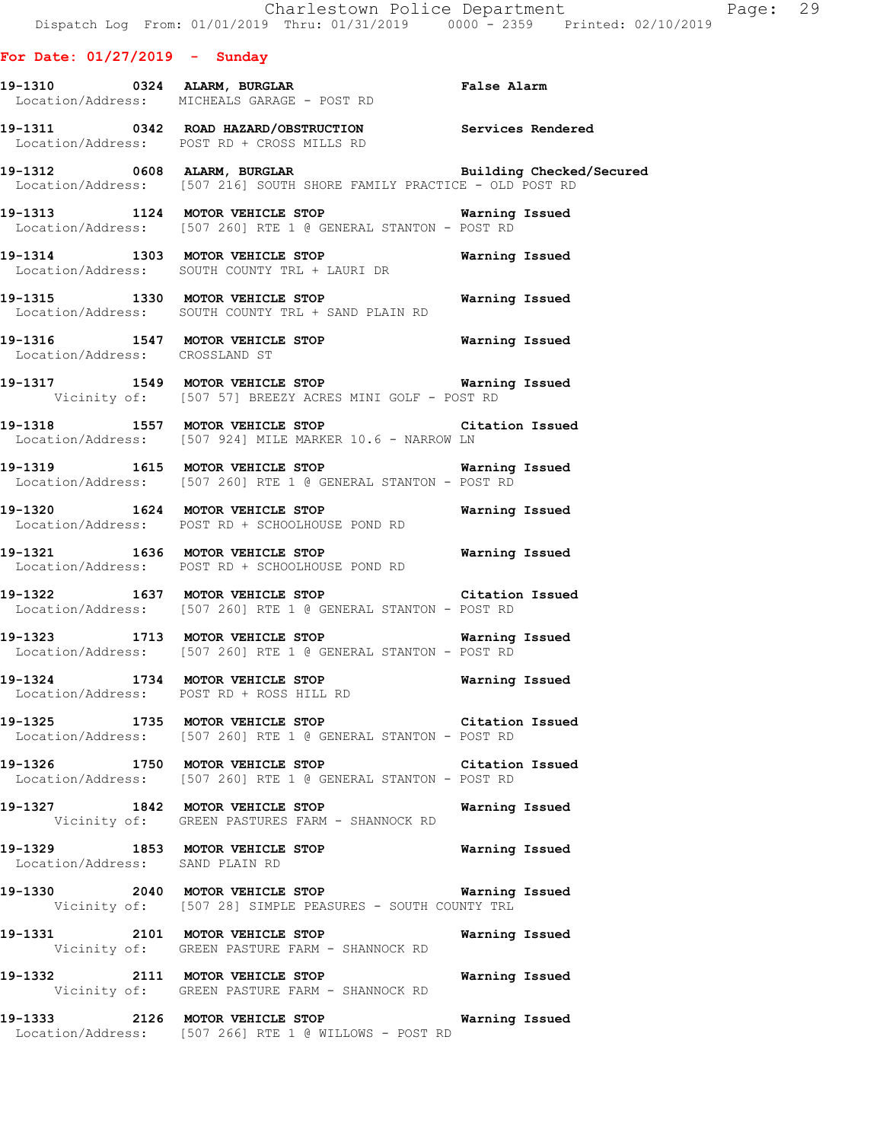**For Date: 01/27/2019 - Sunday 19-1310 0324 ALARM, BURGLAR False Alarm**  Location/Address: MICHEALS GARAGE - POST RD **19-1311 0342 ROAD HAZARD/OBSTRUCTION Services Rendered**  Location/Address: POST RD + CROSS MILLS RD **19-1312 0608 ALARM, BURGLAR Building Checked/Secured**  Location/Address: [507 216] SOUTH SHORE FAMILY PRACTICE - OLD POST RD **19-1313 1124 MOTOR VEHICLE STOP Warning Issued**  Location/Address: [507 260] RTE 1 @ GENERAL STANTON - POST RD **19-1314 1303 MOTOR VEHICLE STOP Warning Issued**  Location/Address: SOUTH COUNTY TRL + LAURI DR **19-1315 1330 MOTOR VEHICLE STOP Warning Issued**  Location/Address: SOUTH COUNTY TRL + SAND PLAIN RD **19-1316 1547 MOTOR VEHICLE STOP Warning Issued**  Location/Address: CROSSLAND ST **19-1317 1549 MOTOR VEHICLE STOP Warning Issued**  Vicinity of: [507 57] BREEZY ACRES MINI GOLF - POST RD **19-1318 1557 MOTOR VEHICLE STOP Citation Issued**  Location/Address: [507 924] MILE MARKER 10.6 - NARROW LN **19-1319 1615 MOTOR VEHICLE STOP Warning Issued**  Location/Address: [507 260] RTE 1 @ GENERAL STANTON - POST RD **19-1320 1624 MOTOR VEHICLE STOP Warning Issued**  Location/Address: POST RD + SCHOOLHOUSE POND RD **19-1321 1636 MOTOR VEHICLE STOP Warning Issued**  Location/Address: POST RD + SCHOOLHOUSE POND RD **19-1322 1637 MOTOR VEHICLE STOP Citation Issued**  Location/Address: [507 260] RTE 1 @ GENERAL STANTON - POST RD **19-1323 1713 MOTOR VEHICLE STOP Warning Issued**  Location/Address: [507 260] RTE 1 @ GENERAL STANTON - POST RD **19-1324 1734 MOTOR VEHICLE STOP Warning Issued**  Location/Address: POST RD + ROSS HILL RD **19-1325 1735 MOTOR VEHICLE STOP Citation Issued**  Location/Address: [507 260] RTE 1 @ GENERAL STANTON - POST RD **19-1326 1750 MOTOR VEHICLE STOP Citation Issued**  Location/Address: [507 260] RTE 1 @ GENERAL STANTON - POST RD **19-1327 1842 MOTOR VEHICLE STOP Warning Issued**  Vicinity of: GREEN PASTURES FARM - SHANNOCK RD **19-1329 1853 MOTOR VEHICLE STOP Warning Issued**  Location/Address: SAND PLAIN RD **19-1330 2040 MOTOR VEHICLE STOP Warning Issued**  Vicinity of: [507 28] SIMPLE PEASURES - SOUTH COUNTY TRL **19-1331 2101 MOTOR VEHICLE STOP Warning Issued**  Vicinity of: GREEN PASTURE FARM - SHANNOCK RD

**19-1332 2111 MOTOR VEHICLE STOP Warning Issued**  Vicinity of: GREEN PASTURE FARM - SHANNOCK RD

**19-1333 2126 MOTOR VEHICLE STOP Warning Issued**  Location/Address: [507 266] RTE 1 @ WILLOWS - POST RD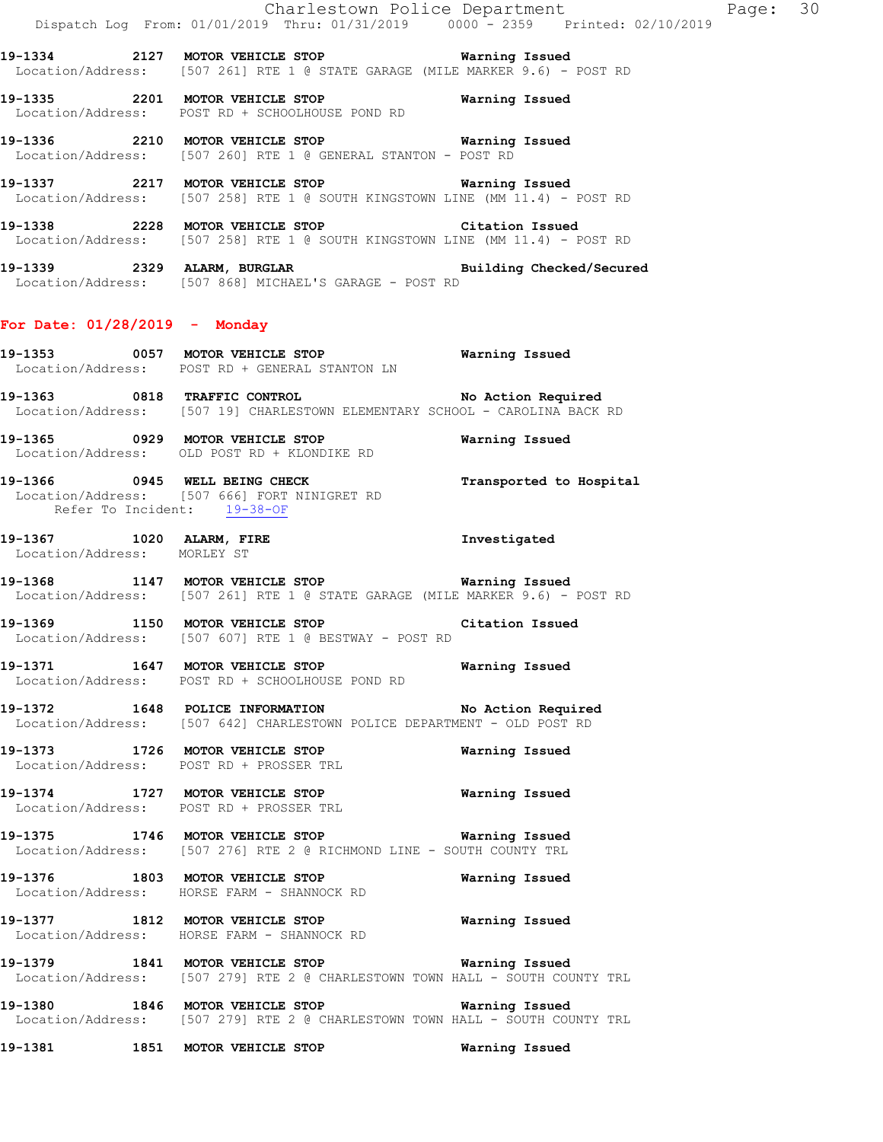Charlestown Police Department Page: 30 Dispatch Log From: 01/01/2019 Thru: 01/31/2019 0000 - 2359 Printed: 02/10/2019 **19-1334 2127 MOTOR VEHICLE STOP Warning Issued**  Location/Address: [507 261] RTE 1 @ STATE GARAGE (MILE MARKER 9.6) - POST RD **19-1335 2201 MOTOR VEHICLE STOP Warning Issued**  Location/Address: POST RD + SCHOOLHOUSE POND RD **19-1336 2210 MOTOR VEHICLE STOP Warning Issued**  Location/Address: [507 260] RTE 1 @ GENERAL STANTON - POST RD **19-1337 2217 MOTOR VEHICLE STOP Warning Issued**  Location/Address: [507 258] RTE 1 @ SOUTH KINGSTOWN LINE (MM 11.4) - POST RD **19-1338 2228 MOTOR VEHICLE STOP Citation Issued**  Location/Address: [507 258] RTE 1 @ SOUTH KINGSTOWN LINE (MM 11.4) - POST RD **19-1339 2329 ALARM, BURGLAR Building Checked/Secured**  Location/Address: [507 868] MICHAEL'S GARAGE - POST RD **For Date: 01/28/2019 - Monday 19-1353 0057 MOTOR VEHICLE STOP Warning Issued**  Location/Address: POST RD + GENERAL STANTON LN **19-1363 0818 TRAFFIC CONTROL No Action Required**  Location/Address: [507 19] CHARLESTOWN ELEMENTARY SCHOOL - CAROLINA BACK RD **19-1365 0929 MOTOR VEHICLE STOP Warning Issued**  Location/Address: OLD POST RD + KLONDIKE RD **19-1366 0945 WELL BEING CHECK Transported to Hospital**  Location/Address: [507 666] FORT NINIGRET RD Refer To Incident: 19-38-OF **19-1367 1020 ALARM, FIRE Investigated**  Location/Address: MORLEY ST **19-1368 1147 MOTOR VEHICLE STOP Warning Issued**  Location/Address: [507 261] RTE 1 @ STATE GARAGE (MILE MARKER 9.6) - POST RD **19-1369 1150 MOTOR VEHICLE STOP Citation Issued**  Location/Address: [507 607] RTE 1 @ BESTWAY - POST RD **19-1371 1647 MOTOR VEHICLE STOP Warning Issued**  Location/Address: POST RD + SCHOOLHOUSE POND RD **19-1372 1648 POLICE INFORMATION No Action Required**  Location/Address: [507 642] CHARLESTOWN POLICE DEPARTMENT - OLD POST RD **19-1373 1726 MOTOR VEHICLE STOP Warning Issued**  Location/Address: POST RD + PROSSER TRL **19-1374 1727 MOTOR VEHICLE STOP Warning Issued**  Location/Address: POST RD + PROSSER TRL **19-1375 1746 MOTOR VEHICLE STOP Warning Issued**  Location/Address: [507 276] RTE 2 @ RICHMOND LINE - SOUTH COUNTY TRL **19-1376 1803 MOTOR VEHICLE STOP Warning Issued**  Location/Address: HORSE FARM - SHANNOCK RD **19-1377 1812 MOTOR VEHICLE STOP Warning Issued** 

**19-1379 1841 MOTOR VEHICLE STOP Warning Issued**  Location/Address: [507 279] RTE 2 @ CHARLESTOWN TOWN HALL - SOUTH COUNTY TRL

**19-1380 1846 MOTOR VEHICLE STOP Warning Issued**  Location/Address: [507 279] RTE 2 @ CHARLESTOWN TOWN HALL - SOUTH COUNTY TRL

**19-1381 1851 MOTOR VEHICLE STOP Warning Issued** 

Location/Address: HORSE FARM - SHANNOCK RD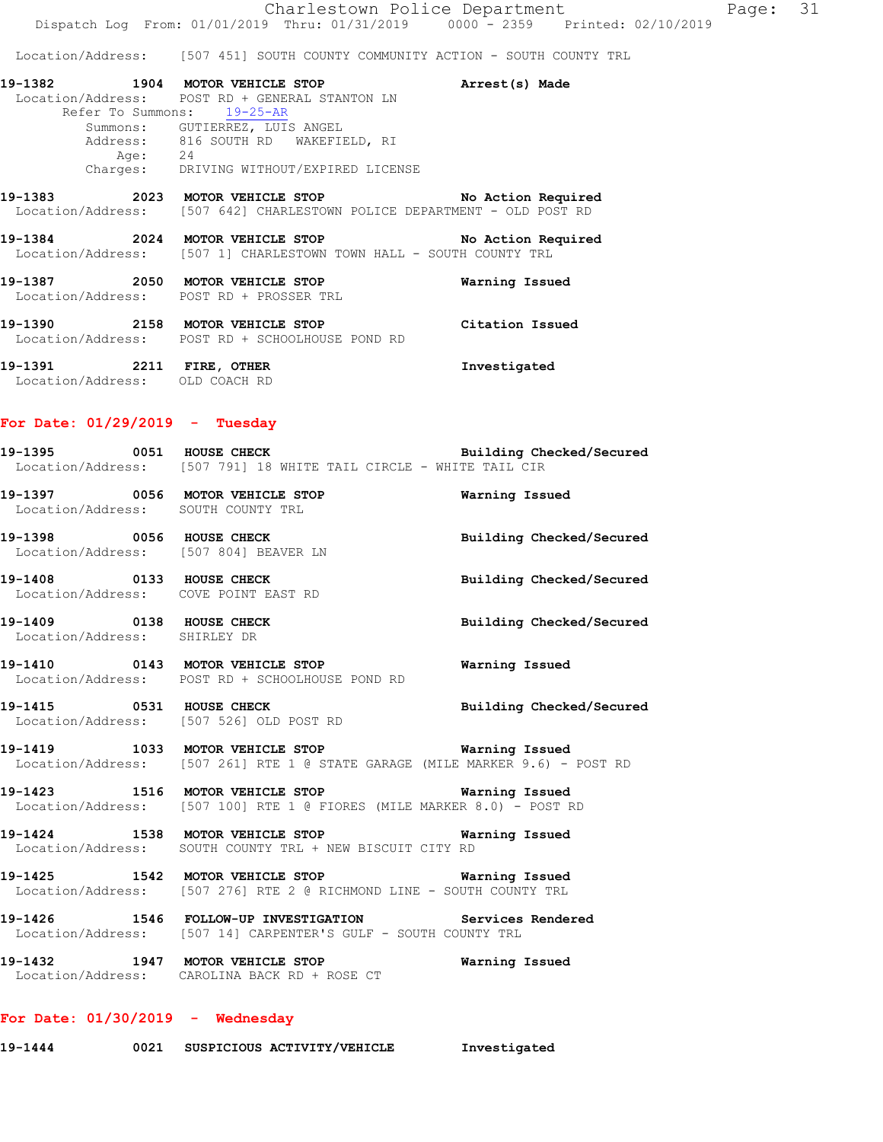Summons: GUTIERREZ, LUIS ANGEL Address: 816 SOUTH RD WAKEFIELD, RI Age: 24 Charges: DRIVING WITHOUT/EXPIRED LICENSE

#### **19-1383 2023 MOTOR VEHICLE STOP No Action Required**  Location/Address: [507 642] CHARLESTOWN POLICE DEPARTMENT - OLD POST RD

**19-1384 2024 MOTOR VEHICLE STOP No Action Required**  Location/Address: [507 1] CHARLESTOWN TOWN HALL - SOUTH COUNTY TRL

**19-1387 2050 MOTOR VEHICLE STOP Warning Issued**  Location/Address: POST RD + PROSSER TRL

**19-1390 2158 MOTOR VEHICLE STOP Citation Issued**  Location/Address: POST RD + SCHOOLHOUSE POND RD

**19-1391 2211 FIRE, OTHER Investigated**  Location/Address: OLD COACH RD

# **For Date: 01/29/2019 - Tuesday**

**19-1395 0051 HOUSE CHECK Building Checked/Secured**  Location/Address: [507 791] 18 WHITE TAIL CIRCLE - WHITE TAIL CIR

**19-1397 0056 MOTOR VEHICLE STOP Warning Issued**  Location/Address: SOUTH COUNTY TRL

**19-1398 0056 HOUSE CHECK Building Checked/Secured**  Location/Address: [507 804] BEAVER LN

**19-1408 0133 HOUSE CHECK Building Checked/Secured**  Location/Address: COVE POINT EAST RD

**19-1409 0138 HOUSE CHECK Building Checked/Secured**  Location/Address: SHIRLEY DR

**19-1410 0143 MOTOR VEHICLE STOP Warning Issued**  Location/Address: POST RD + SCHOOLHOUSE POND RD

**19-1415 0531 HOUSE CHECK Building Checked/Secured**  Location/Address: [507 526] OLD POST RD

**19-1419 1033 MOTOR VEHICLE STOP Warning Issued**  Location/Address: [507 261] RTE 1 @ STATE GARAGE (MILE MARKER 9.6) - POST RD

**19-1423 1516 MOTOR VEHICLE STOP Warning Issued**  Location/Address: [507 100] RTE 1 @ FIORES (MILE MARKER 8.0) - POST RD

**19-1424 1538 MOTOR VEHICLE STOP Warning Issued**  Location/Address: SOUTH COUNTY TRL + NEW BISCUIT CITY RD

**19-1425 1542 MOTOR VEHICLE STOP Warning Issued**  Location/Address: [507 276] RTE 2 @ RICHMOND LINE - SOUTH COUNTY TRL

**19-1426 1546 FOLLOW-UP INVESTIGATION Services Rendered**  Location/Address: [507 14] CARPENTER'S GULF - SOUTH COUNTY TRL

**19-1432 1947 MOTOR VEHICLE STOP Warning Issued**  Location/Address: CAROLINA BACK RD + ROSE CT

# **For Date: 01/30/2019 - Wednesday**

**19-1444 0021 SUSPICIOUS ACTIVITY/VEHICLE Investigated**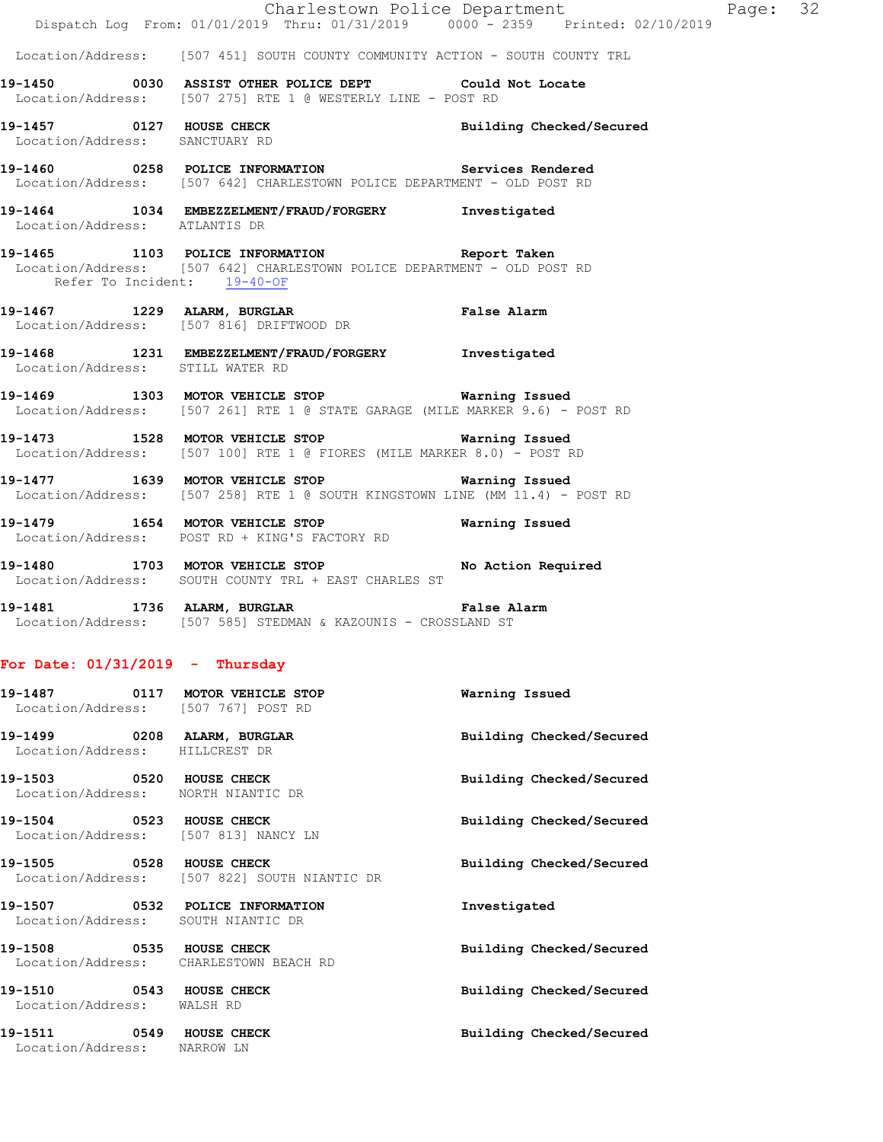|                                                               | Dispatch Log From: 01/01/2019 Thru: 01/31/2019   0000 - 2359   Printed: 02/10/2019                                                                     | Charlestown Police Department | Page: 32 |  |
|---------------------------------------------------------------|--------------------------------------------------------------------------------------------------------------------------------------------------------|-------------------------------|----------|--|
|                                                               | Location/Address: [507 451] SOUTH COUNTY COMMUNITY ACTION - SOUTH COUNTY TRL                                                                           |                               |          |  |
|                                                               | 19-1450 0030 ASSIST OTHER POLICE DEPT Could Not Locate<br>Location/Address: [507 275] RTE 1 @ WESTERLY LINE - POST RD                                  |                               |          |  |
| Location/Address: SANCTUARY RD                                | 19-1457 0127 HOUSE CHECK                                                                                                                               | Building Checked/Secured      |          |  |
|                                                               | 19-1460  0258  POLICE INFORMATION  Services Rendered<br>Location/Address: [507 642] CHARLESTOWN POLICE DEPARTMENT - OLD POST RD                        |                               |          |  |
| Location/Address: ATLANTIS DR                                 | 19-1464 1034 EMBEZZELMENT/FRAUD/FORGERY Investigated                                                                                                   |                               |          |  |
|                                                               | 19-1465 1103 POLICE INFORMATION Report Taken<br>Location/Address: [507 642] CHARLESTOWN POLICE DEPARTMENT - OLD POST RD<br>Refer To Incident: 19-40-OF |                               |          |  |
|                                                               | 19-1467 1229 ALARM, BURGLAR<br>Location/Address: [507 816] DRIFTWOOD DR                                                                                | <b>False Alarm</b>            |          |  |
| Location/Address: STILL WATER RD                              | 19-1468 1231 EMBEZZELMENT/FRAUD/FORGERY Investigated                                                                                                   |                               |          |  |
|                                                               | 19-1469 1303 MOTOR VEHICLE STOP Warning Issued<br>Location/Address: [507 261] RTE 1 @ STATE GARAGE (MILE MARKER 9.6) - POST RD                         |                               |          |  |
|                                                               | 19-1473 1528 MOTOR VEHICLE STOP 6 Warning Issued<br>Location/Address: [507 100] RTE 1 @ FIORES (MILE MARKER 8.0) - POST RD                             |                               |          |  |
|                                                               | 19-1477 1639 MOTOR VEHICLE STOP <b>Warning Issued</b><br>Location/Address: [507 258] RTE 1 @ SOUTH KINGSTOWN LINE (MM 11.4) - POST RD                  |                               |          |  |
|                                                               | 19-1479 1654 MOTOR VEHICLE STOP 19-1479 Warning Issued<br>Location/Address: POST RD + KING'S FACTORY RD                                                |                               |          |  |
|                                                               | 19-1480 1703 MOTOR VEHICLE STOP No Action Required<br>Location/Address: SOUTH COUNTY TRL + EAST CHARLES ST                                             |                               |          |  |
|                                                               | 19-1481 1736 ALARM, BURGLAR 19-1481 False Alarm<br>Location/Address: [507 585] STEDMAN & KAZOUNIS - CROSSLAND ST                                       |                               |          |  |
| For Date: $01/31/2019$ - Thursday                             |                                                                                                                                                        |                               |          |  |
|                                                               | 19-1487 0117 MOTOR VEHICLE STOP<br>Location/Address: [507 767] POST RD                                                                                 | Warning Issued                |          |  |
| 19-1499 0208 ALARM, BURGLAR<br>Location/Address: HILLCREST DR |                                                                                                                                                        | Building Checked/Secured      |          |  |
| 19-1503 0520 HOUSE CHECK                                      | Location/Address: NORTH NIANTIC DR                                                                                                                     | Building Checked/Secured      |          |  |
| 19-1504 0523 HOUSE CHECK                                      | Location/Address: [507 813] NANCY LN                                                                                                                   | Building Checked/Secured      |          |  |
| 19-1505 0528 HOUSE CHECK                                      | Location/Address: [507 822] SOUTH NIANTIC DR                                                                                                           | Building Checked/Secured      |          |  |
|                                                               | 19-1507 0532 POLICE INFORMATION<br>Location/Address: SOUTH NIANTIC DR                                                                                  | Investigated                  |          |  |
| 19-1508 0535 HOUSE CHECK                                      | Location/Address: CHARLESTOWN BEACH RD                                                                                                                 | Building Checked/Secured      |          |  |
| 19-1510 0543 HOUSE CHECK<br>Location/Address: WALSH RD        |                                                                                                                                                        | Building Checked/Secured      |          |  |
| 19-1511 0549 HOUSE CHECK<br>Location/Address: NARROW LN       |                                                                                                                                                        | Building Checked/Secured      |          |  |
|                                                               |                                                                                                                                                        |                               |          |  |